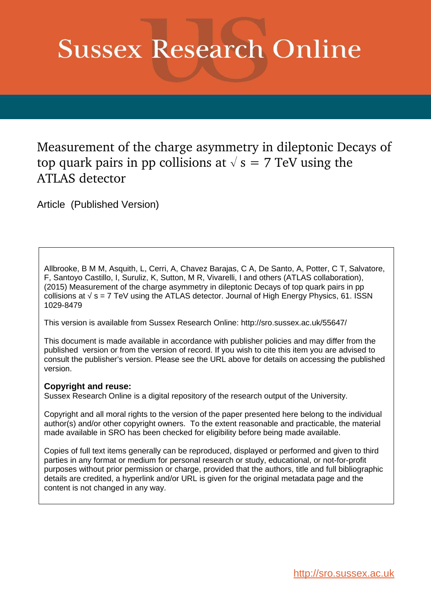# **Sussex Research Online**

Measurement of the charge asymmetry in dileptonic Decays of top quark pairs in pp collisions at  $\sqrt{s} = 7$  TeV using the ATLAS detector

Article (Published Version)

Allbrooke, B M M, Asquith, L, Cerri, A, Chavez Barajas, C A, De Santo, A, Potter, C T, Salvatore, F, Santoyo Castillo, I, Suruliz, K, Sutton, M R, Vivarelli, I and others (ATLAS collaboration), (2015) Measurement of the charge asymmetry in dileptonic Decays of top quark pairs in pp collisions at  $\sqrt{s}$  = 7 TeV using the ATLAS detector. Journal of High Energy Physics, 61. ISSN 1029-8479

This version is available from Sussex Research Online: http://sro.sussex.ac.uk/55647/

This document is made available in accordance with publisher policies and may differ from the published version or from the version of record. If you wish to cite this item you are advised to consult the publisher's version. Please see the URL above for details on accessing the published version.

# **Copyright and reuse:**

Sussex Research Online is a digital repository of the research output of the University.

Copyright and all moral rights to the version of the paper presented here belong to the individual author(s) and/or other copyright owners. To the extent reasonable and practicable, the material made available in SRO has been checked for eligibility before being made available.

Copies of full text items generally can be reproduced, displayed or performed and given to third parties in any format or medium for personal research or study, educational, or not-for-profit purposes without prior permission or charge, provided that the authors, title and full bibliographic details are credited, a hyperlink and/or URL is given for the original metadata page and the content is not changed in any way.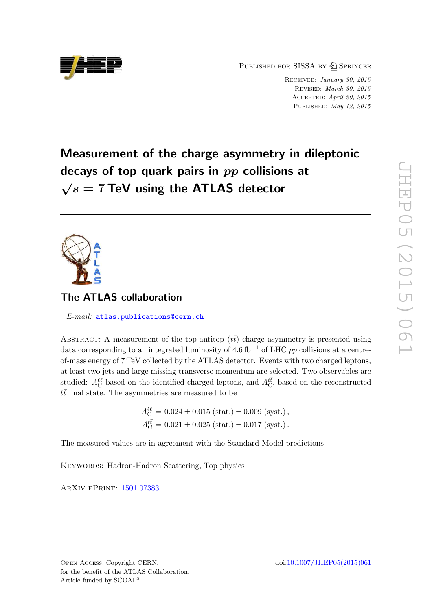PUBLISHED FOR SISSA BY 2 SPRINGER

RECEIVED: January 30, 2015 Revised : March 30, 2015 Accepted : April 20, 2015 PUBLISHED: May 12, 2015

# Measurement of the charge asymmetry in dileptonic decays of top quark pairs in  $pp$  collisions at  $\sqrt{s}$  = 7 TeV using the ATLAS detector



# The ATLAS collaboration

E-mail: [atlas.publications@cern.ch](mailto:atlas.publications@cern.ch)

<span id="page-1-0"></span>ABSTRACT: A measurement of the top-antitop  $(t\bar{t})$  charge asymmetry is presented using data corresponding to an integrated luminosity of  $4.6\,\mathrm{fb}^{-1}$  of LHC pp collisions at a centreof-mass energy of 7 TeV collected by the ATLAS detector. Events with two charged leptons, at least two jets and large missing transverse momentum are selected. Two observables are studied:  $A_C^{\ell\ell}$  based on the identified charged leptons, and  $A_C^{t\bar{t}}$ , based on the reconstructed  $t\bar{t}$  final state. The asymmetries are measured to be

> $A_{\rm C}^{\ell\ell} = 0.024 \pm 0.015 \text{ (stat.)} \pm 0.009 \text{ (syst.)},$  $A_{\rm C}^{t\bar{t}} = 0.021 \pm 0.025 \text{ (stat.)} \pm 0.017 \text{ (syst.)}.$

The measured values are in agreement with the Standard Model predictions.

KEYWORDS: Hadron-Hadron Scattering, Top physics

<span id="page-1-1"></span>ArXiv ePrint: [1501.07383](http://arxiv.org/abs/1501.07383)

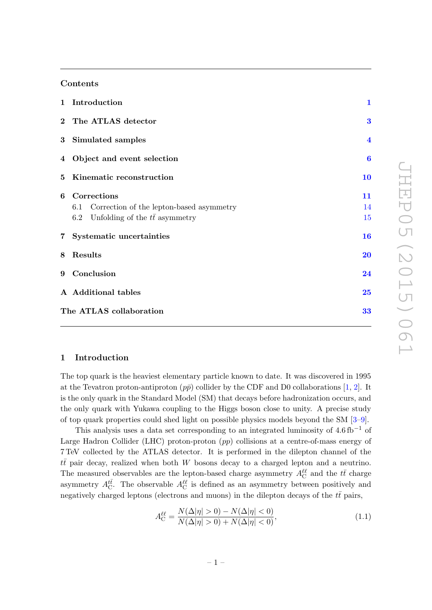## Contents

<span id="page-2-2"></span>

|                | 1 Introduction                                      | $\mathbf{1}$            |
|----------------|-----------------------------------------------------|-------------------------|
|                | 2 The ATLAS detector                                | $\bf{3}$                |
|                | 3 Simulated samples                                 | $\overline{\mathbf{4}}$ |
|                | 4 Object and event selection                        | $\boldsymbol{6}$        |
| 5 <sup>1</sup> | Kinematic reconstruction                            | 10                      |
| 6              | Corrections                                         | 11                      |
|                | Correction of the lepton-based asymmetry<br>$6.1\,$ | 14                      |
|                | 6.2 Unfolding of the $t\bar{t}$ asymmetry           | 15                      |
|                | 7 Systematic uncertainties                          | 16                      |
| 8              | Results                                             | <b>20</b>               |
| 9              | Conclusion                                          | 24                      |
|                | A Additional tables                                 | 25                      |
|                | The ATLAS collaboration                             | 33                      |

#### 1 Introduction

The top quark is the heaviest elementary particle known to date. It was discovered in 1995 at the Tevatron proton-antiproton  $(p\bar{p})$  collider by the CDF and D0 collaborations [[1](#page-28-0), [2\]](#page-28-1). It is the only quark in the Standard Model (SM) that decays before hadronization occurs, and the only quark with Yukawa coupling to the Higgs boson close to unity. A precise study of top quark properties could shed light on possible physics models beyond the SM [[3](#page-28-2)–[9\]](#page-28-3).

<span id="page-2-1"></span><span id="page-2-0"></span>This analysis uses a data set corresponding to an integrated luminosity of  $4.6 \text{ fb}^{-1}$  of Large Hadron Collider (LHC) proton-proton (pp) collisions at a centre-of-mass energy of 7 TeV collected by the ATLAS detector. It is performed in the dilepton channel of the  $t\bar{t}$  pair decay, realized when both W bosons decay to a charged lepton and a neutrino. The measured observables are the lepton-based charge asymmetry  $A_{\rm C}^{\ell\ell}$  and the  $t\bar{t}$  charge asymmetry  $A_C^{t\bar{t}}$ . The observable  $A_C^{\ell\ell}$  is defined as an asymmetry between positively and negatively charged leptons (electrons and muons) in the dilepton decays of the  $t\bar{t}$  pairs,

$$
A_C^{\ell\ell} = \frac{N(\Delta|\eta| > 0) - N(\Delta|\eta| < 0)}{N(\Delta|\eta| > 0) + N(\Delta|\eta| < 0)},
$$
\n(1.1)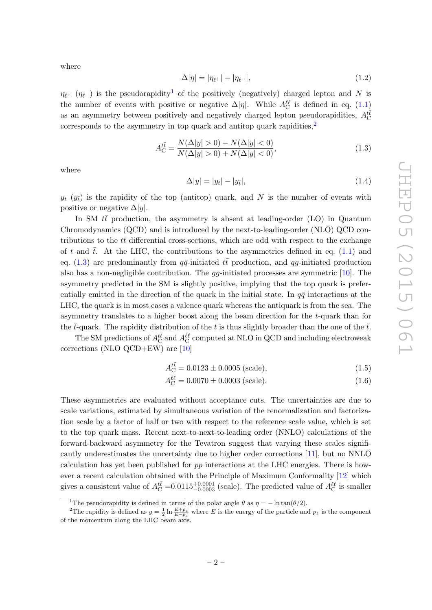where

$$
\Delta |\eta| = |\eta_{\ell^+}| - |\eta_{\ell^-}|,\tag{1.2}
$$

 $\eta_{\ell^+}$  ( $\eta_{\ell^-}$ ) is the pseudorapidity<sup>[1](#page-2-0)</sup> of the positively (negatively) charged lepton and N is the number of events with positive or negative  $\Delta |\eta|$ . While  $A_C^{\ell\ell}$  is defined in eq. [\(1.1](#page-1-1)) as an asymmetry between positively and negatively charged lepton pseudorapidities,  $A_C^{t\bar{t}}$ corresponds to the asymmetry in top quark and antitop quark rapidities,<sup>[2](#page-2-1)</sup>

$$
A_{\rm C}^{t\bar{t}} = \frac{N(\Delta|y| > 0) - N(\Delta|y| < 0)}{N(\Delta|y| > 0) + N(\Delta|y| < 0)},
$$
\n(1.3)

where

$$
\Delta|y| = |y_t| - |y_{\bar{t}}|,\tag{1.4}
$$

 $y_t$  ( $y_{\bar{t}}$ ) is the rapidity of the top (antitop) quark, and N is the number of events with positive or negative  $\Delta |y|$ .

In SM  $t\bar{t}$  production, the asymmetry is absent at leading-order (LO) in Quantum Chromodynamics (QCD) and is introduced by the next-to-leading-order (NLO) QCD contributions to the  $t\bar{t}$  differential cross-sections, which are odd with respect to the exchange of t and  $\bar{t}$ . At the LHC, the contributions to the asymmetries defined in eq. [\(1.1\)](#page-1-1) and eq. [\(1.3\)](#page-2-2) are predominantly from  $q\bar{q}$ -initiated  $t\bar{t}$  production, and qg-initiated production also has a non-negligible contribution. The  $gg$ -initiated processes are symmetric [\[10\]](#page-28-4). The asymmetry predicted in the SM is slightly positive, implying that the top quark is preferentially emitted in the direction of the quark in the initial state. In  $q\bar{q}$  interactions at the LHC, the quark is in most cases a valence quark whereas the antiquark is from the sea. The asymmetry translates to a higher boost along the beam direction for the t-quark than for the  $\bar{t}$ -quark. The rapidity distribution of the t is thus slightly broader than the one of the  $\bar{t}$ .

The SM predictions of  $A_C^{t\bar t}$  and  $A_C^{\ell\ell}$  computed at NLO in QCD and including electroweak corrections (NLO QCD+EW) are [\[10](#page-28-4) ]

$$
A_{\rm C}^{t\bar{t}} = 0.0123 \pm 0.0005 \text{ (scale)},\tag{1.5}
$$

$$
A_C^{\ell\ell} = 0.0070 \pm 0.0003 \text{ (scale)}.
$$
 (1.6)

These asymmetries are evaluated without acceptance cuts. The uncertainties are due to scale variations, estimated by simultaneous variation of the renormalization and factorization scale by a factor of half or two with respect to the reference scale value, which is set to the top quark mass. Recent next-to-next-to-leading order (NNLO) calculations of the forward-backward asymmetry for the Tevatron suggest that varying these scales significantly underestimates the uncertainty due to higher order corrections [\[11\]](#page-28-5), but no NNLO calculation has yet been published for  $pp$  interactions at the LHC energies. There is however a recent calculation obtained with the Principle of Maximum Conformality [\[12\]](#page-29-0) which gives a consistent value of  $A_C^{t\bar{t}} = 0.0115^{+0.0001}_{-0.0003}$  (scale). The predicted value of  $A_C^{\ell\ell}$  is smaller

<span id="page-3-1"></span><span id="page-3-0"></span><sup>&</sup>lt;sup>1</sup>The pseudorapidity is defined in terms of the polar angle  $\theta$  as  $\eta = -\ln \tan(\theta/2)$ .

<sup>&</sup>lt;sup>2</sup>The rapidity is defined as  $y = \frac{1}{2} \ln \frac{E + p_z}{E - p_z}$  where E is the energy of the particle and  $p_z$  is the component of the momentum along the LHC beam axis.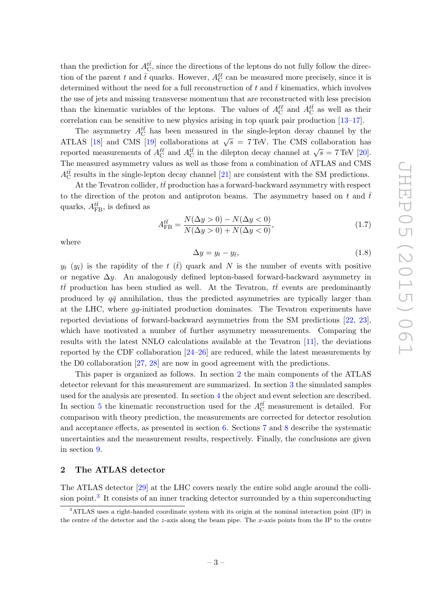than the prediction for  $A_{\text{C}}^{t\bar{t}}$ , since the directions of the leptons do not fully follow the direction of the parent t and  $\bar{t}$  quarks. However,  $A_C^{\ell\ell}$  can be measured more precisely, since it is determined without the need for a full reconstruction of  $t$  and  $\bar{t}$  kinematics, which involves the use of jets and missing transverse momentum that are reconstructed with less precision than the kinematic variables of the leptons. The values of  $A_C^{\ell\ell}$  and  $A_C^{t\bar{t}}$  as well as their correlation can be sensitive to new physics arising in top quark pair production [\[13](#page-29-1) [–17\]](#page-29-2).

The asymmetry  $A_C^{t\bar{t}}$  has been measured in the single-lepton decay channel by the ATLAS [\[18\]](#page-29-3) and CMS [\[19\]](#page-29-4) collaborations at  $\sqrt{s}$  = 7 TeV. The CMS collaboration has reported measurements of  $A_C^{l\ell}$  and  $A_C^{t\bar{t}}$  in the dilepton decay channel at  $\sqrt{s} = 7$  TeV [\[20\]](#page-29-5). The measured asymmetry values as well as those from a combination of ATLAS and CMS  $A_{\rm C}^{t\bar t}$  results in the single-lepton decay channel [\[21\]](#page-29-6) are consistent with the SM predictions.

At the Tevatron collider,  $t\bar{t}$  production has a forward-backward asymmetry with respect to the direction of the proton and antiproton beams. The asymmetry based on t and  $\bar{t}$ quarks,  $A_{\text{FB}}^{t\bar{t}}$ , is defined as

$$
A_{\text{FB}}^{t\bar{t}} = \frac{N(\Delta y > 0) - N(\Delta y < 0)}{N(\Delta y > 0) + N(\Delta y < 0)},
$$
\n(1.7)

where

$$
\Delta y = y_t - y_{\bar{t}},\tag{1.8}
$$

 $y_t$  ( $y_{\bar{t}}$ ) is the rapidity of the  $t$  ( $\bar{t}$ ) quark and N is the number of events with positive or negative  $\Delta y$ . An analogously defined lepton-based forward-backward asymmetry in  $t\bar{t}$  production has been studied as well. At the Tevatron,  $t\bar{t}$  events are predominantly produced by  $q\bar{q}$  annihilation, thus the predicted asymmetries are typically larger than at the LHC, where gg-initiated production dominates. The Tevatron experiments have reported deviations of forward-backward asymmetries from the SM predictions [\[22](#page-29-7) , [23\]](#page-29-8), which have motivated a number of further asymmetry measurements. Comparing the results with the latest NNLO calculations available at the Tevatron [\[11\]](#page-28-5), the deviations reported by the CDF collaboration [\[24](#page-29-9) [–26\]](#page-29-10) are reduced, while the latest measurements by the D0 collaboration [\[27](#page-29-11) , [28\]](#page-30-0) are now in good agreement with the predictions.

<span id="page-4-0"></span>This paper is organized as follows. In section [2](#page-3-0) the main components of the ATLAS detector relevant for this measurement are summarized. In section [3](#page-4-0) the simulated samples used for the analysis are presented. In section [4](#page-6-0) the object and event selection are described. In section [5](#page-10-0) the kinematic reconstruction used for the  $A_C^{t\bar{t}}$  measurement is detailed. For comparison with theory prediction, the measurements are corrected for detector resolution and acceptance effects, as presented in section [6.](#page-11-0) Sections [7](#page-16-0) and [8](#page-20-0) describe the systematic uncertainties and the measurement results, respectively. Finally, the conclusions are given in section [9](#page-24-0) .

#### 2 The ATLAS detector

The ATLAS detector [\[29\]](#page-30-1) at the LHC covers nearly the entire solid angle around the colli-sion point.<sup>[3](#page-3-1)</sup> It consists of an inner tracking detector surrounded by a thin superconducting

<sup>&</sup>lt;sup>3</sup>ATLAS uses a right-handed coordinate system with its origin at the nominal interaction point (IP) in the centre of the detector and the z-axis along the beam pipe. The x-axis points from the IP to the centre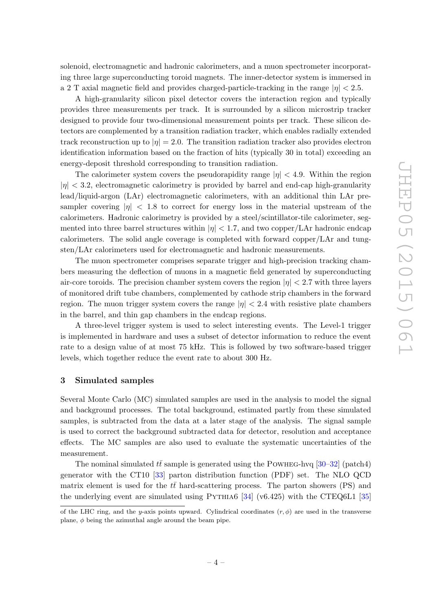solenoid, electromagnetic and hadronic calorimeters, and a muon spectrometer incorporating three large superconducting toroid magnets. The inner-detector system is immersed in a 2 T axial magnetic field and provides charged-particle-tracking in the range  $|\eta| < 2.5$ .

A high-granularity silicon pixel detector covers the interaction region and typically provides three measurements per track. It is surrounded by a silicon microstrip tracker designed to provide four two-dimensional measurement points per track. These silicon detectors are complemented by a transition radiation tracker, which enables radially extended track reconstruction up to  $|\eta| = 2.0$ . The transition radiation tracker also provides electron identification information based on the fraction of hits (typically 30 in total) exceeding an energy-deposit threshold corresponding to transition radiation.

The calorimeter system covers the pseudorapidity range  $|\eta|$  < 4.9. Within the region  $|\eta| < 3.2$ , electromagnetic calorimetry is provided by barrel and end-cap high-granularity lead/liquid-argon (LAr) electromagnetic calorimeters, with an additional thin LAr presampler covering  $|\eta|$  < 1.8 to correct for energy loss in the material upstream of the calorimeters. Hadronic calorimetry is provided by a steel/scintillator-tile calorimeter, segmented into three barrel structures within  $|\eta| < 1.7$ , and two copper/LAr hadronic endcap calorimeters. The solid angle coverage is completed with forward copper/LAr and tungsten/LAr calorimeters used for electromagnetic and hadronic measurements.

The muon spectrometer comprises separate trigger and high-precision tracking chambers measuring the deflection of muons in a magnetic field generated by superconducting air-core toroids. The precision chamber system covers the region  $|\eta| < 2.7$  with three layers of monitored drift tube chambers, complemented by cathode strip chambers in the forward region. The muon trigger system covers the range  $|\eta| < 2.4$  with resistive plate chambers in the barrel, and thin gap chambers in the endcap regions.

A three-level trigger system is used to select interesting events. The Level-1 trigger is implemented in hardware and uses a subset of detector information to reduce the event rate to a design value of at most 75 kHz. This is followed by two software-based trigger levels, which together reduce the event rate to about 300 Hz.

#### 3 Simulated samples

Several Monte Carlo (MC) simulated samples are used in the analysis to model the signal and background processes. The total background, estimated partly from these simulated samples, is subtracted from the data at a later stage of the analysis. The signal sample is used to correct the background subtracted data for detector, resolution and acceptance effects. The MC samples are also used to evaluate the systematic uncertainties of the measurement.

The nominal simulated  $t\bar{t}$  sample is generated using the POWHEG-hvq [\[30](#page-30-2)[–32\]](#page-30-3) (patch4) generator with the CT10 [\[33\]](#page-30-4) parton distribution function (PDF) set. The NLO QCD matrix element is used for the  $t\bar{t}$  hard-scattering process. The parton showers (PS) and the underlying event are simulated using  $PYTHIA6$  [\[34\]](#page-30-5) (v6.425) with the CTEQ6L1 [\[35](#page-30-6)]

of the LHC ring, and the y-axis points upward. Cylindrical coordinates  $(r, \phi)$  are used in the transverse plane, φ being the azimuthal angle around the beam pipe.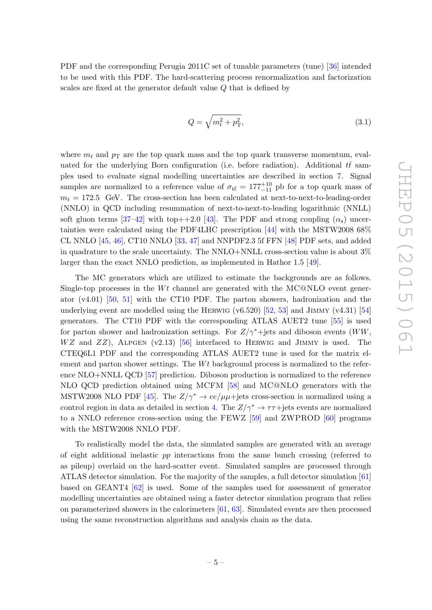<span id="page-6-0"></span>PDF and the corresponding Perugia 2011C set of tunable parameters (tune) [\[36\]](#page-30-7) intended to be used with this PDF. The hard-scattering process renormalization and factorization scales are fixed at the generator default value Q that is defined by

$$
Q = \sqrt{m_t^2 + p_T^2},\tag{3.1}
$$

where  $m_t$  and  $p_T$  are the top quark mass and the top quark transverse momentum, evaluated for the underlying Born configuration (i.e. before radiation). Additional  $t\bar{t}$  samples used to evaluate signal modelling uncertainties are described in section [7.](#page-16-0) Signal samples are normalized to a reference value of  $\sigma_{t\bar{t}} = 177^{+10}_{-11}$  pb for a top quark mass of  $m_t = 172.5$  GeV. The cross-section has been calculated at next-to-next-to-leading-order (NNLO) in QCD including resummation of next-to-next-to-leading logarithmic (NNLL) soft gluon terms  $[37-42]$  with top $++2.0$   $[43]$ . The PDF and strong coupling  $(\alpha_s)$  uncertainties were calculated using the PDF4LHC prescription [\[44\]](#page-30-11) with the MSTW2008 68% CL NNLO [\[45](#page-30-12) , [46\]](#page-30-13), CT10 NNLO [\[33](#page-30-4) , [47\]](#page-31-0) and NNPDF2.3 5f FFN [\[48\]](#page-31-1) PDF sets, and added in quadrature to the scale uncertainty. The NNLO+NNLL cross-section value is about 3% larger than the exact NNLO prediction, as implemented in Hathor 1.5 [\[49\]](#page-31-2).

The MC generators which are utilized to estimate the backgrounds are as follows. Single-top processes in the  $Wt$  channel are generated with the MC@NLO event generator (v4.01) [\[50,](#page-31-3) [51\]](#page-31-4) with the CT10 PDF. The parton showers, hadronization and the underlying event are modelled using the HERWIG  $(v6.520)$   $[52, 53]$  $[52, 53]$  and JIMMY  $(v4.31)$   $[54]$ generators. The CT10 PDF with the corresponding ATLAS AUET2 tune [\[55\]](#page-31-8) is used for parton shower and hadronization settings. For  $Z/\gamma^*$ +jets and diboson events (WW,  $WZ$  and  $ZZ$ ), ALPGEN (v2.13) [\[56\]](#page-31-9) interfaced to HERWIG and JIMMY is used. The CTEQ6L1 PDF and the corresponding ATLAS AUET2 tune is used for the matrix element and parton shower settings. The  $Wt$  background process is normalized to the reference NLO+NNLL QCD [\[57\]](#page-31-10) prediction. Diboson production is normalized to the reference NLO QCD prediction obtained using MCFM [\[58\]](#page-31-11) and MC@NLO generators with the MSTW2008 NLO PDF [\[45\]](#page-30-12). The  $Z/\gamma^* \to ee/\mu\mu + \text{jets cross-section is normalized using a}$ control region in data as detailed in section [4.](#page-6-0) The  $Z/\gamma^* \to \tau\tau + \text{jets}$  events are normalized to a NNLO reference cross-section using the FEWZ [\[59\]](#page-31-12) and ZWPROD [\[60\]](#page-31-13) programs with the MSTW2008 NNLO PDF.

To realistically model the data, the simulated samples are generated with an average of eight additional inelastic pp interactions from the same bunch crossing (referred to as pileup) overlaid on the hard-scatter event. Simulated samples are processed through ATLAS detector simulation. For the majority of the samples, a full detector simulation [\[61](#page-31-14) ] based on GEANT4 [\[62\]](#page-31-15) is used. Some of the samples used for assessment of generator modelling uncertainties are obtained using a faster detector simulation program that relies on parameterized showers in the calorimeters [\[61](#page-31-14) , [63\]](#page-31-16). Simulated events are then processed using the same reconstruction algorithms and analysis chain as the data.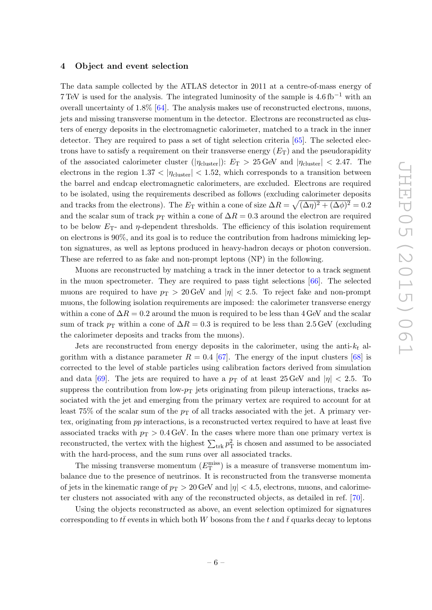#### 4 Object and event selection

The data sample collected by the ATLAS detector in 2011 at a centre-of-mass energy of 7 TeV is used for the analysis. The integrated luminosity of the sample is  $4.6\,\mathrm{fb}^{-1}$  with an overall uncertainty of 1.8% [\[64\]](#page-32-0). The analysis makes use of reconstructed electrons, muons, jets and missing transverse momentum in the detector. Electrons are reconstructed as clusters of energy deposits in the electromagnetic calorimeter, matched to a track in the inner detector. They are required to pass a set of tight selection criteria [\[65\]](#page-32-1). The selected electrons have to satisfy a requirement on their transverse energy  $(E_T)$  and the pseudorapidity of the associated calorimeter cluster ( $|\eta_{\text{cluster}}|$ ):  $E_T > 25 \,\text{GeV}$  and  $|\eta_{\text{cluster}}| < 2.47$ . The electrons in the region  $1.37 < |\eta_{\text{cluster}}| < 1.52$ , which corresponds to a transition between the barrel and endcap electromagnetic calorimeters, are excluded. Electrons are required to be isolated, using the requirements described as follows (excluding calorimeter deposits and tracks from the electrons). The  $E_T$  within a cone of size  $\Delta R = \sqrt{(\Delta \eta)^2 + (\Delta \phi)^2} = 0.2$ and the scalar sum of track  $p_T$  within a cone of  $\Delta R = 0.3$  around the electron are required to be below  $E_T$ - and  $\eta$ -dependent thresholds. The efficiency of this isolation requirement on electrons is 90%, and its goal is to reduce the contribution from hadrons mimicking lepton signatures, as well as leptons produced in heavy-hadron decays or photon conversion. These are referred to as fake and non-prompt leptons (NP) in the following.

Muons are reconstructed by matching a track in the inner detector to a track segment in the muon spectrometer. They are required to pass tight selections [\[66\]](#page-32-2). The selected muons are required to have  $p_T > 20 \,\text{GeV}$  and  $|\eta| < 2.5$ . To reject fake and non-prompt muons, the following isolation requirements are imposed: the calorimeter transverse energy within a cone of  $\Delta R = 0.2$  around the muon is required to be less than 4 GeV and the scalar sum of track  $p_T$  within a cone of  $\Delta R = 0.3$  is required to be less than 2.5 GeV (excluding the calorimeter deposits and tracks from the muons).

Jets are reconstructed from energy deposits in the calorimeter, using the anti- $k_t$  algorithm with a distance parameter  $R = 0.4$  [\[67\]](#page-32-3). The energy of the input clusters [\[68\]](#page-32-4) is corrected to the level of stable particles using calibration factors derived from simulation and data [\[69\]](#page-32-5). The jets are required to have a  $p<sub>T</sub>$  of at least 25 GeV and  $|\eta| < 2.5$ . To suppress the contribution from  $low-p_T$  jets originating from pileup interactions, tracks associated with the jet and emerging from the primary vertex are required to account for at least 75% of the scalar sum of the  $p<sub>T</sub>$  of all tracks associated with the jet. A primary vertex, originating from pp interactions, is a reconstructed vertex required to have at least five associated tracks with  $p_T > 0.4 \text{ GeV}$ . In the cases where more than one primary vertex is reconstructed, the vertex with the highest  $\sum_{\text{trk}} p_{\text{T}}^2$  is chosen and assumed to be associated with the hard-process, and the sum runs over all associated tracks.

The missing transverse momentum  $(E_T^{\text{miss}})$  is a measure of transverse momentum imbalance due to the presence of neutrinos. It is reconstructed from the transverse momenta of jets in the kinematic range of  $p_T > 20$  GeV and  $|\eta| < 4.5$ , electrons, muons, and calorimeter clusters not associated with any of the reconstructed objects, as detailed in ref. [\[70\]](#page-32-6).

Using the objects reconstructed as above, an event selection optimized for signatures corresponding to  $t\bar{t}$  events in which both W bosons from the  $t$  and  $\bar{t}$  quarks decay to leptons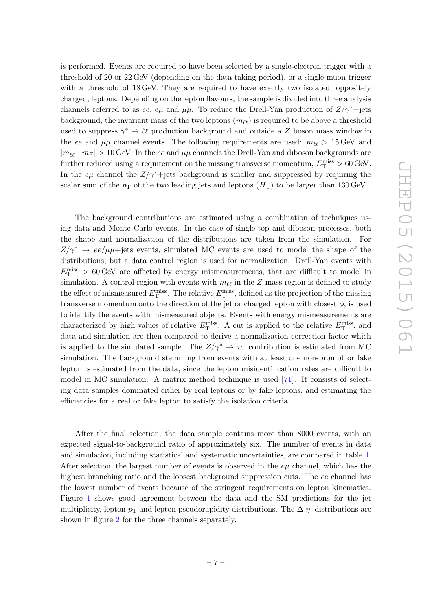<span id="page-8-0"></span>is performed. Events are required to have been selected by a single-electron trigger with a threshold of 20 or 22 GeV (depending on the data-taking period), or a single-muon trigger with a threshold of 18 GeV. They are required to have exactly two isolated, oppositely charged, leptons. Depending on the lepton flavours, the sample is divided into three analysis channels referred to as ee, e $\mu$  and  $\mu\mu$ . To reduce the Drell-Yan production of  $Z/\gamma^*$ +jets background, the invariant mass of the two leptons  $(m_{\ell\ell})$  is required to be above a threshold used to suppress  $\gamma^* \to \ell \ell$  production background and outside a Z boson mass window in the ee and  $\mu\mu$  channel events. The following requirements are used:  $m_{\ell\ell} > 15 \,\text{GeV}$  and  $|m_{\ell\ell}-m_Z| > 10$  GeV. In the ee and  $\mu\mu$  channels the Drell-Yan and diboson backgrounds are further reduced using a requirement on the missing transverse momentum,  $E_{\rm T}^{\rm miss} > 60\,\text{GeV}$ . In the  $e\mu$  channel the  $Z/\gamma^*$ +jets background is smaller and suppressed by requiring the scalar sum of the  $p<sub>T</sub>$  of the two leading jets and leptons  $(H<sub>T</sub>)$  to be larger than 130 GeV.

The background contributions are estimated using a combination of techniques using data and Monte Carlo events. In the case of single-top and diboson processes, both the shape and normalization of the distributions are taken from the simulation. For  $Z/\gamma^* \rightarrow ee/\mu\mu + \text{jets}$  events, simulated MC events are used to model the shape of the distributions, but a data control region is used for normalization. Drell-Yan events with  $E_{\rm T}^{\rm miss} > 60$  GeV are affected by energy mismeasurements, that are difficult to model in simulation. A control region with events with  $m_{\ell\ell}$  in the Z-mass region is defined to study the effect of mismeasured  $E_{\text{T}}^{\text{miss}}$ . The relative  $E_{\text{T}}^{\text{miss}}$ , defined as the projection of the missing transverse momentum onto the direction of the jet or charged lepton with closest  $\phi$ , is used to identify the events with mismeasured objects. Events with energy mismeasurements are characterized by high values of relative  $E_{\rm T}^{\rm miss}$ . A cut is applied to the relative  $E_{\rm T}^{\rm miss}$ , and data and simulation are then compared to derive a normalization correction factor which is applied to the simulated sample. The  $Z/\gamma^* \to \tau\tau$  contribution is estimated from MC simulation. The background stemming from events with at least one non-prompt or fake lepton is estimated from the data, since the lepton misidentification rates are difficult to model in MC simulation. A matrix method technique is used [\[71\]](#page-32-7). It consists of selecting data samples dominated either by real leptons or by fake leptons, and estimating the efficiencies for a real or fake lepton to satisfy the isolation criteria.

After the final selection, the data sample contains more than 8000 events, with an expected signal-to-background ratio of approximately six. The number of events in data and simulation, including statistical and systematic uncertainties, are compared in table [1](#page-10-1) . After selection, the largest number of events is observed in the  $e\mu$  channel, which has the highest branching ratio and the loosest background suppression cuts. The ee channel has the lowest number of events because of the stringent requirements on lepton kinematics. Figure [1](#page-8-0) shows good agreement between the data and the SM predictions for the jet multiplicity, lepton  $p_T$  and lepton pseudorapidity distributions. The  $\Delta |\eta|$  distributions are shown in figure [2](#page-9-0) for the three channels separately.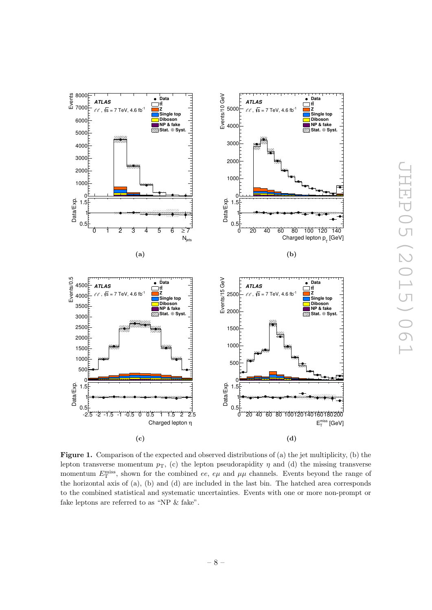<span id="page-9-0"></span>

Figure 1. Comparison of the expected and observed distributions of (a) the jet multiplicity, (b) the lepton transverse momentum  $p_T$ , (c) the lepton pseudorapidity  $\eta$  and (d) the missing transverse momentum  $E_{\rm T}^{\rm miss}$ , shown for the combined ee, e $\mu$  and  $\mu\mu$  channels. Events beyond the range of the horizontal axis of (a), (b) and (d) are included in the last bin. The hatched area corresponds to the combined statistical and systematic uncertainties. Events with one or more non-prompt or fake leptons are referred to as "NP & fake".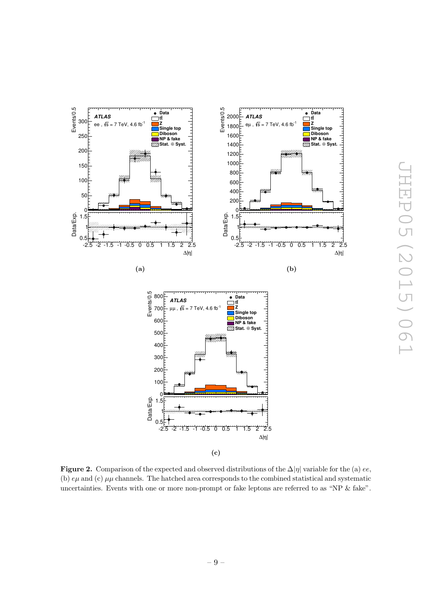<span id="page-10-1"></span>

<span id="page-10-0"></span>**Figure 2.** Comparison of the expected and observed distributions of the  $\Delta |\eta|$  variable for the (a) ee, (b)  $e\mu$  and (c)  $\mu\mu$  channels. The hatched area corresponds to the combined statistical and systematic uncertainties. Events with one or more non-prompt or fake leptons are referred to as "NP & fake".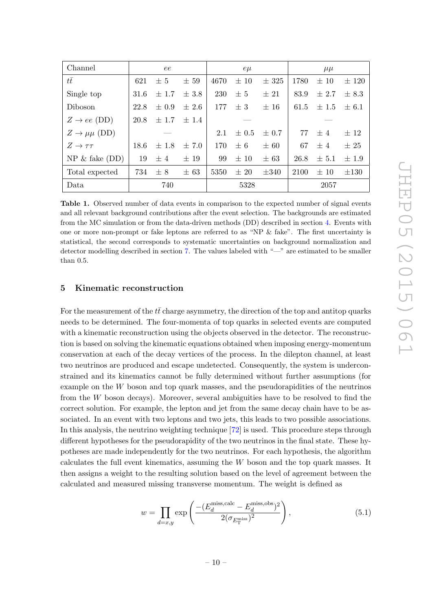| Channel                     |                                | ee        |           |      | $e\mu$    |           |      | $\mu\mu$  |           |
|-----------------------------|--------------------------------|-----------|-----------|------|-----------|-----------|------|-----------|-----------|
| $t\bar{t}$                  | 621                            | $\pm$ 5   | $\pm 59$  | 4670 | $\pm 10$  | $\pm$ 325 | 1780 | $\pm 10$  | $\pm$ 120 |
| Single top                  | 31.6                           | $\pm$ 1.7 | $\pm$ 3.8 | 230  | ± 5       | $\pm 21$  | 83.9 | $\pm 2.7$ | $\pm$ 8.3 |
| <b>Diboson</b>              | 22.8                           | $\pm 0.9$ | $\pm 2.6$ | 177  | $\pm$ 3   | $\pm$ 16  | 61.5 | $\pm$ 1.5 | $\pm$ 6.1 |
| $Z \rightarrow ee$ (DD)     | 20.8<br>$\pm$ 1.7<br>$\pm$ 1.4 |           |           |      |           |           |      |           |           |
| $Z \rightarrow \mu\mu$ (DD) |                                |           |           | 2.1  | $\pm 0.5$ | $\pm 0.7$ | 77   | ±4        | ± 12      |
| $Z \rightarrow \tau \tau$   | 18.6                           | $\pm$ 1.8 | $\pm 7.0$ | 170  | $\pm 6$   | $\pm 60$  | 67   | ±4        | $\pm 25$  |
| $NP \& false (DD)$          | 19                             | ±4        | $\pm$ 19  | 99   | $\pm 10$  | $\pm 63$  | 26.8 | $\pm$ 5.1 | $\pm 1.9$ |
| Total expected              | 734                            | $\pm$ 8   | $\pm 63$  | 5350 | $\pm 20$  | $\pm 340$ | 2100 | $\pm 10$  | $\pm 130$ |
| 740<br>Data                 |                                | 5328      |           |      | 2057      |           |      |           |           |

Table 1. Observed number of data events in comparison to the expected number of signal events and all relevant background contributions after the event selection. The backgrounds are estimated from the MC simulation or from the data-driven methods (DD) described in section [4.](#page-6-0) Events with one or more non-prompt or fake leptons are referred to as "NP & fake". The first uncertainty is statistical, the second corresponds to systematic uncertainties on background normalization and detector modelling described in section [7.](#page-16-0) The values labeled with "—" are estimated to be smaller than 0.5.

#### 5 Kinematic reconstruction

<span id="page-11-0"></span>For the measurement of the  $t\bar{t}$  charge asymmetry, the direction of the top and antitop quarks needs to be determined. The four-momenta of top quarks in selected events are computed with a kinematic reconstruction using the objects observed in the detector. The reconstruction is based on solving the kinematic equations obtained when imposing energy-momentum conservation at each of the decay vertices of the process. In the dilepton channel, at least two neutrinos are produced and escape undetected. Consequently, the system is underconstrained and its kinematics cannot be fully determined without further assumptions (for example on the W boson and top quark masses, and the pseudorapidities of the neutrinos from the W boson decays). Moreover, several ambiguities have to be resolved to find the correct solution. For example, the lepton and jet from the same decay chain have to be associated. In an event with two leptons and two jets, this leads to two possible associations. In this analysis, the neutrino weighting technique [\[72\]](#page-32-8) is used. This procedure steps through different hypotheses for the pseudorapidity of the two neutrinos in the final state. These hypotheses are made independently for the two neutrinos. For each hypothesis, the algorithm calculates the full event kinematics, assuming the W boson and the top quark masses. It then assigns a weight to the resulting solution based on the level of agreement between the calculated and measured missing transverse momentum. The weight is defined as

$$
w = \prod_{d=x,y} \exp\left(\frac{-(E_d^{\text{miss,calc}} - E_d^{\text{miss,obs}})^2}{2(\sigma_{E_{\text{T}}^{\text{miss}}})^2}\right),\tag{5.1}
$$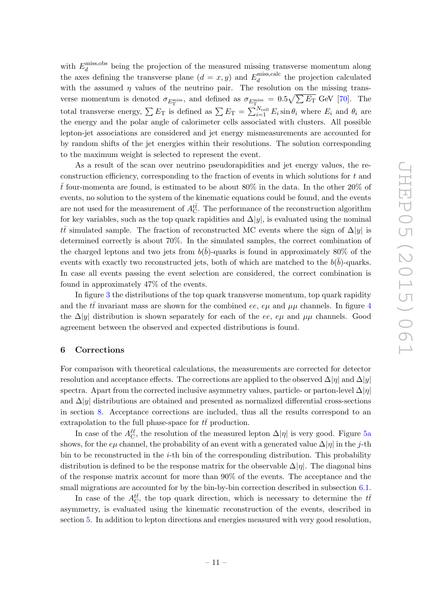<span id="page-12-0"></span>with  $E_d^{\text{miss,obs}}$  $\frac{d}{d}$  being the projection of the measured missing transverse momentum along the axes defining the transverse plane  $(d = x, y)$  and  $E_d^{\text{miss,calc}}$  $\frac{d}{d}$  the projection calculated with the assumed  $\eta$  values of the neutrino pair. The resolution on the missing transverse momentum is denoted  $\sigma_{E_{\rm T}^{\rm miss}}$ , and defined as  $\sigma_{E_{\rm T}^{\rm miss}} = 0.5 \sqrt{\sum E_{\rm T}}$  GeV [\[70\]](#page-32-6). The total transverse energy,  $\sum E_T$  is defined as  $\sum E_T = \sum_{i=1}^{N_{\text{cell}}} E_i \sin \theta_i$  where  $E_i$  and  $\theta_i$  are the energy and the polar angle of calorimeter cells associated with clusters. All possible lepton-jet associations are considered and jet energy mismeasurements are accounted for by random shifts of the jet energies within their resolutions. The solution corresponding to the maximum weight is selected to represent the event.

As a result of the scan over neutrino pseudorapidities and jet energy values, the reconstruction efficiency, corresponding to the fraction of events in which solutions for t and  $\bar{t}$  four-momenta are found, is estimated to be about 80% in the data. In the other 20% of events, no solution to the system of the kinematic equations could be found, and the events are not used for the measurement of  $A_{\text{C}}^{t\bar{t}}$ . The performance of the reconstruction algorithm for key variables, such as the top quark rapidities and  $\Delta|y|$ , is evaluated using the nominal  $t\bar{t}$  simulated sample. The fraction of reconstructed MC events where the sign of  $\Delta |y|$  is determined correctly is about 70%. In the simulated samples, the correct combination of the charged leptons and two jets from  $b(\bar{b})$ -quarks is found in approximately 80% of the events with exactly two reconstructed jets, both of which are matched to the  $b(\bar{b})$ -quarks. In case all events passing the event selection are considered, the correct combination is found in approximately 47% of the events.

In figure [3](#page-12-0) the distributions of the top quark transverse momentum, top quark rapidity and the  $t\bar{t}$  invariant mass are shown for the combined ee, e $\mu$  and  $\mu\mu$  channels. In figure [4](#page-13-0) the  $\Delta|y|$  distribution is shown separately for each of the ee, e $\mu$  and  $\mu\mu$  channels. Good agreement between the observed and expected distributions is found.

#### 6 Corrections

For comparison with theoretical calculations, the measurements are corrected for detector resolution and acceptance effects. The corrections are applied to the observed  $\Delta|\eta|$  and  $\Delta|y|$ spectra. Apart from the corrected inclusive asymmetry values, particle- or parton-level  $\Delta|\eta|$ and  $\Delta|y|$  distributions are obtained and presented as normalized differential cross-sections in section [8.](#page-20-0) Acceptance corrections are included, thus all the results correspond to an extrapolation to the full phase-space for  $t\bar{t}$  production.

In case of the  $A_{\text{C}}^{\ell\ell}$ , the resolution of the measured lepton  $\Delta|\eta|$  is very good. Figure [5a](#page-14-1) shows, for the  $e\mu$  channel, the probability of an event with a generated value  $\Delta |\eta|$  in the j-th bin to be reconstructed in the  $i$ -th bin of the corresponding distribution. This probability distribution is defined to be the response matrix for the observable  $\Delta|\eta|$ . The diagonal bins of the response matrix account for more than 90% of the events. The acceptance and the small migrations are accounted for by the bin-by-bin correction described in subsection [6.1](#page-14-0).

In case of the  $A_{\text{C}}^{t\bar{t}}$ , the top quark direction, which is necessary to determine the  $t\bar{t}$ asymmetry, is evaluated using the kinematic reconstruction of the events, described in section [5.](#page-10-0) In addition to lepton directions and energies measured with very good resolution,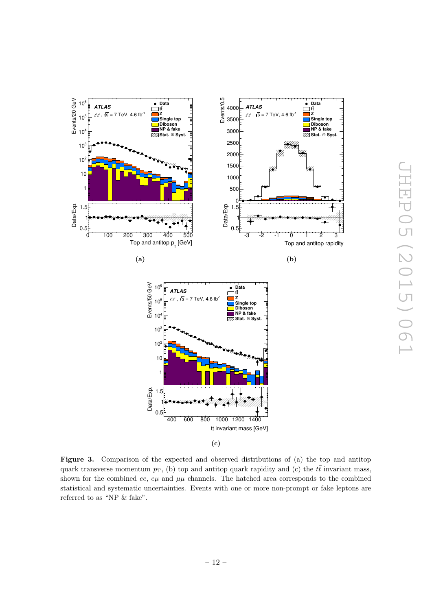<span id="page-13-0"></span>

Figure 3. Comparison of the expected and observed distributions of (a) the top and antitop quark transverse momentum  $p_T$ , (b) top and antitop quark rapidity and (c) the  $t\bar{t}$  invariant mass, shown for the combined ee,  $e\mu$  and  $\mu\mu$  channels. The hatched area corresponds to the combined statistical and systematic uncertainties. Events with one or more non-prompt or fake leptons are referred to as "NP  $\&$  fake".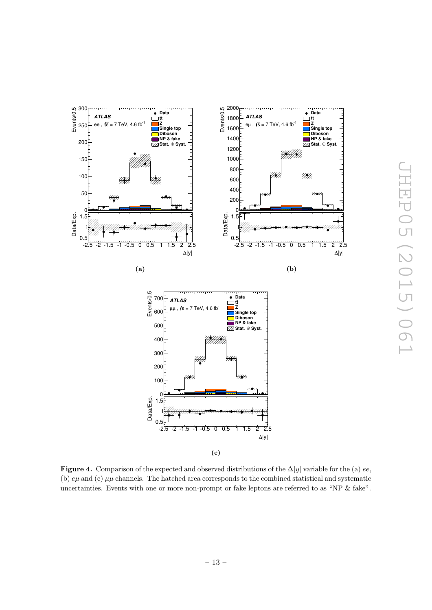<span id="page-14-4"></span><span id="page-14-2"></span><span id="page-14-1"></span>

<span id="page-14-3"></span><span id="page-14-0"></span>**Figure 4.** Comparison of the expected and observed distributions of the  $\Delta|y|$  variable for the (a) ee, (b)  $e\mu$  and (c)  $\mu\mu$  channels. The hatched area corresponds to the combined statistical and systematic uncertainties. Events with one or more non-prompt or fake leptons are referred to as "NP & fake".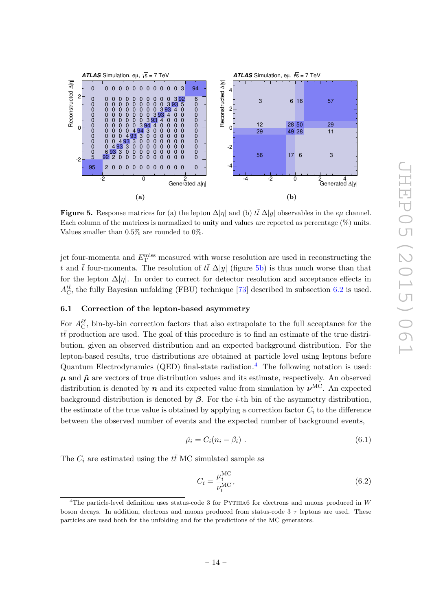

**Figure 5.** Response matrices for (a) the lepton  $\Delta |\eta|$  and (b)  $t\bar{t} \Delta |y|$  observables in the  $e\mu$  channel. Each column of the matrices is normalized to unity and values are reported as percentage (%) units. Values smaller than 0.5% are rounded to 0%.

<span id="page-15-0"></span>jet four-momenta and  $E_{\rm T}^{\rm miss}$  measured with worse resolution are used in reconstructing the t and  $\bar{t}$  four-momenta. The resolution of  $t\bar{t}$   $\Delta|y|$  (figure [5b\)](#page-14-2) is thus much worse than that for the lepton  $\Delta|\eta|$ . In order to correct for detector resolution and acceptance effects in  $A_{\text{C}}^{t\bar{t}}$ , the fully Bayesian unfolding (FBU) technique [\[73\]](#page-32-9) described in subsection [6.2](#page-15-0) is used.

#### 6.1 Correction of the lepton-based asymmetry

For  $A_{\rm C}^{\ell\ell}$ , bin-by-bin correction factors that also extrapolate to the full acceptance for the  $t\bar{t}$  production are used. The goal of this procedure is to find an estimate of the true distribution, given an observed distribution and an expected background distribution. For the lepton-based results, true distributions are obtained at particle level using leptons before Quantum Electrodynamics (QED) final-state radiation. [4](#page-14-3) The following notation is used:  $\mu$  and  $\hat{\mu}$  are vectors of true distribution values and its estimate, respectively. An observed distribution is denoted by  $n$  and its expected value from simulation by  $\nu^{\text{MC}}$ . An expected background distribution is denoted by  $\beta$ . For the *i*-th bin of the asymmetry distribution, the estimate of the true value is obtained by applying a correction factor  $C_i$  to the difference between the observed number of events and the expected number of background events,

$$
\hat{\mu}_i = C_i (n_i - \beta_i) \tag{6.1}
$$

The  $C_i$  are estimated using the  $t\bar{t}$  MC simulated sample as

$$
C_i = \frac{\mu_i^{\text{MC}}}{\nu_i^{\text{MC}}},\tag{6.2}
$$

<span id="page-15-1"></span><sup>&</sup>lt;sup>4</sup>The particle-level definition uses status-code 3 for PYTHIA6 for electrons and muons produced in W boson decays. In addition, electrons and muons produced from status-code  $3 \tau$  leptons are used. These particles are used both for the unfolding and for the predictions of the MC generators.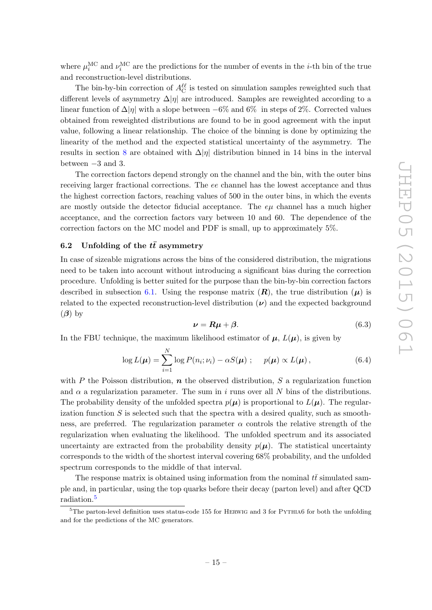where  $\mu_i^{\text{MC}}$  and  $\nu_i^{\text{MC}}$  are the predictions for the number of events in the *i*-th bin of the true and reconstruction-level distributions.

The bin-by-bin correction of  $A_C^{\ell\ell}$  is tested on simulation samples reweighted such that different levels of asymmetry  $\Delta|\eta|$  are introduced. Samples are reweighted according to a linear function of  $\Delta |\eta|$  with a slope between  $-6\%$  and  $6\%$  in steps of 2%. Corrected values obtained from reweighted distributions are found to be in good agreement with the input value, following a linear relationship. The choice of the binning is done by optimizing the linearity of the method and the expected statistical uncertainty of the asymmetry. The results in section [8](#page-20-0) are obtained with  $\Delta |\eta|$  distribution binned in 14 bins in the interval between  $-3$  and 3.

The correction factors depend strongly on the channel and the bin, with the outer bins receiving larger fractional corrections. The ee channel has the lowest acceptance and thus the highest correction factors, reaching values of 500 in the outer bins, in which the events are mostly outside the detector fiducial acceptance. The  $e\mu$  channel has a much higher acceptance, and the correction factors vary between 10 and 60. The dependence of the correction factors on the MC model and PDF is small, up to approximately 5%.

# 6.2 Unfolding of the  $t\bar{t}$  asymmetry

In case of sizeable migrations across the bins of the considered distribution, the migrations need to be taken into account without introducing a significant bias during the correction procedure. Unfolding is better suited for the purpose than the bin-by-bin correction factors described in subsection [6.1.](#page-14-0) Using the response matrix  $(R)$ , the true distribution  $(\mu)$  is related to the expected reconstruction-level distribution  $(\nu)$  and the expected background  $(\beta)$  by

$$
\nu = R\mu + \beta. \tag{6.3}
$$

<span id="page-16-0"></span>In the FBU technique, the maximum likelihood estimator of  $\mu$ ,  $L(\mu)$ , is given by

$$
\log L(\boldsymbol{\mu}) = \sum_{i=1}^{N} \log P(n_i; \nu_i) - \alpha S(\boldsymbol{\mu}) \; ; \quad p(\boldsymbol{\mu}) \propto L(\boldsymbol{\mu}) \,, \tag{6.4}
$$

with P the Poisson distribution,  $n$  the observed distribution, S a regularization function and  $\alpha$  a regularization parameter. The sum in i runs over all N bins of the distributions. The probability density of the unfolded spectra  $p(\mu)$  is proportional to  $L(\mu)$ . The regularization function  $S$  is selected such that the spectra with a desired quality, such as smoothness, are preferred. The regularization parameter  $\alpha$  controls the relative strength of the regularization when evaluating the likelihood. The unfolded spectrum and its associated uncertainty are extracted from the probability density  $p(\mu)$ . The statistical uncertainty corresponds to the width of the shortest interval covering 68% probability, and the unfolded spectrum corresponds to the middle of that interval.

The response matrix is obtained using information from the nominal  $t\bar{t}$  simulated sample and, in particular, using the top quarks before their decay (parton level) and after QCD radiation. [5](#page-15-1)

 $5$ The parton-level definition uses status-code 155 for HERWIG and 3 for PYTHIA6 for both the unfolding and for the predictions of the MC generators.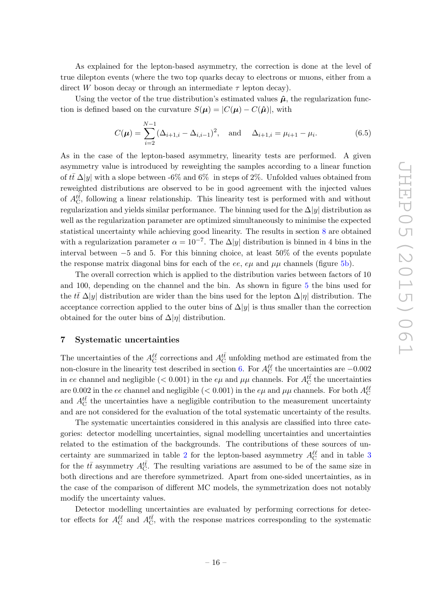<span id="page-17-0"></span>As explained for the lepton-based asymmetry, the correction is done at the level of true dilepton events (where the two top quarks decay to electrons or muons, either from a direct W boson decay or through an intermediate  $\tau$  lepton decay).

Using the vector of the true distribution's estimated values  $\hat{\mu}$ , the regularization function is defined based on the curvature  $S(\mu) = |C(\mu) - C(\hat{\mu})|$ , with

$$
C(\mu) = \sum_{i=2}^{N-1} (\Delta_{i+1,i} - \Delta_{i,i-1})^2, \text{ and } \Delta_{i+1,i} = \mu_{i+1} - \mu_i.
$$
 (6.5)

As in the case of the lepton-based asymmetry, linearity tests are performed. A given asymmetry value is introduced by reweighting the samples according to a linear function of  $t\bar{t} \Delta |y|$  with a slope between -6% and 6% in steps of 2%. Unfolded values obtained from reweighted distributions are observed to be in good agreement with the injected values of  $A_{\text{C}}^{t\bar{t}}$ , following a linear relationship. This linearity test is performed with and without regularization and yields similar performance. The binning used for the  $\Delta|y|$  distribution as well as the regularization parameter are optimized simultaneously to minimise the expected statistical uncertainty while achieving good linearity. The results in section [8](#page-20-0) are obtained with a regularization parameter  $\alpha = 10^{-7}$ . The  $\Delta |y|$  distribution is binned in 4 bins in the interval between −5 and 5. For this binning choice, at least 50% of the events populate the response matrix diagonal bins for each of the ee,  $e\mu$  and  $\mu\mu$  channels (figure [5b\)](#page-14-2).

The overall correction which is applied to the distribution varies between factors of 10 and 100, depending on the channel and the bin. As shown in figure [5](#page-14-4) the bins used for the  $t\bar{t}$   $\Delta|y|$  distribution are wider than the bins used for the lepton  $\Delta|\eta|$  distribution. The acceptance correction applied to the outer bins of  $\Delta|y|$  is thus smaller than the correction obtained for the outer bins of  $\Delta|\eta|$  distribution.

#### <span id="page-17-1"></span>7 Systematic uncertainties

The uncertainties of the  $A_C^{\ell\ell}$  corrections and  $A_C^{t\bar t}$  unfolding method are estimated from the non-closure in the linearity test described in section [6.](#page-11-0) For  $A_C^{ll}$  the uncertainties are  $-0.002$ in ee channel and negligible ( $< 0.001$ ) in the e $\mu$  and  $\mu\mu$  channels. For  $A_C^{t\bar{t}}$  the uncertainties are 0.002 in the ee channel and negligible ( $< 0.001$ ) in the  $e\mu$  and  $\mu\mu$  channels. For both  $A_C^{\ell\ell}$ and  $A_{\text{C}}^{t\bar{t}}$  the uncertainties have a negligible contribution to the measurement uncertainty and are not considered for the evaluation of the total systematic uncertainty of the results.

The systematic uncertainties considered in this analysis are classified into three categories: detector modelling uncertainties, signal modelling uncertainties and uncertainties related to the estimation of the backgrounds. The contributions of these sources of un-certainty are summarized in table [2](#page-17-0) for the lepton-based asymmetry  $A_C^{\ell\ell}$  and in table [3](#page-17-1) for the  $t\bar{t}$  asymmetry  $A_{\text{C}}^{t\bar{t}}$ . The resulting variations are assumed to be of the same size in both directions and are therefore symmetrized. Apart from one-sided uncertainties, as in the case of the comparison of different MC models, the symmetrization does not notably modify the uncertainty values.

Detector modelling uncertainties are evaluated by performing corrections for detector effects for  $A_C^{\ell\ell}$  and  $A_C^{t\bar{t}}$ , with the response matrices corresponding to the systematic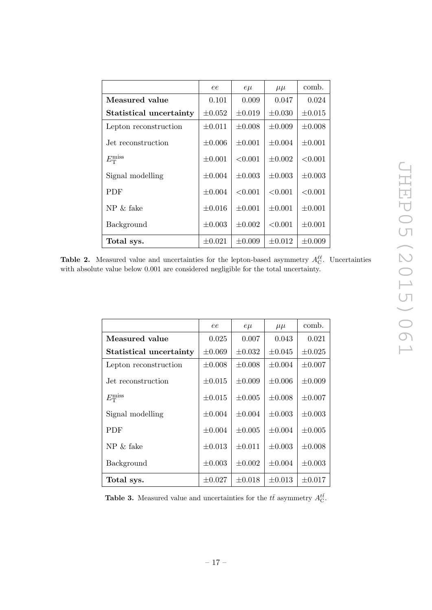|                         | ee          | $e\mu$      | $\mu\mu$    | comb.       |
|-------------------------|-------------|-------------|-------------|-------------|
| Measured value          | 0.101       | 0.009       | 0.047       | 0.024       |
| Statistical uncertainty | $\pm 0.052$ | $\pm 0.019$ | $\pm 0.030$ | $\pm 0.015$ |
| Lepton reconstruction   | $\pm 0.011$ | $\pm 0.008$ | $\pm 0.009$ | $\pm 0.008$ |
| Jet reconstruction      | $\pm 0.006$ | $\pm 0.001$ | $\pm 0.004$ | $\pm 0.001$ |
| $E_{\rm T}^{\rm miss}$  | $\pm 0.001$ | < 0.001     | $\pm 0.002$ | < 0.001     |
| Signal modelling        | $\pm 0.004$ | $\pm 0.003$ | $\pm 0.003$ | $\pm 0.003$ |
| <b>PDF</b>              | $\pm 0.004$ | < 0.001     | < 0.001     | < 0.001     |
| $NP \& false$           | $\pm 0.016$ | $\pm 0.001$ | $\pm 0.001$ | $\pm 0.001$ |
| Background              | $\pm 0.003$ | $\pm 0.002$ | < 0.001     | $\pm 0.001$ |
| Total sys.              | $\pm 0.021$ | $\pm 0.009$ | $\pm 0.012$ | $\pm 0.009$ |

**Table 2.** Measured value and uncertainties for the lepton-based asymmetry  $A_{\rm C}^{\ell\ell}$ . Uncertainties with absolute value below 0.001 are considered negligible for the total uncertainty.

|                         | ee          | $e\mu$      | $\mu\mu$    | comb.       |
|-------------------------|-------------|-------------|-------------|-------------|
| Measured value          | 0.025       | 0.007       | 0.043       | 0.021       |
| Statistical uncertainty | $\pm 0.069$ | $\pm 0.032$ | $\pm 0.045$ | $\pm 0.025$ |
| Lepton reconstruction   | $\pm 0.008$ | $\pm 0.008$ | $\pm 0.004$ | $\pm 0.007$ |
| Jet reconstruction      | $\pm 0.015$ | $\pm 0.009$ | $\pm 0.006$ | $\pm 0.009$ |
| $E_{\rm T}^{\rm miss}$  | $\pm 0.015$ | $\pm 0.005$ | $\pm 0.008$ | $\pm 0.007$ |
| Signal modelling        | $\pm 0.004$ | $\pm 0.004$ | $\pm 0.003$ | $\pm 0.003$ |
| <b>PDF</b>              | $\pm 0.004$ | $\pm 0.005$ | $\pm 0.004$ | $\pm 0.005$ |
| $NP \& false$           | $\pm 0.013$ | $\pm 0.011$ | $\pm 0.003$ | $\pm 0.008$ |
| <b>Background</b>       | $\pm 0.003$ | $\pm 0.002$ | $\pm 0.004$ | $\pm 0.003$ |
| Total sys.              | $\pm 0.027$ | $\pm 0.018$ | $\pm 0.013$ | $\pm 0.017$ |

**Table 3.** Measured value and uncertainties for the  $t\bar{t}$  asymmetry  $A_C^{t\bar{t}}$ .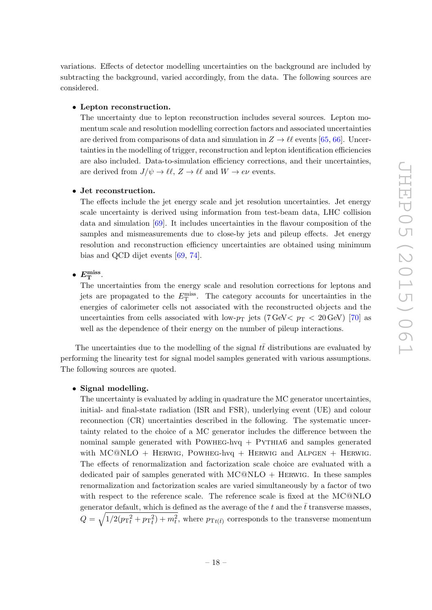variations. Effects of detector modelling uncertainties on the background are included by subtracting the background, varied accordingly, from the data. The following sources are considered.

#### • Lepton reconstruction.

The uncertainty due to lepton reconstruction includes several sources. Lepton momentum scale and resolution modelling correction factors and associated uncertainties are derived from comparisons of data and simulation in  $Z \to \ell \ell$  events [\[65](#page-32-1), [66\]](#page-32-2). Uncertainties in the modelling of trigger, reconstruction and lepton identification efficiencies are also included. Data-to-simulation efficiency corrections, and their uncertainties, are derived from  $J/\psi \to \ell \ell$ ,  $Z \to \ell \ell$  and  $W \to e\nu$  events.

#### • Jet reconstruction.

The effects include the jet energy scale and jet resolution uncertainties. Jet energy scale uncertainty is derived using information from test-beam data, LHC collision data and simulation [\[69\]](#page-32-5). It includes uncertainties in the flavour composition of the samples and mismeasurements due to close-by jets and pileup effects. Jet energy resolution and reconstruction efficiency uncertainties are obtained using minimum bias and QCD dijet events [\[69](#page-32-5) , [74\]](#page-32-10).

# •  $E_{\rm T}^{\rm miss}$ .

The uncertainties from the energy scale and resolution corrections for leptons and jets are propagated to the  $E_{\rm T}^{\rm miss}$ . The category accounts for uncertainties in the energies of calorimeter cells not associated with the reconstructed objects and the uncertainties from cells associated with low- $p<sub>T</sub>$  jets (7 GeV  $p<sub>T</sub>$   $\lt$  20 GeV) [\[70\]](#page-32-6) as well as the dependence of their energy on the number of pileup interactions.

The uncertainties due to the modelling of the signal  $t\bar{t}$  distributions are evaluated by performing the linearity test for signal model samples generated with various assumptions. The following sources are quoted.

#### • Signal modelling.

The uncertainty is evaluated by adding in quadrature the MC generator uncertainties, initial- and final-state radiation (ISR and FSR), underlying event (UE) and colour reconnection (CR) uncertainties described in the following. The systematic uncertainty related to the choice of a MC generator includes the difference between the nominal sample generated with POWHEG-hvq  $+$  PYTHIA6 and samples generated with MC@NLO + HERWIG, POWHEG-hvq + HERWIG and ALPGEN + HERWIG. The effects of renormalization and factorization scale choice are evaluated with a dedicated pair of samples generated with  $MC@NLO + HERWIG$ . In these samples renormalization and factorization scales are varied simultaneously by a factor of two with respect to the reference scale. The reference scale is fixed at the MC@NLO generator default, which is defined as the average of the t and the  $\bar{t}$  transverse masses,  $Q = \sqrt{1/2(p_{\rm T}^2_t + p_{\rm T}^2_t) + m_t^2}$ , where  $p_{\rm Tt(\bar{t})}$  corresponds to the transverse momentum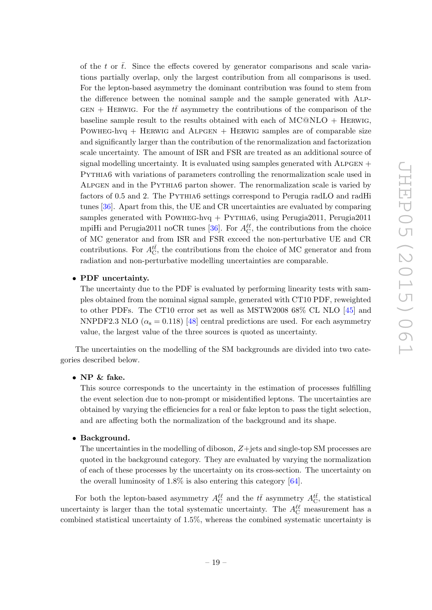of the t or  $\bar{t}$ . Since the effects covered by generator comparisons and scale variations partially overlap, only the largest contribution from all comparisons is used. For the lepton-based asymmetry the dominant contribution was found to stem from the difference between the nominal sample and the sample generated with Alp-GEN + HERWIG. For the  $t\bar{t}$  asymmetry the contributions of the comparison of the baseline sample result to the results obtained with each of  $MCOMLO + HERWIG$ , POWHEG-hvq + HERWIG and ALPGEN + HERWIG samples are of comparable size and significantly larger than the contribution of the renormalization and factorization scale uncertainty. The amount of ISR and FSR are treated as an additional source of signal modelling uncertainty. It is evaluated using samples generated with  $ALPGEN +$ Pythia6 with variations of parameters controlling the renormalization scale used in Alpgen and in the Pythia6 parton shower. The renormalization scale is varied by factors of 0.5 and 2. The PYTHIA6 settings correspond to Perugia radLO and radHi tunes [\[36\]](#page-30-7). Apart from this, the UE and CR uncertainties are evaluated by comparing samples generated with POWHEG-hvq  $+$  PYTHIA6, using Perugia2011, Perugia2011 mpiHi and Perugia2011 noCR tunes [\[36\]](#page-30-7). For  $A_{\rm C}^{\ell\ell}$ , the contributions from the choice of MC generator and from ISR and FSR exceed the non-perturbative UE and CR contributions. For  $A_{\rm C}^{t\bar t}$ , the contributions from the choice of MC generator and from radiation and non-perturbative modelling uncertainties are comparable.

#### <span id="page-20-0"></span>• PDF uncertainty.

The uncertainty due to the PDF is evaluated by performing linearity tests with samples obtained from the nominal signal sample, generated with CT10 PDF, reweighted to other PDFs. The CT10 error set as well as MSTW2008 68% CL NLO [\[45\]](#page-30-12) and NNPDF2.3 NLO ( $\alpha_s = 0.118$ ) [\[48\]](#page-31-1) central predictions are used. For each asymmetry value, the largest value of the three sources is quoted as uncertainty.

The uncertainties on the modelling of the SM backgrounds are divided into two categories described below.

• NP & fake.

This source corresponds to the uncertainty in the estimation of processes fulfilling the event selection due to non-prompt or misidentified leptons. The uncertainties are obtained by varying the efficiencies for a real or fake lepton to pass the tight selection, and are affecting both the normalization of the background and its shape.

#### • Background.

The uncertainties in the modelling of diboson, Z+jets and single-top SM processes are quoted in the background category. They are evaluated by varying the normalization of each of these processes by the uncertainty on its cross-section. The uncertainty on the overall luminosity of 1.8% is also entering this category  $[64]$ .

For both the lepton-based asymmetry  $A_C^{\ell\ell}$  and the  $t\bar{t}$  asymmetry  $A_C^{t\bar{t}}$ , the statistical uncertainty is larger than the total systematic uncertainty. The  $A_{\rm C}^{\ell\ell}$  measurement has a combined statistical uncertainty of 1.5%, whereas the combined systematic uncertainty is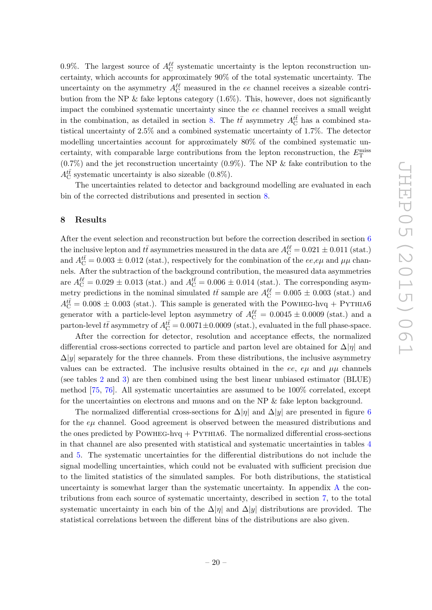<span id="page-21-0"></span>0.9%. The largest source of  $A_{\rm C}^{\ell\ell}$  systematic uncertainty is the lepton reconstruction uncertainty, which accounts for approximately 90% of the total systematic uncertainty. The uncertainty on the asymmetry  $A_C^{\ell\ell}$  measured in the ee channel receives a sizeable contribution from the NP  $\&$  fake leptons category (1.6%). This, however, does not significantly impact the combined systematic uncertainty since the ee channel receives a small weight in the combination, as detailed in section [8.](#page-20-0) The  $t\bar{t}$  asymmetry  $A_C^{t\bar{t}}$  has a combined statistical uncertainty of 2.5% and a combined systematic uncertainty of 1.7%. The detector modelling uncertainties account for approximately 80% of the combined systematic uncertainty, with comparable large contributions from the lepton reconstruction, the  $E_T^{\text{miss}}$  $(0.7\%)$  and the jet reconstruction uncertainty  $(0.9\%)$ . The NP & fake contribution to the  $A_{\rm C}^{t\bar t}$  systematic uncertainty is also sizeable (0.8%).

The uncertainties related to detector and background modelling are evaluated in each bin of the corrected distributions and presented in section [8](#page-20-0) .

#### 8 Results

After the event selection and reconstruction but before the correction described in section [6](#page-11-0) the inclusive lepton and  $t\bar{t}$  asymmetries measured in the data are  $A_C^{\ell\ell} = 0.021 \pm 0.011$  (stat.) and  $A_{\rm C}^{t\bar{t}} = 0.003 \pm 0.012$  (stat.), respectively for the combination of the  $ee, e\mu$  and  $\mu\mu$  channels. After the subtraction of the background contribution, the measured data asymmetries are  $A_C^{\ell\ell} = 0.029 \pm 0.013$  (stat.) and  $A_C^{t\bar{t}} = 0.006 \pm 0.014$  (stat.). The corresponding asymmetry predictions in the nominal simulated  $t\bar{t}$  sample are  $A_C^{\ell\ell} = 0.005 \pm 0.003$  (stat.) and  $A_{\rm C}^{tt} = 0.008 \pm 0.003$  (stat.). This sample is generated with the POWHEG-hvq + PYTHIA6 generator with a particle-level lepton asymmetry of  $A_C^{\ell\ell} = 0.0045 \pm 0.0009$  (stat.) and a parton-level  $t\bar{t}$  asymmetry of  $A_C^{t\bar{t}} = 0.0071 \pm 0.0009$  (stat.), evaluated in the full phase-space.

<span id="page-21-1"></span>After the correction for detector, resolution and acceptance effects, the normalized differential cross-sections corrected to particle and parton level are obtained for  $\Delta|\eta|$  and  $\Delta|y|$  separately for the three channels. From these distributions, the inclusive asymmetry values can be extracted. The inclusive results obtained in the ee,  $e\mu$  and  $\mu\mu$  channels (see tables [2](#page-17-0) and [3\)](#page-17-1) are then combined using the best linear unbiased estimator (BLUE) method [\[75](#page-32-11) , [76\]](#page-32-12). All systematic uncertainties are assumed to be 100% correlated, except for the uncertainties on electrons and muons and on the NP & fake lepton background.

The normalized differential cross-sections for  $\Delta |\eta|$  and  $\Delta |y|$  are presented in figure [6](#page-21-0) for the  $e\mu$  channel. Good agreement is observed between the measured distributions and the ones predicted by  $P$ OWHEG-hvq  $+$  PYTHIA6. The normalized differential cross-sections in that channel are also presented with statistical and systematic uncertainties in tables [4](#page-21-1) and [5.](#page-22-0) The systematic uncertainties for the differential distributions do not include the signal modelling uncertainties, which could not be evaluated with sufficient precision due to the limited statistics of the simulated samples. For both distributions, the statistical uncertainty is somewhat larger than the systematic uncertainty. In appendix [A](#page-25-0) the contributions from each source of systematic uncertainty, described in section [7,](#page-16-0) to the total systematic uncertainty in each bin of the  $\Delta|\eta|$  and  $\Delta|y|$  distributions are provided. The statistical correlations between the different bins of the distributions are also given.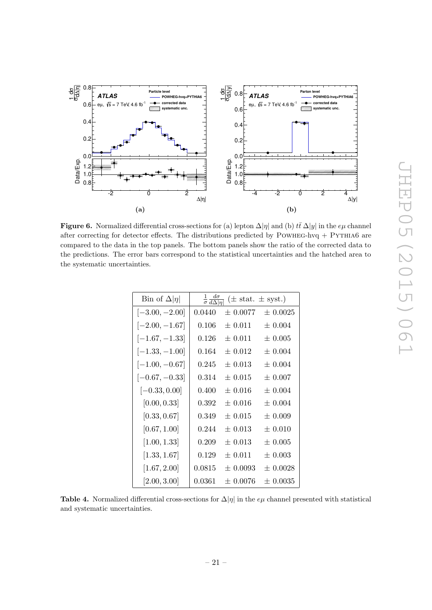<span id="page-22-0"></span>

<span id="page-22-2"></span><span id="page-22-1"></span>**Figure 6.** Normalized differential cross-sections for (a) lepton  $\Delta |\eta|$  and (b)  $t\bar{t} \Delta |y|$  in the  $e\mu$  channel after correcting for detector effects. The distributions predicted by POWHEG-hvq  $+$  PYTHIA6 are compared to the data in the top panels. The bottom panels show the ratio of the corrected data to the predictions. The error bars correspond to the statistical uncertainties and the hatched area to the systematic uncertainties.

| Bin of $\Delta  \eta $ | $rac{1}{\sigma} \frac{d\sigma}{d\Delta  n}$ | $(\pm \text{ stat.} \pm \text{syst.})$ |              |
|------------------------|---------------------------------------------|----------------------------------------|--------------|
| $[-3.00, -2.00]$       | 0.0440                                      | $\pm 0.0077$                           | $\pm 0.0025$ |
| $[-2.00, -1.67]$       | 0.106                                       | $\pm 0.011$                            | $\pm 0.004$  |
| $[-1.67, -1.33]$       | 0.126                                       | $\pm 0.011$                            | $\pm 0.005$  |
| $[-1.33, -1.00]$       | 0.164                                       | $\pm 0.012$                            | $\pm 0.004$  |
| $[-1.00, -0.67]$       | 0.245                                       | $\pm 0.013$                            | $\pm 0.004$  |
| $[-0.67, -0.33]$       | 0.314                                       | $\pm 0.015$                            | $\pm 0.007$  |
| $[-0.33, 0.00]$        | 0.400                                       | $\pm 0.016$                            | $\pm 0.004$  |
| [0.00, 0.33]           | 0.392                                       | $+0.016$                               | $+0.004$     |
| [0.33, 0.67]           | 0.349                                       | $\pm 0.015$                            | $\pm$ 0.009  |
| [0.67, 1.00]           | 0.244                                       | $\pm$ 0.013                            | $\pm 0.010$  |
| [1.00, 1.33]           | 0.209                                       | $\pm 0.013$                            | $\pm$ 0.005  |
| [1.33, 1.67]           | 0.129                                       | $+0.011$                               | $\pm 0.003$  |
| [1.67, 2.00]           | $\, 0.0815\,$                               | $\pm$ 0.0093                           | $\pm$ 0.0028 |
| [2.00, 3.00]           | 0.0361                                      | $\pm$ 0.0076                           | $\pm$ 0.0035 |

Table 4. Normalized differential cross-sections for  $\Delta|\eta|$  in the  $e\mu$  channel presented with statistical and systematic uncertainties.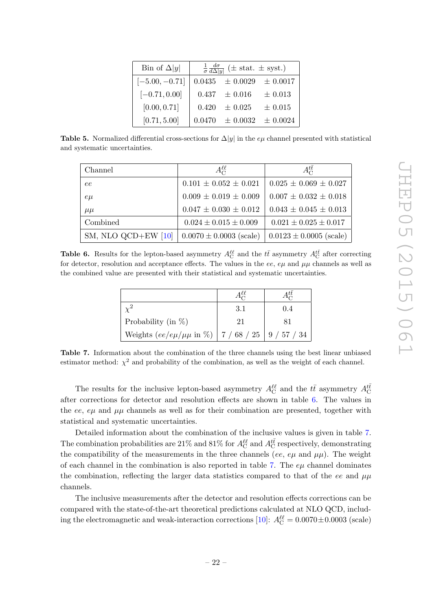<span id="page-23-0"></span>

| Bin of $\Delta  y $ |       | $\frac{1}{\sigma} \frac{d\sigma}{d\Delta y }$ (± stat. ± syst.) |             |
|---------------------|-------|-----------------------------------------------------------------|-------------|
| $[-5.00, -0.71]$    |       | $0.0435 \pm 0.0029 \pm 0.0017$                                  |             |
| $[-0.71, 0.00]$     |       | $0.437 \pm 0.016$                                               | $\pm 0.013$ |
| [0.00, 0.71]        | 0.420 | $\pm$ 0.025                                                     | $\pm$ 0.015 |
| [0.71, 5.00]        |       | $0.0470 \pm 0.0032 \pm 0.0024$                                  |             |

Table 5. Normalized differential cross-sections for  $\Delta|y|$  in the  $e\mu$  channel presented with statistical and systematic uncertainties.

| Channel               | $A^{\ell\ell}_{C}$          | $A_{C}^{tt}$                |
|-----------------------|-----------------------------|-----------------------------|
| ee                    | $0.101 \pm 0.052 \pm 0.021$ | $0.025 \pm 0.069 \pm 0.027$ |
| $e\mu$                | $0.009 \pm 0.019 \pm 0.009$ | $0.007 \pm 0.032 \pm 0.018$ |
| $\mu\mu$              | $0.047 \pm 0.030 \pm 0.012$ | $0.043 \pm 0.045 \pm 0.013$ |
| Combined              | $0.024 \pm 0.015 \pm 0.009$ | $0.021 \pm 0.025 \pm 0.017$ |
| SM, NLO QCD+EW $[10]$ | $0.0070 \pm 0.0003$ (scale) | $0.0123 \pm 0.0005$ (scale) |

**Table 6.** Results for the lepton-based asymmetry  $A_C^{\ell\ell}$  and the  $t\bar{t}$  asymmetry  $A_C^{t\bar{t}}$  after correcting for detector, resolution and acceptance effects. The values in the ee,  $e\mu$  and  $\mu\mu$  channels as well as the combined value are presented with their statistical and systematic uncertainties.

|                                                             | 3.1 | 0.4 |
|-------------------------------------------------------------|-----|-----|
| Probability (in $\%$ )                                      | 21  | 81  |
| Weights $(ee/e\mu/\mu\mu$ in %)   7 / 68 / 25   9 / 57 / 34 |     |     |

Table 7. Information about the combination of the three channels using the best linear unbiased estimator method:  $\chi^2$  and probability of the combination, as well as the weight of each channel.

The results for the inclusive lepton-based asymmetry  $A_C^{\ell\ell}$  and the  $t\bar{t}$  asymmetry  $A_C^{t\bar{t}}$ after corrections for detector and resolution effects are shown in table [6.](#page-22-1) The values in the ee,  $e\mu$  and  $\mu\mu$  channels as well as for their combination are presented, together with statistical and systematic uncertainties.

Detailed information about the combination of the inclusive values is given in table [7](#page-22-2) . The combination probabilities are 21% and 81% for  $A_C^{\ell\ell}$  and  $A_C^{t\bar t}$  respectively, demonstrating the compatibility of the measurements in the three channels (ee,  $e\mu$  and  $\mu\mu$ ). The weight of each channel in the combination is also reported in table [7.](#page-22-2) The  $e\mu$  channel dominates the combination, reflecting the larger data statistics compared to that of the ee and  $\mu\mu$ channels.

The inclusive measurements after the detector and resolution effects corrections can be compared with the state-of-the-art theoretical predictions calculated at NLO QCD, includ-ing the electromagnetic and weak-interaction corrections [\[10\]](#page-28-4):  $A_C^{\ell\ell} = 0.0070 \pm 0.0003$  (scale)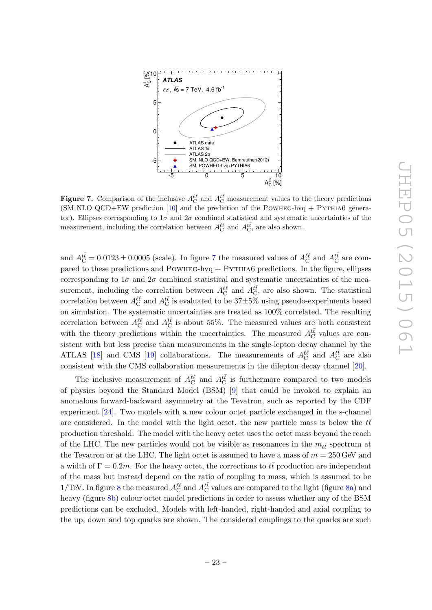<span id="page-24-3"></span><span id="page-24-2"></span><span id="page-24-1"></span>

**Figure 7.** Comparison of the inclusive  $A_C^{\ell\ell}$  and  $A_C^{t\bar{t}}$  measurement values to the theory predictions (SM NLO QCD+EW prediction  $[10]$  and the prediction of the POWHEG-hvq + PYTHIA6 generator). Ellipses corresponding to  $1\sigma$  and  $2\sigma$  combined statistical and systematic uncertainties of the measurement, including the correlation between  $A_C^{\ell\ell}$  and  $A_C^{t\bar t}$ , are also shown.

and  $A_C^{t\bar{t}} = 0.0123 \pm 0.0005$  (scale). In figure [7](#page-23-0) the measured values of  $A_C^{t\ell}$  and  $A_C^{t\bar{t}}$  are compared to these predictions and  $POWHEG-hvq + PYTHIA6$  predictions. In the figure, ellipses corresponding to  $1\sigma$  and  $2\sigma$  combined statistical and systematic uncertainties of the measurement, including the correlation between  $A_C^{\ell\ell}$  and  $A_C^{t\bar{t}}$ , are also shown. The statistical correlation between  $A_C^{\ell\ell}$  and  $A_C^{t\bar t}$  is evaluated to be  $37\pm5\%$  using pseudo-experiments based on simulation. The systematic uncertainties are treated as 100% correlated. The resulting correlation between  $A_C^{\ell\ell}$  and  $A_C^{t\bar{t}}$  is about 55%. The measured values are both consistent with the theory predictions within the uncertainties. The measured  $A_C^{t\bar{t}}$  values are consistent with but less precise than measurements in the single-lepton decay channel by the ATLAS [\[18\]](#page-29-3) and CMS [\[19\]](#page-29-4) collaborations. The measurements of  $A_C^{\ell\ell}$  and  $A_C^{t\bar{t}}$  are also consistent with the CMS collaboration measurements in the dilepton decay channel [\[20\]](#page-29-5).

<span id="page-24-0"></span>The inclusive measurement of  $A_C^{\ell\ell}$  and  $A_C^{t\bar t}$  is furthermore compared to two models of physics beyond the Standard Model (BSM) [ [9\]](#page-28-3) that could be invoked to explain an anomalous forward-backward asymmetry at the Tevatron, such as reported by the CDF experiment [\[24\]](#page-29-9). Two models with a new colour octet particle exchanged in the s-channel are considered. In the model with the light octet, the new particle mass is below the  $t\bar{t}$ production threshold. The model with the heavy octet uses the octet mass beyond the reach of the LHC. The new particles would not be visible as resonances in the  $m_{t\bar{t}}$  spectrum at the Tevatron or at the LHC. The light octet is assumed to have a mass of  $m = 250 \,\text{GeV}$  and a width of  $\Gamma = 0.2m$ . For the heavy octet, the corrections to  $t\bar{t}$  production are independent of the mass but instead depend on the ratio of coupling to mass, which is assumed to be 1/TeV. In figure [8](#page-24-1) the measured  $A_C^{ll}$  and  $A_C^{t\bar{t}}$  values are compared to the light (figure [8a\)](#page-24-2) and heavy (figure [8b\)](#page-24-3) colour octet model predictions in order to assess whether any of the BSM predictions can be excluded. Models with left-handed, right-handed and axial coupling to the up, down and top quarks are shown. The considered couplings to the quarks are such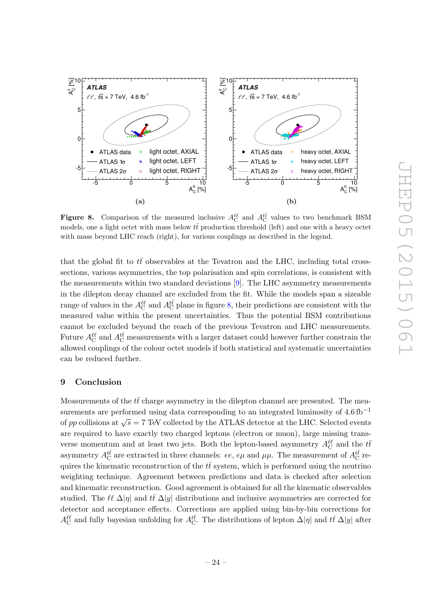

**Figure 8.** Comparison of the measured inclusive  $A_C^{\ell\ell}$  and  $A_C^{t\bar{t}}$  values to two benchmark BSM models, one a light octet with mass below  $t\bar{t}$  production threshold (left) and one with a heavy octet with mass beyond LHC reach (right), for various couplings as described in the legend.

that the global fit to  $t\bar{t}$  observables at the Tevatron and the LHC, including total crosssections, various asymmetries, the top polarisation and spin correlations, is consistent with the measurements within two standard deviations [ [9\]](#page-28-3). The LHC asymmetry measurements in the dilepton decay channel are excluded from the fit. While the models span a sizeable range of values in the  $A_C^{\ell\ell}$  and  $A_C^{t\bar t}$  plane in figure [8,](#page-24-1) their predictions are consistent with the measured value within the present uncertainties. Thus the potential BSM contributions cannot be excluded beyond the reach of the previous Tevatron and LHC measurements. Future  $A_C^{\ell\ell}$  and  $A_C^{t\bar t}$  measurements with a larger dataset could however further constrain the allowed couplings of the colour octet models if both statistical and systematic uncertainties can be reduced further.

#### 9 Conclusion

<span id="page-25-0"></span>Measurements of the  $t\bar{t}$  charge asymmetry in the dilepton channel are presented. The measurements are performed using data corresponding to an integrated luminosity of  $4.6 \text{ fb}^{-1}$ of pp collisions at  $\sqrt{s} = 7$  TeV collected by the ATLAS detector at the LHC. Selected events are required to have exactly two charged leptons (electron or muon), large missing transverse momentum and at least two jets. Both the lepton-based asymmetry  $A_C^{\ell\ell}$  and the  $t\bar{t}$ asymmetry  $A_C^{t\bar t}$  are extracted in three channels: ee, e $\mu$  and  $\mu\mu$ . The measurement of  $A_C^{t\bar t}$  requires the kinematic reconstruction of the  $t\bar{t}$  system, which is performed using the neutrino weighting technique. Agreement between predictions and data is checked after selection and kinematic reconstruction. Good agreement is obtained for all the kinematic observables studied. The  $\ell\ell \Delta |\eta|$  and  $t\bar{t} \Delta |y|$  distributions and inclusive asymmetries are corrected for detector and acceptance effects. Corrections are applied using bin-by-bin corrections for  $A_C^{\ell\ell}$  and fully bayesian unfolding for  $A_C^{t\bar{t}}$ . The distributions of lepton  $\Delta|\eta|$  and  $t\bar{t} \Delta|y|$  after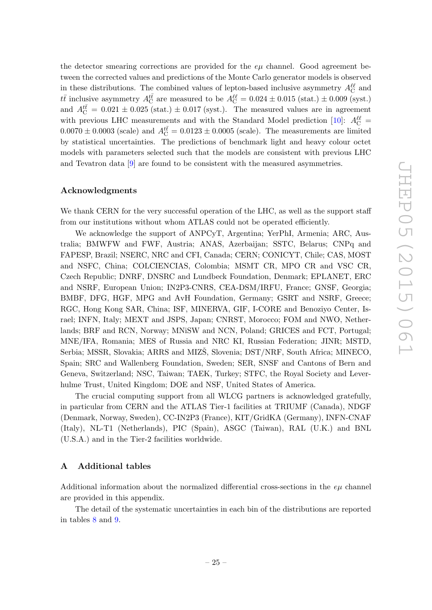<span id="page-26-0"></span>the detector smearing corrections are provided for the  $e\mu$  channel. Good agreement between the corrected values and predictions of the Monte Carlo generator models is observed in these distributions. The combined values of lepton-based inclusive asymmetry  $A_C^{\ell\ell}$  and  $t\bar{t}$  inclusive asymmetry  $A_C^{t\bar{t}}$  are measured to be  $A_C^{l\ell} = 0.024 \pm 0.015$  (stat.)  $\pm 0.009$  (syst.) and  $A_{\rm C}^{t\bar t}=0.021\pm0.025$  (stat.)  $\pm 0.017$  (syst.). The measured values are in agreement with previous LHC measurements and with the Standard Model prediction [\[10\]](#page-28-4):  $A_C^{\ell\ell}$  =  $0.0070 \pm 0.0003$  (scale) and  $A_{\rm C}^{t\bar{t}} = 0.0123 \pm 0.0005$  (scale). The measurements are limited by statistical uncertainties. The predictions of benchmark light and heavy colour octet models with parameters selected such that the models are consistent with previous LHC and Tevatron data [ [9\]](#page-28-3) are found to be consistent with the measured asymmetries.

#### Acknowledgments

We thank CERN for the very successful operation of the LHC, as well as the support staff from our institutions without whom ATLAS could not be operated efficiently.

We acknowledge the support of ANPCyT, Argentina; YerPhI, Armenia; ARC, Australia; BMWFW and FWF, Austria; ANAS, Azerbaijan; SSTC, Belarus; CNPq and FAPESP, Brazil; NSERC, NRC and CFI, Canada; CERN; CONICYT, Chile; CAS, MOST and NSFC, China; COLCIENCIAS, Colombia; MSMT CR, MPO CR and VSC CR, Czech Republic; DNRF, DNSRC and Lundbeck Foundation, Denmark; EPLANET, ERC and NSRF, European Union; IN2P3-CNRS, CEA-DSM/IRFU, France; GNSF, Georgia; BMBF, DFG, HGF, MPG and AvH Foundation, Germany; GSRT and NSRF, Greece; RGC, Hong Kong SAR, China; ISF, MINERVA, GIF, I-CORE and Benoziyo Center, Israel; INFN, Italy; MEXT and JSPS, Japan; CNRST, Morocco; FOM and NWO, Netherlands; BRF and RCN, Norway; MNiSW and NCN, Poland; GRICES and FCT, Portugal; MNE/IFA, Romania; MES of Russia and NRC KI, Russian Federation; JINR; MSTD, Serbia; MSSR, Slovakia; ARRS and MIZŠ, Slovenia; DST/NRF, South Africa; MINECO, Spain; SRC and Wallenberg Foundation, Sweden; SER, SNSF and Cantons of Bern and Geneva, Switzerland; NSC, Taiwan; TAEK, Turkey; STFC, the Royal Society and Leverhulme Trust, United Kingdom; DOE and NSF, United States of America.

The crucial computing support from all WLCG partners is acknowledged gratefully, in particular from CERN and the ATLAS Tier-1 facilities at TRIUMF (Canada), NDGF (Denmark, Norway, Sweden), CC-IN2P3 (France), KIT/GridKA (Germany), INFN-CNAF (Italy), NL-T1 (Netherlands), PIC (Spain), ASGC (Taiwan), RAL (U.K.) and BNL (U.S.A.) and in the Tier-2 facilities worldwide.

## A Additional tables

Additional information about the normalized differential cross-sections in the  $e\mu$  channel are provided in this appendix.

The detail of the systematic uncertainties in each bin of the distributions are reported in tables [8](#page-26-0) and [9](#page-27-0) .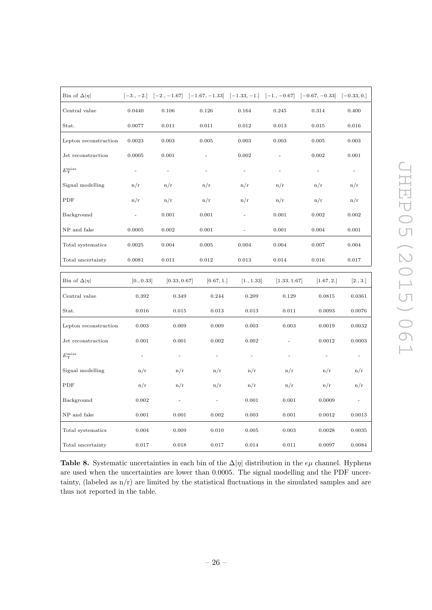<span id="page-27-0"></span>

| Bin of $\Delta  \eta $ |                          |                          | $[-3, -2]$ $[-2, -1.67]$ $[-1.67, -1.33]$ $[-1.33, -1]$ $[-1, -0.67]$ $[-0.67, -0.33]$ |                |              |                          | $[-0.33, 0.]$            |
|------------------------|--------------------------|--------------------------|----------------------------------------------------------------------------------------|----------------|--------------|--------------------------|--------------------------|
| Central value          | 0.0440                   | 0.106                    | 0.126                                                                                  | 0.164          | 0.245        | 0.314                    | 0.400                    |
| Stat.                  | 0.0077                   | 0.011                    | 0.011                                                                                  | 0.012          | 0.013        | 0.015                    | 0.016                    |
| Lepton reconstruction  | 0.0023                   | 0.003                    | 0.005                                                                                  | 0.003          | 0.003        | 0.005                    | 0.003                    |
| Jet reconstruction     | 0.0005                   | 0.001                    |                                                                                        | 0.002          |              | 0.002                    | 0.001                    |
| $E_{\rm T}^{\rm miss}$ | $\overline{\phantom{a}}$ | $\overline{a}$           | $\overline{a}$                                                                         | $\overline{a}$ | ÷            | $\overline{\phantom{a}}$ | $\overline{\phantom{m}}$ |
| Signal modelling       | n/r                      | n/r                      | n/r                                                                                    | n/r            | n/r          | n/r                      | n/r                      |
| PDF                    | n/r                      | n/r                      | n/r                                                                                    | n/r            | n/r          | n/r                      | n/r                      |
| Background             | $\overline{a}$           | 0.001                    | 0.001                                                                                  | ä,             | 0.001        | 0.002                    | 0.002                    |
| NP and fake            | 0.0005                   | $\rm 0.002$              | 0.001                                                                                  |                | 0.001        | 0.004                    | 0.001                    |
| Total systematics      | 0.0025                   | 0.004                    | 0.005                                                                                  | 0.004          | 0.004        | 0.007                    | 0.004                    |
| Total uncertainty      | 0.0081                   | 0.011                    | 0.012                                                                                  | 0.013          | 0.014        | 0.016                    | 0.017                    |
| Bin of $\Delta  \eta $ | [0., 0.33]               | [0.33, 0.67]             | [0.67, 1.]                                                                             | [1., 1.33]     | [1.33, 1.67] | [1.67, 2.]               | [2., 3.]                 |
| Central value          | 0.392                    | 0.349                    | 0.244                                                                                  | 0.209          | 0.129        | 0.0815                   | 0.0361                   |
| Stat.                  | 0.016                    | 0.015                    | 0.013                                                                                  | 0.013          | 0.011        | 0.0093                   | 0.0076                   |
| Lepton reconstruction  | 0.003                    | 0.009                    | 0.009                                                                                  | 0.003          | 0.003        | 0.0019                   | 0.0032                   |
| Jet reconstruction     | 0.001                    | 0.001                    | 0.002                                                                                  | 0.002          | ÷,           | 0.0012                   | 0.0003                   |
| $E_{\rm T}^{\rm miss}$ | $\overline{\phantom{a}}$ | $\overline{\phantom{a}}$ | ÷                                                                                      |                |              |                          |                          |
| Signal modelling       | n/r                      | n/r                      | n/r                                                                                    | n/r            | n/r          | n/r                      | n/r                      |
| PDF                    | n/r                      | n/r                      | n/r                                                                                    | n/r            | n/r          | n/r                      | n/r                      |
| Background             | 0.002                    | $\overline{a}$           |                                                                                        | 0.001          | 0.001        | 0.0009                   |                          |
| NP and fake            | 0.001                    | 0.001                    | 0.002                                                                                  | 0.003          | 0.001        | 0.0012                   | 0.0013                   |
| Total systematics      | 0.004                    | 0.009                    | 0.010                                                                                  | 0.005          | 0.003        | 0.0028                   | 0.0035                   |
| Total uncertainty      | 0.017                    | 0.018                    | 0.017                                                                                  | 0.014          | 0.011        | 0.0097                   | 0.0084                   |

<span id="page-27-1"></span>Table 8. Systematic uncertainties in each bin of the  $\Delta |\eta|$  distribution in the  $e\mu$  channel. Hyphens are used when the uncertainties are lower than 0.0005. The signal modelling and the PDF uncertainty, (labeled as n/r) are limited by the statistical fluctuations in the simulated samples and are thus not reported in the table.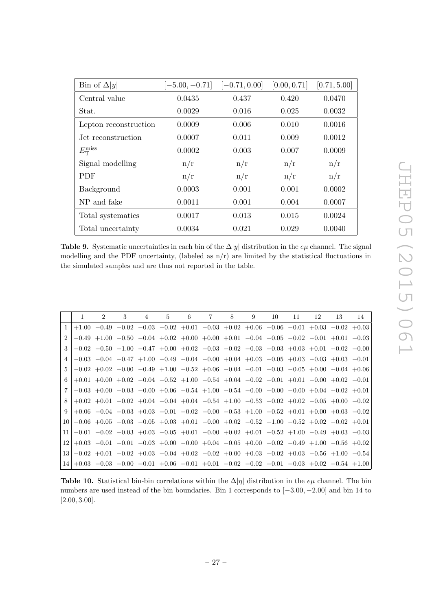<span id="page-28-6"></span>

| Bin of $\Delta  y $    | $[-5.00, -0.71]$ | $[-0.71, 0.00]$ | [0.00, 0.71] | [0.71, 5.00] |
|------------------------|------------------|-----------------|--------------|--------------|
| Central value          | 0.0435           | 0.437           | 0.420        | 0.0470       |
| Stat.                  | 0.0029           | 0.016           | 0.025        | 0.0032       |
| Lepton reconstruction  | 0.0009           | 0.006           | 0.010        | 0.0016       |
| Jet reconstruction     | 0.0007           | 0.011           | 0.009        | 0.0012       |
| $E_{\rm T}^{\rm miss}$ | 0.0002           | 0.003           | 0.007        | 0.0009       |
| Signal modelling       | n/r              | n/r             | n/r          | n/r          |
| <b>PDF</b>             | n/r              | n/r             | n/r          | n/r          |
| Background             | 0.0003           | 0.001           | 0.001        | 0.0002       |
| NP and fake            | 0.0011           | 0.001           | 0.004        | 0.0007       |
| Total systematics      | 0.0017           | 0.013           | 0.015        | 0.0024       |
| Total uncertainty      | 0.0034           | 0.021           | 0.029        | 0.0040       |

<span id="page-28-0"></span>Table 9. Systematic uncertainties in each bin of the  $\Delta|y|$  distribution in the  $e\mu$  channel. The signal modelling and the PDF uncertainty, (labeled as  $n/r$ ) are limited by the statistical fluctuations in the simulated samples and are thus not reported in the table.

<span id="page-28-2"></span><span id="page-28-1"></span>

|                             | 1 | $\mathcal{D}$                                                                                                           | 3 | 4 | $5^{\circ}$ | 6 | 7 | 8 | 9 | 10 | 11 | 12 | 13 | 14 |
|-----------------------------|---|-------------------------------------------------------------------------------------------------------------------------|---|---|-------------|---|---|---|---|----|----|----|----|----|
| $\overline{1}$              |   | $+1.00$ $-0.49$ $-0.02$ $-0.03$ $-0.02$ $+0.01$ $-0.03$ $+0.02$ $+0.06$ $-0.06$ $-0.01$ $+0.03$ $-0.02$ $+0.03$         |   |   |             |   |   |   |   |    |    |    |    |    |
| $\mathcal{D}_{\mathcal{L}}$ |   | $-0.49 + 1.00 - 0.50 - 0.04 + 0.02 + 0.00 + 0.00 + 0.01 - 0.04 + 0.05 - 0.02 - 0.01 + 0.01 - 0.03$                      |   |   |             |   |   |   |   |    |    |    |    |    |
| 3                           |   | $-0.02$ $-0.50$ $+1.00$ $-0.47$ $+0.00$ $+0.02$ $-0.03$ $-0.02$ $-0.03$ $+0.03$ $+0.03$ $+0.01$ $-0.02$ $-0.00$         |   |   |             |   |   |   |   |    |    |    |    |    |
| $\overline{4}$              |   | $-0.03$ $-0.04$ $-0.47$ $+1.00$ $-0.49$ $-0.04$ $-0.00$ $+0.04$ $+0.03$ $-0.05$ $+0.03$ $-0.03$ $+0.03$ $-0.01$         |   |   |             |   |   |   |   |    |    |    |    |    |
| $\mathbf{5}$                |   | $[-0.02 \ +0.02 \ +0.00 \ -0.49 \ +1.00 \ -0.52 \ +0.06 \ -0.04 \ -0.01 \ +0.03 \ -0.05 \ +0.00 \ -0.04 \ +0.06$        |   |   |             |   |   |   |   |    |    |    |    |    |
| 6                           |   | $+0.01$ $+0.00$ $+0.02$ $-0.04$ $-0.52$ $+1.00$ $-0.54$ $+0.04$ $-0.02$ $+0.01$ $+0.01$ $-0.00$ $+0.02$ $-0.01$         |   |   |             |   |   |   |   |    |    |    |    |    |
|                             |   | $ -0.03 $ $+0.00 $ $-0.03 $ $-0.00 $ $+0.06$ $-0.54 $ $+1.00 $ $-0.54$ $-0.00$ $-0.00$ $-0.00 $ $+0.04$ $-0.02$ $+0.01$ |   |   |             |   |   |   |   |    |    |    |    |    |
| 8                           |   | $+0.02$ $+0.01$ $-0.02$ $+0.04$ $-0.04$ $+0.04$ $-0.54$ $+1.00$ $-0.53$ $+0.02$ $+0.02$ $-0.05$ $+0.00$ $-0.02$         |   |   |             |   |   |   |   |    |    |    |    |    |
|                             |   | $9 + 0.06 - 0.04 - 0.03 + 0.03 - 0.01 - 0.02 - 0.00 - 0.53 + 1.00 - 0.52 + 0.01 + 0.00 + 0.03 - 0.02$                   |   |   |             |   |   |   |   |    |    |    |    |    |
|                             |   | $10 -0.06 +0.05 +0.03 $ $-0.05 +0.03 +0.01 $ $-0.00 +0.02 $ $-0.52 +1.00 $ $-0.52 +0.02 $ $-0.02 +0.01 $                |   |   |             |   |   |   |   |    |    |    |    |    |
| 11 <sup>1</sup>             |   | $-0.01$ $-0.02$ $+0.03$ $+0.03$ $-0.05$ $+0.01$ $-0.00$ $+0.02$ $+0.01$ $-0.52$ $+1.00$ $-0.49$ $+0.03$ $-0.03$         |   |   |             |   |   |   |   |    |    |    |    |    |
|                             |   | $12 +0.03$ $-0.01$ $+0.01$ $-0.03$ $+0.00$ $-0.00$ $+0.04$ $-0.05$ $+0.00$ $+0.02$ $-0.49$ $+1.00$ $-0.56$ $+0.02$      |   |   |             |   |   |   |   |    |    |    |    |    |
| 13 <sup>1</sup>             |   | $-0.02$ $+0.01$ $-0.02$ $+0.03$ $-0.04$ $+0.02$ $-0.02$ $+0.00$ $+0.03$ $-0.02$ $+0.03$ $-0.56$ $+1.00$ $-0.54$         |   |   |             |   |   |   |   |    |    |    |    |    |
|                             |   | $14 +0.03$ $-0.03$ $-0.00$ $-0.01$ $+0.06$ $-0.01$ $+0.01$ $-0.02$ $-0.02$ $+0.01$ $-0.03$ $+0.02$ $-0.54$ $+1.00$      |   |   |             |   |   |   |   |    |    |    |    |    |

<span id="page-28-5"></span><span id="page-28-4"></span><span id="page-28-3"></span>**Table 10.** Statistical bin-bin correlations within the  $\Delta |\eta|$  distribution in the eµ channel. The bin numbers are used instead of the bin boundaries. Bin 1 corresponds to  $[-3.00, -2.00]$  and bin 14 to  $[2.00, 3.00].$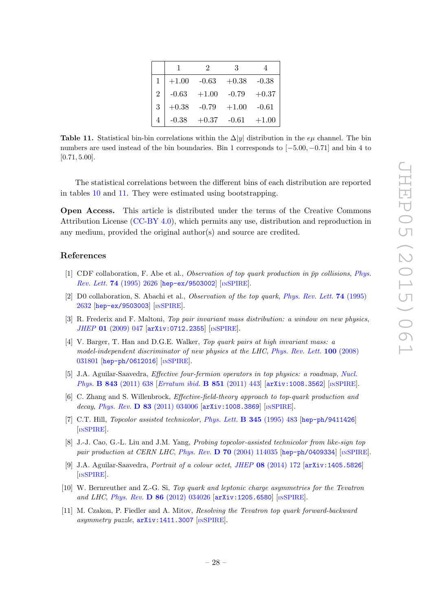|   |         | $\sum_{i=1}^{n} a_i$    | З               |         |
|---|---------|-------------------------|-----------------|---------|
|   | $+1.00$ | $-0.63$                 | $+0.38$ $-0.38$ |         |
|   |         | $-0.63$ $+1.00$ $-0.79$ |                 | $+0.37$ |
| 3 | $+0.38$ | $-0.79$                 | $+1.00$         | $-0.61$ |
|   |         | $-0.38 + 0.37 -0.61$    |                 | $+1.00$ |

<span id="page-29-1"></span><span id="page-29-0"></span>Table 11. Statistical bin-bin correlations within the  $\Delta|y|$  distribution in the  $e\mu$  channel. The bin numbers are used instead of the bin boundaries. Bin 1 corresponds to [-5.00, -0.71] and bin 4 to  $[0.71, 5.00].$ 

The statistical correlations between the different bins of each distribution are reported in tables [10](#page-27-1) and [11.](#page-28-6) They were estimated using bootstrapping.

<span id="page-29-3"></span><span id="page-29-2"></span>Open Access. This article is distributed under the terms of the Creative Commons Attribution License [\(CC-BY 4.0\)](http://creativecommons.org/licenses/by/4.0/), which permits any use, distribution and reproduction in any medium, provided the original author(s) and source are credited.

#### <span id="page-29-4"></span>References

- [1] CDF collaboration, F. Abe et al., Observation of top quark production in  $\bar{p}p$  collisions, [Phys.](http://dx.doi.org/10.1103/PhysRevLett.74.2626) Rev. Lett. 74 [\(1995\) 2626](http://dx.doi.org/10.1103/PhysRevLett.74.2626) [[hep-ex/9503002](http://arxiv.org/abs/hep-ex/9503002)] [IN[SPIRE](http://inspirehep.net/search?p=find+EPRINT+hep-ex/9503002)].
- <span id="page-29-5"></span>[2] D0 collaboration, S. Abachi et al., *Observation of the top quark*, *[Phys. Rev. Lett.](http://dx.doi.org/10.1103/PhysRevLett.74.2632)* **74** (1995) [2632](http://dx.doi.org/10.1103/PhysRevLett.74.2632) [[hep-ex/9503003](http://arxiv.org/abs/hep-ex/9503003)] [IN[SPIRE](http://inspirehep.net/search?p=find+EPRINT+hep-ex/9503003)].
- <span id="page-29-6"></span>[3] R. Frederix and F. Maltoni, Top pair invariant mass distribution: a window on new physics , JHEP 01 [\(2009\) 047](http://dx.doi.org/10.1088/1126-6708/2009/01/047) [arXiv: 0712.2355] [IN[SPIRE](http://inspirehep.net/search?p=find+EPRINT+arXiv:0712.2355)].
- <span id="page-29-7"></span>[4] V. Barger, T. Han and D.G.E. Walker, Top quark pairs at high invariant mass: a model-independent discriminator of new physics at the LHC, [Phys. Rev. Lett.](http://dx.doi.org/10.1103/PhysRevLett.100.031801) 100 (2008) [031801](http://dx.doi.org/10.1103/PhysRevLett.100.031801) [[hep-ph/0612016](http://arxiv.org/abs/hep-ph/0612016)] [IN[SPIRE](http://inspirehep.net/search?p=find+EPRINT+hep-ph/0612016)].
- <span id="page-29-8"></span>[5] J.A. Aguilar-Saavedra, Effective four-fermion operators in top physics: a roadmap , [Nucl.](http://dx.doi.org/10.1016/j.nuclphysb.2010.10.015) Phys. **B 843** [\(2011\) 638](http://dx.doi.org/10.1016/j.nuclphysb.2010.10.015) [*[Erratum ibid.](http://dx.doi.org/10.1016/j.nuclphysb.2011.06.003)* **B 851** (2011) 443] [[arXiv:1008.3562](http://arxiv.org/abs/1008.3562)] [IN[SPIRE](http://inspirehep.net/search?p=find+EPRINT+arXiv:1008.3562)].
- <span id="page-29-9"></span>[6] C. Zhang and S. Willenbrock, Effective-field-theory approach to top-quark production and decay, Phys. Rev. D 83 [\(2011\) 034006](http://dx.doi.org/10.1103/PhysRevD.83.034006) [[arXiv:1008.3869](http://arxiv.org/abs/1008.3869)] [IN[SPIRE](http://inspirehep.net/search?p=find+EPRINT+arXiv:1008.3869)].
- [7] C.T. Hill, *Topcolor assisted technicolor*, *[Phys. Lett.](http://dx.doi.org/10.1016/0370-2693(94)01660-5)* **B 345** (1995) 483 [[hep-ph/9411426](http://arxiv.org/abs/hep-ph/9411426)] [IN[SPIRE](http://inspirehep.net/search?p=find+EPRINT+hep-ph/9411426)].
- [8] J.-J. Cao, G.-L. Liu and J.M. Yang, *Probing topcolor-assisted technicolor from like-sign top* pair production at CERN LHC, Phys. Rev.  $D$  70 [\(2004\) 114035](http://dx.doi.org/10.1103/PhysRevD.70.114035) [[hep-ph/0409334](http://arxiv.org/abs/hep-ph/0409334)] [IN[SPIRE](http://inspirehep.net/search?p=find+EPRINT+hep-ph/0409334)].
- <span id="page-29-10"></span>[9] J.A. Aguilar-Saavedra, *Portrait of a colour octet, JHEP*  $08$  [\(2014\) 172](http://dx.doi.org/10.1007/JHEP08(2014)172) [[arXiv:1405.5826](http://arxiv.org/abs/1405.5826)] [IN[SPIRE](http://inspirehep.net/search?p=find+EPRINT+arXiv:1405.5826)].
- <span id="page-29-11"></span>[10] W. Bernreuther and Z.-G. Si, Top quark and leptonic charge asymmetries for the Tevatron and LHC, Phys. Rev. D 86 [\(2012\) 034026](http://dx.doi.org/10.1103/PhysRevD.86.034026) [[arXiv:1205.6580](http://arxiv.org/abs/1205.6580)] [IN[SPIRE](http://inspirehep.net/search?p=find+EPRINT+arXiv:1205.6580)].
- [11] M. Czakon, P. Fiedler and A. Mitov, Resolving the Tevatron top quark forward-backward asymmetry puzzle,  $arXiv:1411.3007$  [IN[SPIRE](http://inspirehep.net/search?p=find+EPRINT+arXiv:1411.3007)].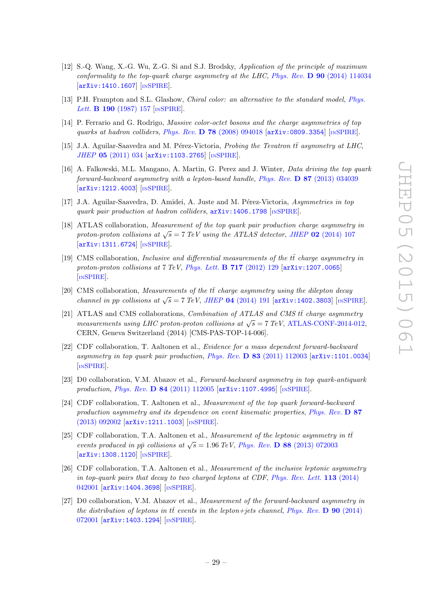- <span id="page-30-0"></span>[12] S.-Q. Wang, X.-G. Wu, Z.-G. Si and S.J. Brodsky, Application of the principle of maximum conformality to the top-quark charge asymmetry at the LHC, Phys. Rev.  $\bf{D}$  90 [\(2014\) 114034](http://dx.doi.org/10.1103/PhysRevD.90.114034) [[arXiv:1410.1607](http://arxiv.org/abs/1410.1607)] [IN[SPIRE](http://inspirehep.net/search?p=find+EPRINT+arXiv:1410.1607)].
- <span id="page-30-1"></span>[13] P.H. Frampton and S.L. Glashow, *Chiral color: an alternative to the standard model*, *[Phys.](http://dx.doi.org/10.1016/0370-2693(87)90859-8)* Lett. **B 190** [\(1987\) 157](http://dx.doi.org/10.1016/0370-2693(87)90859-8) [IN[SPIRE](http://inspirehep.net/search?p=find+J+Phys.Lett.,B190,157)].
- <span id="page-30-2"></span>[14] P. Ferrario and G. Rodrigo, Massive color-octet bosons and the charge asymmetries of top quarks at hadron colliders , Phys. Rev. D 78 [\(2008\) 094018](http://dx.doi.org/10.1103/PhysRevD.78.094018) [[arXiv:0809.3354](http://arxiv.org/abs/0809.3354)] [IN[SPIRE](http://inspirehep.net/search?p=find+EPRINT+arXiv:0809.3354)].
- [15] J.A. Aguilar-Saavedra and M. Pérez-Victoria, Probing the Tevatron  $t\bar{t}$  asymmetry at LHC, JHEP 05 [\(2011\) 034](http://dx.doi.org/10.1007/JHEP05(2011)034) [[arXiv:1103.2765](http://arxiv.org/abs/1103.2765)] [IN[SPIRE](http://inspirehep.net/search?p=find+EPRINT+arXiv:1103.2765)].
- <span id="page-30-4"></span><span id="page-30-3"></span>[16] A. Falkowski, M.L. Mangano, A. Martin, G. Perez and J. Winter, Data driving the top quark forward-backward asymmetry with a lepton-based handle, Phys. Rev. **D 87** [\(2013\) 034039](http://dx.doi.org/10.1103/PhysRevD.87.034039) [[arXiv:1212.4003](http://arxiv.org/abs/1212.4003)] [IN[SPIRE](http://inspirehep.net/search?p=find+EPRINT+arXiv:1212.4003)].
- <span id="page-30-5"></span>[17] J.A. Aguilar-Saavedra, D. Amidei, A. Juste and M. Pérez-Victoria, Asymmetries in top quark pair production at hadron colliders,  $arXiv:1406.1798$  [IN[SPIRE](http://inspirehep.net/search?p=find+EPRINT+arXiv:1406.1798)].
- <span id="page-30-6"></span>[18] ATLAS collaboration, Measurement of the top quark pair production charge asymmetry in proton-proton collisions at  $\sqrt{s} = 7$  TeV using the ATLAS detector, JHEP 02 [\(2014\) 107](http://dx.doi.org/10.1007/JHEP02(2014)107) [[arXiv:1311.6724](http://arxiv.org/abs/1311.6724)] [IN[SPIRE](http://inspirehep.net/search?p=find+EPRINT+arXiv:1311.6724)].
- <span id="page-30-7"></span>[19] CMS collaboration, *Inclusive and differential measurements of the*  $t\bar{t}$  *charge asymmetry in* proton-proton collisions at 7 TeV, [Phys. Lett.](http://dx.doi.org/10.1016/j.physletb.2012.09.028) **B 717** (2012) 129 [[arXiv:1207.0065](http://arxiv.org/abs/1207.0065)] [IN[SPIRE](http://inspirehep.net/search?p=find+EPRINT+arXiv:1207.0065)].
- <span id="page-30-8"></span>[20] CMS collaboration, Measurements of the  $t\bar{t}$  charge asymmetry using the dilepton decay channel in pp collisions at  $\sqrt{s} = 7 \text{ TeV}$ , JHEP 04 [\(2014\) 191](http://dx.doi.org/10.1007/JHEP04(2014)191) [[arXiv:1402.3803](http://arxiv.org/abs/1402.3803)] [IN[SPIRE](http://inspirehep.net/search?p=find+EPRINT+arXiv:1402.3803)].
- [21] ATLAS and CMS collaborations, Combination of ATLAS and CMS  $t\bar{t}$  charge asymmetry measurements using LHC proton-proton collisions at  $\sqrt{s} = 7 \text{ TeV}$ , [ATLAS-CONF-2014-012](http://cds.cern.ch/record/1670535), CERN, Geneva Switzerland (2014) [CMS-PAS-TOP-14-006].
- [22] CDF collaboration, T. Aaltonen et al., Evidence for a mass dependent forward-backward asymmetry in top quark pair production, Phys. Rev.  $D$  83 [\(2011\) 112003](http://dx.doi.org/10.1103/PhysRevD.83.112003) [[arXiv:1101.0034](http://arxiv.org/abs/1101.0034)] [IN[SPIRE](http://inspirehep.net/search?p=find+EPRINT+arXiv:1101.0034)].
- [23] D0 collaboration, V.M. Abazov et al., Forward-backward asymmetry in top quark-antiquark production, *Phys. Rev.* **D 84** [\(2011\) 112005](http://dx.doi.org/10.1103/PhysRevD.84.112005) [[arXiv:1107.4995](http://arxiv.org/abs/1107.4995)] [IN[SPIRE](http://inspirehep.net/search?p=find+EPRINT+arXiv:1107.4995)].
- <span id="page-30-9"></span>[24] CDF collaboration, T. Aaltonen et al., Measurement of the top quark forward-backward production asymmetry and its dependence on event kinematic properties, [Phys. Rev.](http://dx.doi.org/10.1103/PhysRevD.87.092002) D 87 [\(2013\) 092002](http://dx.doi.org/10.1103/PhysRevD.87.092002) [[arXiv:1211.1003](http://arxiv.org/abs/1211.1003)] [IN[SPIRE](http://inspirehep.net/search?p=find+EPRINT+arXiv:1211.1003)].
- <span id="page-30-10"></span>[25] CDF collaboration, T.A. Aaltonen et al., Measurement of the leptonic asymmetry in  $t\bar{t}$ events produced in  $p\bar{p}$  collisions at  $\sqrt{s} = 1.96 \text{ TeV}$ , Phys. Rev. **D** 88 [\(2013\) 072003](http://dx.doi.org/10.1103/PhysRevD.88.072003) [[arXiv:1308.1120](http://arxiv.org/abs/1308.1120)] [IN[SPIRE](http://inspirehep.net/search?p=find+EPRINT+arXiv:1308.1120)].
- <span id="page-30-12"></span><span id="page-30-11"></span>[26] CDF collaboration, T.A. Aaltonen et al., Measurement of the inclusive leptonic asymmetry in top-quark pairs that decay to two charged leptons at CDF, [Phys. Rev. Lett.](http://dx.doi.org/10.1103/PhysRevLett.113.042001) 113 (2014) [042001](http://dx.doi.org/10.1103/PhysRevLett.113.042001) [[arXiv:1404.3698](http://arxiv.org/abs/1404.3698)] [IN[SPIRE](http://inspirehep.net/search?p=find+EPRINT+arXiv:1404.3698)].
- <span id="page-30-13"></span>[27] D0 collaboration, V.M. Abazov et al., Measurement of the forward-backward asymmetry in the distribution of leptons in  $t\bar{t}$  events in the lepton+jets channel, [Phys. Rev.](http://dx.doi.org/10.1103/PhysRevD.90.072001) **D** 90 (2014) [072001](http://dx.doi.org/10.1103/PhysRevD.90.072001) [[arXiv:1403.1294](http://arxiv.org/abs/1403.1294)] [IN[SPIRE](http://inspirehep.net/search?p=find+EPRINT+arXiv:1403.1294)].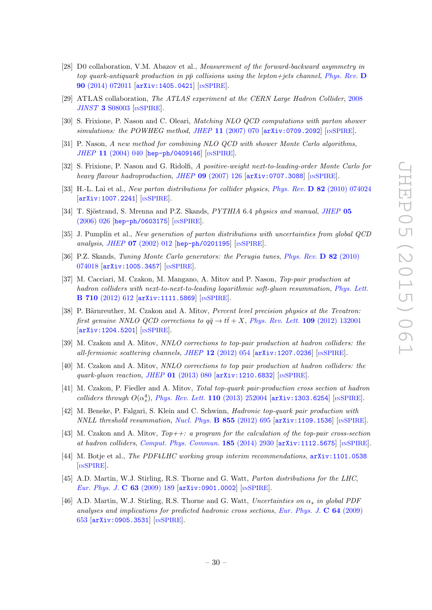- <span id="page-31-0"></span>[28] D0 collaboration, V.M. Abazov et al., Measurement of the forward-backward asymmetry in top quark-antiquark production in  $p\bar{p}$  collisions using the lepton+jets channel, [Phys. Rev.](http://dx.doi.org/10.1103/PhysRevD.90.072011) D 90 [\(2014\) 072011](http://dx.doi.org/10.1103/PhysRevD.90.072011) [[arXiv:1405.0421](http://arxiv.org/abs/1405.0421)] [IN[SPIRE](http://inspirehep.net/search?p=find+EPRINT+arXiv:1405.0421)].
- <span id="page-31-2"></span><span id="page-31-1"></span>[29] ATLAS collaboration, The ATLAS experiment at the CERN Large Hadron Collider, [2008](http://dx.doi.org/10.1088/1748-0221/3/08/S08003) JINST 3 [S08003](http://dx.doi.org/10.1088/1748-0221/3/08/S08003) [IN[SPIRE](http://inspirehep.net/search?p=find+J+JINST,3,S08003)].
- [30] S. Frixione, P. Nason and C. Oleari, Matching NLO QCD computations with parton shower simulations: the POWHEG method, JHEP 11 [\(2007\) 070](http://dx.doi.org/10.1088/1126-6708/2007/11/070) [[arXiv:0709.2092](http://arxiv.org/abs/0709.2092)] [IN[SPIRE](http://inspirehep.net/search?p=find+EPRINT+arXiv:0709.2092)].
- <span id="page-31-3"></span>[31] P. Nason, A new method for combining NLO QCD with shower Monte Carlo algorithms , JHEP 11 [\(2004\) 040](http://dx.doi.org/10.1088/1126-6708/2004/11/040) [[hep-ph/0409146](http://arxiv.org/abs/hep-ph/0409146)] [IN[SPIRE](http://inspirehep.net/search?p=find+J+JHEP,0411,040)].
- <span id="page-31-4"></span>[32] S. Frixione, P. Nason and G. Ridolfi, A positive-weight next-to-leading-order Monte Carlo for heavy flavour hadroproduction, JHEP 09 [\(2007\) 126](http://dx.doi.org/10.1088/1126-6708/2007/09/126) [[arXiv:0707.3088](http://arxiv.org/abs/0707.3088)] [IN[SPIRE](http://inspirehep.net/search?p=find+EPRINT+arXiv:0707.3088)].
- <span id="page-31-5"></span>[33] H.-L. Lai et al., New parton distributions for collider physics, Phys. Rev. D 82 [\(2010\) 074024](http://dx.doi.org/10.1103/PhysRevD.82.074024) [[arXiv:1007.2241](http://arxiv.org/abs/1007.2241)] [IN[SPIRE](http://inspirehep.net/search?p=find+EPRINT+arXiv:1007.2241)].
- [34] T. Sjöstrand, S. Mrenna and P.Z. Skands, PYTHIA 6.4 physics and manual, [JHEP](http://dx.doi.org/10.1088/1126-6708/2006/05/026) 05 [\(2006\) 026](http://dx.doi.org/10.1088/1126-6708/2006/05/026) [[hep-ph/0603175](http://arxiv.org/abs/hep-ph/0603175)] [IN[SPIRE](http://inspirehep.net/search?p=find+EPRINT+hep-ph/0603175)].
- <span id="page-31-6"></span>[35] J. Pumplin et al., New generation of parton distributions with uncertainties from global QCD analysis , JHEP 07 [\(2002\) 012](http://dx.doi.org/10.1088/1126-6708/2002/07/012) [[hep-ph/0201195](http://arxiv.org/abs/hep-ph/0201195)] [IN[SPIRE](http://inspirehep.net/search?p=find+EPRINT+hep-ph/0201195)].
- <span id="page-31-7"></span>[36] P.Z. Skands, Tuning Monte Carlo generators: the Perugia tunes, [Phys. Rev.](http://dx.doi.org/10.1103/PhysRevD.82.074018) D 82 (2010) [074018](http://dx.doi.org/10.1103/PhysRevD.82.074018) [[arXiv:1005.3457](http://arxiv.org/abs/1005.3457)] [IN[SPIRE](http://inspirehep.net/search?p=find+EPRINT+arXiv:1005.3457)].
- <span id="page-31-8"></span>[37] M. Cacciari, M. Czakon, M. Mangano, A. Mitov and P. Nason, Top-pair production at hadron colliders with next-to-next-to-leading logarithmic soft-gluon resummation, [Phys. Lett.](http://dx.doi.org/10.1016/j.physletb.2012.03.013) B 710 [\(2012\) 612](http://dx.doi.org/10.1016/j.physletb.2012.03.013) [[arXiv:1111.5869](http://arxiv.org/abs/1111.5869)] [IN[SPIRE](http://inspirehep.net/search?p=find+EPRINT+arXiv:1111.5869)].
- <span id="page-31-9"></span>[38] P. Bärnreuther, M. Czakon and A. Mitov, Percent level precision physics at the Tevatron: first genuine NNLO QCD corrections to  $q\bar{q} \to t\bar{t} + X$ , [Phys. Rev. Lett.](http://dx.doi.org/10.1103/PhysRevLett.109.132001) 109 (2012) 132001 [[arXiv:1204.5201](http://arxiv.org/abs/1204.5201)] [IN[SPIRE](http://inspirehep.net/search?p=find+EPRINT+arXiv:1204.5201)].
- <span id="page-31-10"></span>[39] M. Czakon and A. Mitov, NNLO corrections to top-pair production at hadron colliders: the all-fermionic scattering channels, JHEP 12 [\(2012\) 054](http://dx.doi.org/10.1007/JHEP12(2012)054) [[arXiv:1207.0236](http://arxiv.org/abs/1207.0236)] [IN[SPIRE](http://inspirehep.net/search?p=find+EPRINT+arXiv:1207.0236)].
- <span id="page-31-11"></span>[40] M. Czakon and A. Mitov, NNLO corrections to top pair production at hadron colliders: the quark-gluon reaction , JHEP 01 [\(2013\) 080](http://dx.doi.org/10.1007/JHEP01(2013)080) [[arXiv:1210.6832](http://arxiv.org/abs/1210.6832)] [IN[SPIRE](http://inspirehep.net/search?p=find+EPRINT+arXiv:1210.6832)].
- <span id="page-31-12"></span>[41] M. Czakon, P. Fiedler and A. Mitov, Total top-quark pair-production cross section at hadron colliders through  $O(\alpha_s^4)$ , [Phys. Rev. Lett.](http://dx.doi.org/10.1103/PhysRevLett.110.252004) 110 (2013) 252004 [[arXiv:1303.6254](http://arxiv.org/abs/1303.6254)] [IN[SPIRE](http://inspirehep.net/search?p=find+EPRINT+arXiv:1303.6254)].
- <span id="page-31-13"></span>[42] M. Beneke, P. Falgari, S. Klein and C. Schwinn, Hadronic top-quark pair production with  $NNLL$  threshold resummation, [Nucl. Phys.](http://dx.doi.org/10.1016/j.nuclphysb.2011.10.021) **B** 855 (2012) 695  $arXiv:1109.1536$  [IN[SPIRE](http://inspirehep.net/search?p=find+EPRINT+arXiv:1109.1536)].
- [43] M. Czakon and A. Mitov,  $Top++: a program for the calculation of the top-pair cross-section$ at hadron colliders , [Comput. Phys. Commun.](http://dx.doi.org/10.1016/j.cpc.2014.06.021) 185 (2014) 2930 [[arXiv:1112.5675](http://arxiv.org/abs/1112.5675)] [IN[SPIRE](http://inspirehep.net/search?p=find+EPRINT+arXiv:1112.5675)].
- <span id="page-31-14"></span>[44] M. Botje et al., *The PDF4LHC working group interim recommendations*,  $arXiv:1101.0538$ [IN[SPIRE](http://inspirehep.net/search?p=find+EPRINT+arXiv:1101.0538)].
- <span id="page-31-15"></span>[45] A.D. Martin, W.J. Stirling, R.S. Thorne and G. Watt, Parton distributions for the LHC, [Eur. Phys. J.](http://dx.doi.org/10.1140/epjc/s10052-009-1072-5) C 63 (2009) 189 [[arXiv:0901.0002](http://arxiv.org/abs/0901.0002)] [IN[SPIRE](http://inspirehep.net/search?p=find+EPRINT+arXiv:0901.0002)].
- <span id="page-31-16"></span>[46] A.D. Martin, W.J. Stirling, R.S. Thorne and G. Watt, Uncertainties on  $\alpha_s$  in global PDF analyses and implications for predicted hadronic cross sections, [Eur. Phys. J.](http://dx.doi.org/10.1140/epjc/s10052-009-1164-2)  $\bf{C}$  64 (2009) [653](http://dx.doi.org/10.1140/epjc/s10052-009-1164-2) [[arXiv:0905.3531](http://arxiv.org/abs/0905.3531)] [IN[SPIRE](http://inspirehep.net/search?p=find+EPRINT+arXiv:0905.3531)].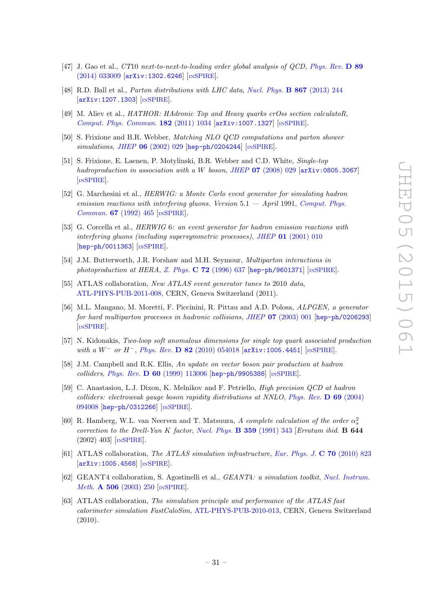- <span id="page-32-0"></span>[47] J. Gao et al., CT10 next-to-next-to-leading order global analysis of QCD, [Phys. Rev.](http://dx.doi.org/10.1103/PhysRevD.89.033009) D 89 [\(2014\) 033009](http://dx.doi.org/10.1103/PhysRevD.89.033009) [[arXiv:1302.6246](http://arxiv.org/abs/1302.6246)] [IN[SPIRE](http://inspirehep.net/search?p=find+EPRINT+arXiv:1302.6246)].
- <span id="page-32-1"></span>[48] R.D. Ball et al., *Parton distributions with LHC data, [Nucl. Phys.](http://dx.doi.org/10.1016/j.nuclphysb.2012.10.003)* **B 867** (2013) 244 [[arXiv:1207.1303](http://arxiv.org/abs/1207.1303)] [IN[SPIRE](http://inspirehep.net/search?p=find+EPRINT+arXiv:1207.1303)].
- [49] M. Aliev et al., HATHOR: HAdronic Top and Heavy quarks crOss section calculatoR, [Comput. Phys. Commun.](http://dx.doi.org/10.1016/j.cpc.2010.12.040) 182 (2011) 1034 [[arXiv:1007.1327](http://arxiv.org/abs/1007.1327)] [IN[SPIRE](http://inspirehep.net/search?p=find+EPRINT+arXiv:1007.1327)].
- <span id="page-32-2"></span>[50] S. Frixione and B.R. Webber, Matching NLO QCD computations and parton shower simulations, JHEP 06 [\(2002\) 029](http://dx.doi.org/10.1088/1126-6708/2002/06/029) [[hep-ph/0204244](http://arxiv.org/abs/hep-ph/0204244)] [IN[SPIRE](http://inspirehep.net/search?p=find+EPRINT+hep-ph/0204244)].
- <span id="page-32-3"></span>[51] S. Frixione, E. Laenen, P. Motylinski, B.R. Webber and C.D. White, Single-top hadroproduction in association with a W boson, JHEP  $07$  [\(2008\) 029](http://dx.doi.org/10.1088/1126-6708/2008/07/029) [[arXiv:0805.3067](http://arxiv.org/abs/0805.3067)] [IN[SPIRE](http://inspirehep.net/search?p=find+EPRINT+arXiv:0805.3067)].
- <span id="page-32-5"></span><span id="page-32-4"></span>[52] G. Marchesini et al., HERWIG: a Monte Carlo event generator for simulating hadron emission reactions with interfering gluons. Version  $5.1 - April 1991$ , [Comput. Phys.](http://dx.doi.org/10.1016/0010-4655(92)90055-4) Commun. 67 [\(1992\) 465](http://dx.doi.org/10.1016/0010-4655(92)90055-4) [IN[SPIRE](http://inspirehep.net/search?p=find+J+Comput.Phys.Commun.,67,465)].
- <span id="page-32-6"></span>[53] G. Corcella et al., HERWIG 6: an event generator for hadron emission reactions with interfering gluons (including supersymmetric processes), JHEP 01 [\(2001\) 010](http://dx.doi.org/10.1088/1126-6708/2001/01/010) [[hep-ph/0011363](http://arxiv.org/abs/hep-ph/0011363)] [IN[SPIRE](http://inspirehep.net/search?p=find+EPRINT+hep-ph/0011363)].
- <span id="page-32-7"></span>[54] J.M. Butterworth, J.R. Forshaw and M.H. Seymour, Multiparton interactions in photoproduction at HERA, Z. Phys.  $C$  72 [\(1996\) 637](http://dx.doi.org/10.1007/s002880050286) [[hep-ph/9601371](http://arxiv.org/abs/hep-ph/9601371)] [IN[SPIRE](http://inspirehep.net/search?p=find+EPRINT+hep-ph/9601371)].
- [55] ATLAS collaboration, New ATLAS event generator tunes to 2010 data, [ATL-PHYS-PUB-2011-008,](http://cds.cern.ch/record/1345343) CERN, Geneva Switzerland (2011).
- <span id="page-32-9"></span><span id="page-32-8"></span>[56] M.L. Mangano, M. Moretti, F. Piccinini, R. Pittau and A.D. Polosa, ALPGEN, a generator for hard multiparton processes in hadronic collisions, JHEP 07 [\(2003\) 001](http://dx.doi.org/10.1088/1126-6708/2003/07/001) [[hep-ph/0206293](http://arxiv.org/abs/hep-ph/0206293)] [IN[SPIRE](http://inspirehep.net/search?p=find+J+JHEP,0307,001)].
- <span id="page-32-10"></span>[57] N. Kidonakis, Two-loop soft anomalous dimensions for single top quark associated production with a  $W^-$  or  $H^-$ , Phys. Rev. D 82 [\(2010\) 054018](http://dx.doi.org/10.1103/PhysRevD.82.054018) [[arXiv:1005.4451](http://arxiv.org/abs/1005.4451)] [IN[SPIRE](http://inspirehep.net/search?p=find+EPRINT+arXiv:1005.4451)].
- <span id="page-32-11"></span>[58] J.M. Campbell and R.K. Ellis, An update on vector boson pair production at hadron colliders, Phys. Rev. D 60 [\(1999\) 113006](http://dx.doi.org/10.1103/PhysRevD.60.113006) [[hep-ph/9905386](http://arxiv.org/abs/hep-ph/9905386)] [IN[SPIRE](http://inspirehep.net/search?p=find+EPRINT+hep-ph/9905386)].
- <span id="page-32-12"></span>[59] C. Anastasiou, L.J. Dixon, K. Melnikov and F. Petriello, High precision QCD at hadron colliders: electroweak gauge boson rapidity distributions at NNLO , [Phys. Rev.](http://dx.doi.org/10.1103/PhysRevD.69.094008) D 69 (2004) [094008](http://dx.doi.org/10.1103/PhysRevD.69.094008) [[hep-ph/0312266](http://arxiv.org/abs/hep-ph/0312266)] [IN[SPIRE](http://inspirehep.net/search?p=find+EPRINT+hep-ph/0312266)].
- [60] R. Hamberg, W.L. van Neerven and T. Matsuura, A complete calculation of the order  $\alpha_s^2$ correction to the Drell-Yan K factor, [Nucl. Phys.](http://dx.doi.org/10.1016/0550-3213(91)90064-5) **B 359** (1991) 343 [Erratum ibid. **B 644** (2002) 403] [IN[SPIRE](http://inspirehep.net/search?p=find+J+Nucl.Phys.,B359,343)].
- [61] ATLAS collaboration, The ATLAS simulation infrastructure, [Eur. Phys. J.](http://dx.doi.org/10.1140/epjc/s10052-010-1429-9) C 70 (2010) 823 [[arXiv:1005.4568](http://arxiv.org/abs/1005.4568)] [IN[SPIRE](http://inspirehep.net/search?p=find+EPRINT+arXiv:1005.4568)].
- [62] GEANT4 collaboration, S. Agostinelli et al., *GEANT4: a simulation toolkit, [Nucl. Instrum.](http://dx.doi.org/10.1016/S0168-9002(03)01368-8)* Meth. **A 506** [\(2003\) 250](http://dx.doi.org/10.1016/S0168-9002(03)01368-8) [IN[SPIRE](http://inspirehep.net/search?p=find+J+Nucl.Instrum.Meth.,A506,250)].
- [63] ATLAS collaboration, The simulation principle and performance of the ATLAS fast calorimeter simulation FastCaloSim , [ATL-PHYS-PUB-2010-013,](http://cds.cern.ch/record/1300517) CERN, Geneva Switzerland (2010).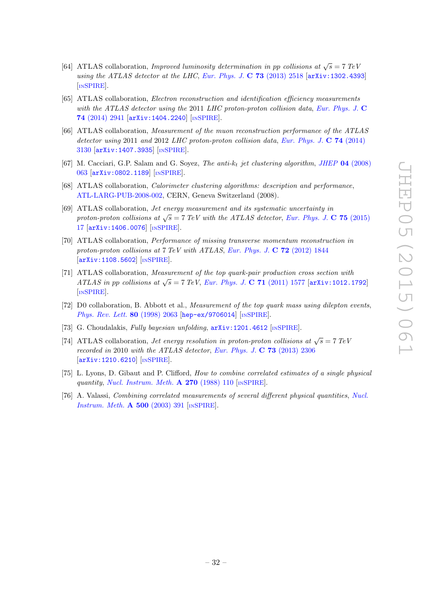- [64] ATLAS collaboration, *Improved luminosity determination in pp collisions at*  $\sqrt{s} = 7 \text{ TeV}$ using the ATLAS detector at the LHC, [Eur. Phys. J.](http://dx.doi.org/10.1140/epjc/s10052-013-2518-3)  $C$  73 (2013) 2518 [[arXiv:1302.4393](http://arxiv.org/abs/1302.4393)] [IN[SPIRE](http://inspirehep.net/search?p=find+EPRINT+arXiv:1302.4393)].
- <span id="page-33-0"></span>[65] ATLAS collaboration, Electron reconstruction and identification efficiency measurements with the ATLAS detector using the 2011 LHC proton-proton collision data, [Eur. Phys. J.](http://dx.doi.org/10.1140/epjc/s10052-014-2941-0) C 74 [\(2014\) 2941](http://dx.doi.org/10.1140/epjc/s10052-014-2941-0) [[arXiv:1404.2240](http://arxiv.org/abs/1404.2240)] [IN[SPIRE](http://inspirehep.net/search?p=find+EPRINT+arXiv:1404.2240)].
- [66] ATLAS collaboration, Measurement of the muon reconstruction performance of the ATLAS detector using 2011 and 2012 LHC proton-proton collision data, [Eur. Phys. J.](http://dx.doi.org/10.1140/epjc/s10052-014-3130-x)  $\bf{C}$  **74** (2014) [3130](http://dx.doi.org/10.1140/epjc/s10052-014-3130-x) [[arXiv:1407.3935](http://arxiv.org/abs/1407.3935)] [IN[SPIRE](http://inspirehep.net/search?p=find+EPRINT+arXiv:1407.3935)].
- [67] M. Cacciari, G.P. Salam and G. Soyez, *The anti-k<sub>t</sub>* jet clustering algorithm, *JHEP* **04** [\(2008\)](http://dx.doi.org/10.1088/1126-6708/2008/04/063) [063](http://dx.doi.org/10.1088/1126-6708/2008/04/063) [[arXiv:0802.1189](http://arxiv.org/abs/0802.1189)] [IN[SPIRE](http://inspirehep.net/search?p=find+EPRINT+arXiv:0802.1189)].
- [68] ATLAS collaboration, *Calorimeter clustering algorithms: description and performance*, [ATL-LARG-PUB-2008-002,](http://cds.cern.ch/record/1099735) CERN, Geneva Switzerland (2008).
- [69] ATLAS collaboration, Jet energy measurement and its systematic uncertainty in proton-proton collisions at  $\sqrt{s} = 7$  TeV with the ATLAS detector, [Eur. Phys. J.](http://dx.doi.org/10.1140/epjc/s10052-014-3190-y) C 75 (2015) [17](http://dx.doi.org/10.1140/epjc/s10052-014-3190-y) [[arXiv:1406.0076](http://arxiv.org/abs/1406.0076)] [IN[SPIRE](http://inspirehep.net/search?p=find+EPRINT+arXiv:1406.0076)].
- [70] ATLAS collaboration, Performance of missing transverse momentum reconstruction in proton-proton collisions at  $7 \text{ TeV}$  with ATLAS, [Eur. Phys. J.](http://dx.doi.org/10.1140/epjc/s10052-011-1844-6)  $\bf{C}$  72 (2012) 1844 [[arXiv:1108.5602](http://arxiv.org/abs/1108.5602)] [IN[SPIRE](http://inspirehep.net/search?p=find+EPRINT+arXiv:1108.5602)].
- [71] ATLAS collaboration, Measurement of the top quark-pair production cross section with ATLAS in pp collisions at  $\sqrt{s} = 7$  TeV, [Eur. Phys. J.](http://dx.doi.org/10.1140/epjc/s10052-011-1577-6) C 71 (2011) 1577 [[arXiv:1012.1792](http://arxiv.org/abs/1012.1792)] [IN[SPIRE](http://inspirehep.net/search?p=find+EPRINT+arXiv:1012.1792)].
- [72] D0 collaboration, B. Abbott et al., Measurement of the top quark mass using dilepton events, [Phys. Rev. Lett.](http://dx.doi.org/10.1103/PhysRevLett.80.2063) 80 (1998) 2063 [[hep-ex/9706014](http://arxiv.org/abs/hep-ex/9706014)] [IN[SPIRE](http://inspirehep.net/search?p=find+EPRINT+hep-ex/9706014)].
- [73] G. Choudalakis, Fully bayesian unfolding,  $arXiv:1201.4612$  [IN[SPIRE](http://inspirehep.net/search?p=find+EPRINT+arXiv:1201.4612)].
- [74] ATLAS collaboration, *Jet energy resolution in proton-proton collisions at*  $\sqrt{s} = 7 \text{ TeV}$ recorded in 2010 with the ATLAS detector, [Eur. Phys. J.](http://dx.doi.org/10.1140/epjc/s10052-013-2306-0)  $\bf{C}$  **73** (2013) 2306 [[arXiv:1210.6210](http://arxiv.org/abs/1210.6210)] [IN[SPIRE](http://inspirehep.net/search?p=find+EPRINT+arXiv:1210.6210)].
- [75] L. Lyons, D. Gibaut and P. Clifford, How to combine correlated estimates of a single physical quantity, [Nucl. Instrum. Meth.](http://dx.doi.org/10.1016/0168-9002(88)90018-6)  $\bf{A}$  270 (1988) 110 [IN[SPIRE](http://inspirehep.net/search?p=find+J+Nucl.Instrum.Meth.,A270,110)].
- [76] A. Valassi, *Combining correlated measurements of several different physical quantities*, *[Nucl.](http://dx.doi.org/10.1016/S0168-9002(03)00329-2) [Instrum. Meth.](http://dx.doi.org/10.1016/S0168-9002(03)00329-2)* **A 500** (2003) 391 [IN[SPIRE](http://inspirehep.net/search?p=find+J+Nucl.Instrum.Meth.,A500,391)].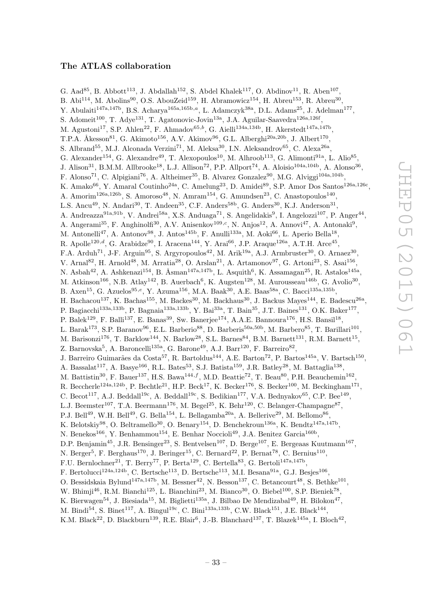## The ATLAS collaboration

G. Aad<sup>85</sup>, B. Abbott<sup>113</sup>, J. Abdallah<sup>152</sup>, S. Abdel Khalek<sup>117</sup>, O. Abdinov<sup>11</sup>, R. Aben<sup>107</sup>, B. Abi $^{114}$ , M. Abolins<sup>90</sup>, O.S. AbouZeid<sup>159</sup>, H. Abramowicz<sup>154</sup>, H. Abreu<sup>153</sup>, R. Abreu<sup>30</sup>, Y. Abulaiti<sup>147a,147b</sup>, B.S. Acharya<sup>165a,165b,a</sup>, L. Adamczyk<sup>38a</sup>, D.L. Adams<sup>25</sup>, J. Adelman<sup>177</sup>, S. Adomeit<sup>100</sup>, T. Adye<sup>131</sup>, T. Agatonovic-Jovin<sup>13a</sup>, J.A. Aguilar-Saavedra<sup>126a,126f</sup>, M. Agustoni<sup>17</sup>, S.P. Ahlen<sup>22</sup>, F. Ahmadov<sup>65,b</sup>, G. Aielli<sup>134a,134b</sup>, H. Akerstedt<sup>147a,147b</sup>, T.P.A. Åkesson<sup>81</sup>, G. Akimoto<sup>156</sup>, A.V. Akimov<sup>96</sup>, G.L. Alberghi<sup>20a,20b</sup>, J. Albert<sup>170</sup>, S. Albrand<sup>55</sup>, M.J. Alconada Verzini<sup>71</sup>, M. Aleksa<sup>30</sup>, I.N. Aleksandrov<sup>65</sup>, C. Alexa<sup>26a</sup>, G. Alexander<sup>154</sup>, G. Alexandre<sup>49</sup>, T. Alexopoulos<sup>10</sup>, M. Alhroob<sup>113</sup>, G. Alimonti<sup>91a</sup>, L. Alio<sup>85</sup>, J. Alison<sup>31</sup>, B.M.M. Allbrooke<sup>18</sup>, L.J. Allison<sup>72</sup>, P.P. Allport<sup>74</sup>, A. Aloisio<sup>104a,104b</sup>, A. Alonso<sup>36</sup>, F. Alonso<sup>71</sup>, C. Alpigiani<sup>76</sup>, A. Altheimer<sup>35</sup>, B. Alvarez Gonzalez<sup>90</sup>, M.G. Alviggi<sup>104a,104b</sup>, K. Amako<sup>66</sup>, Y. Amaral Coutinho<sup>24a</sup>, C. Amelung<sup>23</sup>, D. Amidei<sup>89</sup>, S.P. Amor Dos Santos<sup>126a,126c</sup>, A. Amorim<sup>126a,126b</sup>, S. Amoroso<sup>48</sup>, N. Amram<sup>154</sup>, G. Amundsen<sup>23</sup>, C. Anastopoulos<sup>140</sup>, L.S. Ancu<sup>49</sup>, N. Andari<sup>30</sup>, T. Andeen<sup>35</sup>, C.F. Anders<sup>58b</sup>, G. Anders<sup>30</sup>, K.J. Anderson<sup>31</sup>, A. Andreazza<sup>91a,91b</sup>, V. Andrei<sup>58a</sup>, X.S. Anduaga<sup>71</sup>, S. Angelidakis<sup>9</sup>, I. Angelozzi<sup>107</sup>, P. Anger<sup>44</sup>, A. Angerami<sup>35</sup>, F. Anghinolfi<sup>30</sup>, A.V. Anisenkov<sup>109,*c*</sup>, N. Anjos<sup>12</sup>, A. Annovi<sup>47</sup>, A. Antonaki<sup>9</sup>, M. Antonelli<sup>47</sup>, A. Antonov<sup>98</sup>, J. Antos<sup>145b</sup>, F. Anulli<sup>133a</sup>, M. Aoki<sup>66</sup>, L. Aperio Bella<sup>18</sup>, R. Apolle<sup>120,d</sup>, G. Arabidze<sup>90</sup>, I. Aracena<sup>144</sup>, Y. Arai<sup>66</sup>, J.P. Araque<sup>126a</sup>, A.T.H. Arce<sup>45</sup>, F.A. Arduh<sup>71</sup>, J-F. Arguin<sup>95</sup>, S. Argyropoulos<sup>42</sup>, M. Arik<sup>19a</sup>, A.J. Armbruster<sup>30</sup>, O. Arnaez<sup>30</sup>, V. Arnal<sup>82</sup>, H. Arnold<sup>48</sup>, M. Arratia<sup>28</sup>, O. Arslan<sup>21</sup>, A. Artamonov<sup>97</sup>, G. Artoni<sup>23</sup>, S. Asai<sup>156</sup>, N. Asbah<sup>42</sup>, A. Ashkenazi<sup>154</sup>, B. Åsman<sup>147a,147b</sup>, L. Asquith<sup>6</sup>, K. Assamagan<sup>25</sup>, R. Astalos<sup>145a</sup>, M. Atkinson<sup>166</sup>, N.B. Atlay<sup>142</sup>, B. Auerbach<sup>6</sup>, K. Augsten<sup>128</sup>, M. Aurousseau<sup>146b</sup>, G. Avolio<sup>30</sup>, B. Axen<sup>15</sup>, G. Azuelos<sup>95,e</sup>, Y. Azuma<sup>156</sup>, M.A. Baak<sup>30</sup>, A.E. Baas<sup>58a</sup>, C. Bacci<sup>135a,135b</sup>, H. Bachacou<sup>137</sup>, K. Bachas<sup>155</sup>, M. Backes<sup>30</sup>, M. Backhaus<sup>30</sup>, J. Backus Mayes<sup>144</sup>, E. Badescu<sup>26a</sup>, P. Bagiacchi<sup>133a,133b</sup>, P. Bagnaia<sup>133a,133b</sup>, Y. Bai<sup>33a</sup>, T. Bain<sup>35</sup>, J.T. Baines<sup>131</sup>, O.K. Baker<sup>177</sup>, P. Balek<sup>129</sup>, F. Balli<sup>137</sup>, E. Banas<sup>39</sup>, Sw. Banerjee<sup>174</sup>, A.A.E. Bannoura<sup>176</sup>, H.S. Bansil<sup>18</sup>, L. Barak<sup>173</sup>, S.P. Baranov<sup>96</sup>, E.L. Barberio<sup>88</sup>, D. Barberis<sup>50a,50b</sup>, M. Barbero<sup>85</sup>, T. Barillari<sup>101</sup>, M. Barisonzi<sup>176</sup>, T. Barklow<sup>144</sup>, N. Barlow<sup>28</sup>, S.L. Barnes<sup>84</sup>, B.M. Barnett<sup>131</sup>, R.M. Barnett<sup>15</sup>, Z. Barnovska<sup>5</sup>, A. Baroncelli<sup>135a</sup>, G. Barone<sup>49</sup>, A.J. Barr<sup>120</sup>, F. Barreiro<sup>82</sup>, J. Barreiro Guimarães da Costa<sup>57</sup>, R. Bartoldus<sup>144</sup>, A.E. Barton<sup>72</sup>, P. Bartos<sup>145a</sup>, V. Bartsch<sup>150</sup>, A. Bassalat<sup>117</sup>, A. Basye<sup>166</sup>, R.L. Bates<sup>53</sup>, S.J. Batista<sup>159</sup>, J.R. Batley<sup>28</sup>, M. Battaglia<sup>138</sup>, M. Battistin<sup>30</sup>, F. Bauer<sup>137</sup>, H.S. Bawa<sup>144,f</sup>, M.D. Beattie<sup>72</sup>, T. Beau<sup>80</sup>, P.H. Beauchemin<sup>162</sup>, R. Beccherle<sup>124a,124b</sup>, P. Bechtle<sup>21</sup>, H.P. Beck<sup>17</sup>, K. Becker<sup>176</sup>, S. Becker<sup>100</sup>, M. Beckingham<sup>171</sup>, C. Becot<sup>117</sup>, A.J. Beddall<sup>19c</sup>, A. Beddall<sup>19c</sup>, S. Bedikian<sup>177</sup>, V.A. Bednyakov<sup>65</sup>, C.P. Bee<sup>149</sup>, L.J. Beemster<sup>107</sup>, T.A. Beermann<sup>176</sup>, M. Begel<sup>25</sup>, K. Behr<sup>120</sup>, C. Belanger-Champagne<sup>87</sup>, P.J. Bell<sup>49</sup>, W.H. Bell<sup>49</sup>, G. Bella<sup>154</sup>, L. Bellagamba<sup>20a</sup>, A. Bellerive<sup>29</sup>, M. Bellomo<sup>86</sup>, K. Belotskiy<sup>98</sup>, O. Beltramello<sup>30</sup>, O. Benary<sup>154</sup>, D. Benchekroun<sup>136a</sup>, K. Bendtz<sup>147a,147b</sup>, N. Benekos<sup>166</sup>, Y. Benhammou<sup>154</sup>, E. Benhar Noccioli<sup>49</sup>, J.A. Benitez Garcia<sup>160b</sup>, D.P. Benjamin<sup>45</sup>, J.R. Bensinger<sup>23</sup>, S. Bentvelsen<sup>107</sup>, D. Berge<sup>107</sup>, E. Bergeaas Kuutmann<sup>167</sup>, N. Berger<sup>5</sup>, F. Berghaus<sup>170</sup>, J. Beringer<sup>15</sup>, C. Bernard<sup>22</sup>, P. Bernat<sup>78</sup>, C. Bernius<sup>110</sup>, F.U. Bernlochner<sup>21</sup>, T. Berry<sup>77</sup>, P. Berta<sup>129</sup>, C. Bertella<sup>83</sup>, G. Bertoli<sup>147a,147b</sup>, F. Bertolucci<sup>124a,124b</sup>, C. Bertsche<sup>113</sup>, D. Bertsche<sup>113</sup>, M.I. Besana<sup>91a</sup>, G.J. Besjes<sup>106</sup>, O. Bessidskaia Bylund<sup>147a,147b</sup>, M. Bessner<sup>42</sup>, N. Besson<sup>137</sup>, C. Betancourt<sup>48</sup>, S. Bethke<sup>101</sup>, W. Bhimji<sup>46</sup>, R.M. Bianchi<sup>125</sup>, L. Bianchini<sup>23</sup>, M. Bianco<sup>30</sup>, O. Biebel<sup>100</sup>, S.P. Bieniek<sup>78</sup>, K. Bierwagen<sup>54</sup>, J. Biesiada<sup>15</sup>, M. Biglietti<sup>135a</sup>, J. Bilbao De Mendizabal<sup>49</sup>, H. Bilokon<sup>47</sup>, M. Bindi<sup>54</sup>, S. Binet<sup>117</sup>, A. Bingul<sup>19c</sup>, C. Bini<sup>133a,133b</sup>, C.W. Black<sup>151</sup>, J.E. Black<sup>144</sup>,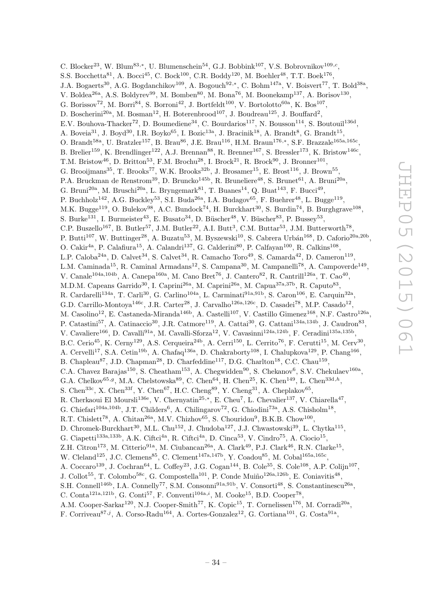C. Blocker<sup>23</sup>, W. Blum<sup>83,\*</sup>, U. Blumenschein<sup>54</sup>, G.J. Bobbink<sup>107</sup>, V.S. Bobrovnikov<sup>109,c</sup>, S.S. Bocchetta<sup>81</sup>, A. Bocci<sup>45</sup>, C. Bock<sup>100</sup>, C.R. Boddy<sup>120</sup>, M. Boehler<sup>48</sup>, T.T. Boek<sup>176</sup>, J.A. Bogaerts<sup>30</sup>, A.G. Bogdanchikov<sup>109</sup>, A. Bogouch<sup>92,\*</sup>, C. Bohm<sup>147a</sup>, V. Boisvert<sup>77</sup>, T. Bold<sup>38a</sup>, V. Boldea<sup>26a</sup>, A.S. Boldyrev<sup>99</sup>, M. Bomben<sup>80</sup>, M. Bona<sup>76</sup>, M. Boonekamp<sup>137</sup>, A. Borisov<sup>130</sup>, G. Borissov<sup>72</sup>, M. Borri<sup>84</sup>, S. Borroni<sup>42</sup>, J. Bortfeldt<sup>100</sup>, V. Bortolotto<sup>60a</sup>, K. Bos<sup>107</sup>, D. Boscherini<sup>20a</sup>, M. Bosman<sup>12</sup>, H. Boterenbrood<sup>107</sup>, J. Boudreau<sup>125</sup>, J. Bouffard<sup>2</sup>, E.V. Bouhova-Thacker<sup>72</sup>, D. Boumediene<sup>34</sup>, C. Bourdarios<sup>117</sup>, N. Bousson<sup>114</sup>, S. Boutouil<sup>136d</sup>, A. Boveia<sup>31</sup>, J. Boyd<sup>30</sup>, I.R. Boyko<sup>65</sup>, I. Bozic<sup>13a</sup>, J. Bracinik<sup>18</sup>, A. Brandt<sup>8</sup>, G. Brandt<sup>15</sup>, O. Brandt<sup>58a</sup>, U. Bratzler<sup>157</sup>, B. Brau<sup>86</sup>, J.E. Brau<sup>116</sup>, H.M. Braun<sup>176,\*</sup>, S.F. Brazzale<sup>165a,165c</sup>, B. Brelier<sup>159</sup>, K. Brendlinger<sup>122</sup>, A.J. Brennan<sup>88</sup>, R. Brenner<sup>167</sup>, S. Bressler<sup>173</sup>, K. Bristow<sup>146c</sup>, T.M. Bristow<sup>46</sup>, D. Britton<sup>53</sup>, F.M. Brochu<sup>28</sup>, I. Brock<sup>21</sup>, R. Brock<sup>90</sup>, J. Bronner<sup>101</sup>, G. Brooijmans<sup>35</sup>, T. Brooks<sup>77</sup>, W.K. Brooks<sup>32b</sup>, J. Brosamer<sup>15</sup>, E. Brost<sup>116</sup>, J. Brown<sup>55</sup>, P.A. Bruckman de Renstrom<sup>39</sup>, D. Bruncko<sup>145b</sup>, R. Bruneliere<sup>48</sup>, S. Brunet<sup>61</sup>, A. Bruni<sup>20a</sup>, G. Bruni<sup>20a</sup>, M. Bruschi<sup>20a</sup>, L. Bryngemark<sup>81</sup>, T. Buanes<sup>14</sup>, Q. Buat<sup>143</sup>, F. Bucci<sup>49</sup>, P. Buchholz<sup>142</sup>, A.G. Buckley<sup>53</sup>, S.I. Buda<sup>26a</sup>, I.A. Budagov<sup>65</sup>, F. Buehrer<sup>48</sup>, L. Bugge<sup>119</sup>, M.K. Bugge<sup>119</sup>, O. Bulekov<sup>98</sup>, A.C. Bundock<sup>74</sup>, H. Burckhart<sup>30</sup>, S. Burdin<sup>74</sup>, B. Burghgrave<sup>108</sup>, S. Burke<sup>131</sup>, I. Burmeister<sup>43</sup>, E. Busato<sup>34</sup>, D. Büscher<sup>48</sup>, V. Büscher<sup>83</sup>, P. Bussey<sup>53</sup>, C.P. Buszello<sup>167</sup>, B. Butler<sup>57</sup>, J.M. Butler<sup>22</sup>, A.I. Butt<sup>3</sup>, C.M. Buttar<sup>53</sup>, J.M. Butterworth<sup>78</sup>, P. Butti<sup>107</sup>, W. Buttinger<sup>28</sup>, A. Buzatu<sup>53</sup>, M. Byszewski<sup>10</sup>, S. Cabrera Urbán<sup>168</sup>, D. Caforio<sup>20a,20b</sup>, O. Cakir<sup>4a</sup>, P. Calafiura<sup>15</sup>, A. Calandri<sup>137</sup>, G. Calderini<sup>80</sup>, P. Calfayan<sup>100</sup>, R. Calkins<sup>108</sup>, L.P. Caloba<sup>24a</sup>, D. Calvet<sup>34</sup>, S. Calvet<sup>34</sup>, R. Camacho Toro<sup>49</sup>, S. Camarda<sup>42</sup>, D. Cameron<sup>119</sup>, L.M. Caminada<sup>15</sup>, R. Caminal Armadans<sup>12</sup>, S. Campana<sup>30</sup>, M. Campanelli<sup>78</sup>, A. Campoverde<sup>149</sup>, V. Canale<sup>104a,104b</sup>, A. Canepa<sup>160a</sup>, M. Cano Bret<sup>76</sup>, J. Cantero<sup>82</sup>, R. Cantrill<sup>126a</sup>, T. Cao<sup>40</sup>, M.D.M. Capeans Garrido<sup>30</sup>, I. Caprini<sup>26a</sup>, M. Caprini<sup>26a</sup>, M. Capua<sup>37a,37b</sup>, R. Caputo<sup>83</sup>, R. Cardarelli<sup>134a</sup>, T. Carli<sup>30</sup>, G. Carlino<sup>104a</sup>, L. Carminati<sup>91a,91b</sup>, S. Caron<sup>106</sup>, E. Carquin<sup>32a</sup>, G.D. Carrillo-Montoya<sup>146c</sup>, J.R. Carter<sup>28</sup>, J. Carvalho<sup>126a,126c</sup>, D. Casadei<sup>78</sup>, M.P. Casado<sup>12</sup>, M. Casolino<sup>12</sup>, E. Castaneda-Miranda<sup>146b</sup>, A. Castelli<sup>107</sup>, V. Castillo Gimenez<sup>168</sup>, N.F. Castro<sup>126a</sup>, P. Catastini<sup>57</sup>, A. Catinaccio<sup>30</sup>, J.R. Catmore<sup>119</sup>, A. Cattai<sup>30</sup>, G. Cattani<sup>134a,134b</sup>, J. Caudron<sup>83</sup>, V. Cavaliere<sup>166</sup>, D. Cavalli<sup>91a</sup>, M. Cavalli-Sforza<sup>12</sup>, V. Cavasinni<sup>124a,124b</sup>, F. Ceradini<sup>135a,135b</sup>, B.C. Cerio<sup>45</sup>, K. Cerny<sup>129</sup>, A.S. Cerqueira<sup>24b</sup>, A. Cerri<sup>150</sup>, L. Cerrito<sup>76</sup>, F. Cerutti<sup>15</sup>, M. Cerv<sup>30</sup>, A. Cervelli<sup>17</sup>, S.A. Cetin<sup>19b</sup>, A. Chafaq<sup>136a</sup>, D. Chakraborty<sup>108</sup>, I. Chalupkova<sup>129</sup>, P. Chang<sup>166</sup>, B. Chapleau<sup>87</sup>, J.D. Chapman<sup>28</sup>, D. Charfeddine<sup>117</sup>, D.G. Charlton<sup>18</sup>, C.C. Chau<sup>159</sup>, C.A. Chavez Barajas<sup>150</sup>, S. Cheatham<sup>153</sup>, A. Chegwidden<sup>90</sup>, S. Chekanov<sup>6</sup>, S.V. Chekulaev<sup>160a</sup>, G.A. Chelkov<sup>65,g</sup>, M.A. Chelstowska<sup>89</sup>, C. Chen<sup>64</sup>, H. Chen<sup>25</sup>, K. Chen<sup>149</sup>, L. Chen<sup>33d,h</sup>, S. Chen<sup>33c</sup>, X. Chen<sup>33f</sup>, Y. Chen<sup>67</sup>, H.C. Cheng<sup>89</sup>, Y. Cheng<sup>31</sup>, A. Cheplakov<sup>65</sup>, R. Cherkaoui El Moursli<sup>136e</sup>, V. Chernyatin<sup>25,\*</sup>, E. Cheu<sup>7</sup>, L. Chevalier<sup>137</sup>, V. Chiarella<sup>47</sup>, G. Chiefari<sup>104a,104b</sup>, J.T. Childers<sup>6</sup>, A. Chilingarov<sup>72</sup>, G. Chiodini<sup>73a</sup>, A.S. Chisholm<sup>18</sup>, R.T. Chislett<sup>78</sup>, A. Chitan<sup>26a</sup>, M.V. Chizhov<sup>65</sup>, S. Chouridou<sup>9</sup>, B.K.B. Chow<sup>100</sup>, D. Chromek-Burckhart<sup>30</sup>, M.L. Chu<sup>152</sup>, J. Chudoba<sup>127</sup>, J.J. Chwastowski<sup>39</sup>, L. Chytka<sup>115</sup>, G. Ciapetti<sup>133a, 133b</sup>, A.K. Ciftci<sup>4a</sup>, R. Ciftci<sup>4a</sup>, D. Cinca<sup>53</sup>, V. Cindro<sup>75</sup>, A. Ciocio<sup>15</sup>, Z.H. Citron<sup>173</sup>, M. Citterio<sup>91a</sup>, M. Ciubancan<sup>26a</sup>, A. Clark<sup>49</sup>, P.J. Clark<sup>46</sup>, R.N. Clarke<sup>15</sup>, W. Cleland<sup>125</sup>, J.C. Clemens<sup>85</sup>, C. Clement<sup>147a,147b</sup>, Y. Coadou<sup>85</sup>, M. Cobal<sup>165a,165c</sup>, A. Coccaro<sup>139</sup>, J. Cochran<sup>64</sup>, L. Coffey<sup>23</sup>, J.G. Cogan<sup>144</sup>, B. Cole<sup>35</sup>, S. Cole<sup>108</sup>, A.P. Colijn<sup>107</sup>, J. Collot<sup>55</sup>, T. Colombo<sup>58c</sup>, G. Compostella<sup>101</sup>, P. Conde Muiño<sup>126a,126b</sup>, E. Coniavitis<sup>48</sup>, S.H. Connell<sup>146b</sup>, I.A. Connelly<sup>77</sup>, S.M. Consonni<sup>91a,91b</sup>, V. Consorti<sup>48</sup>, S. Constantinescu<sup>26a</sup>, C. Conta<sup>121a,121b</sup>, G. Conti<sup>57</sup>, F. Conventi<sup>104a,i</sup>, M. Cooke<sup>15</sup>, B.D. Cooper<sup>78</sup>, A.M. Cooper-Sarkar<sup>120</sup>, N.J. Cooper-Smith<sup>77</sup>, K. Copic<sup>15</sup>, T. Cornelissen<sup>176</sup>, M. Corradi<sup>20a</sup>,

F. Corriveau<sup>87,j</sup>, A. Corso-Radu<sup>164</sup>, A. Cortes-Gonzalez<sup>12</sup>, G. Cortiana<sup>101</sup>, G. Costa<sup>91a</sup>,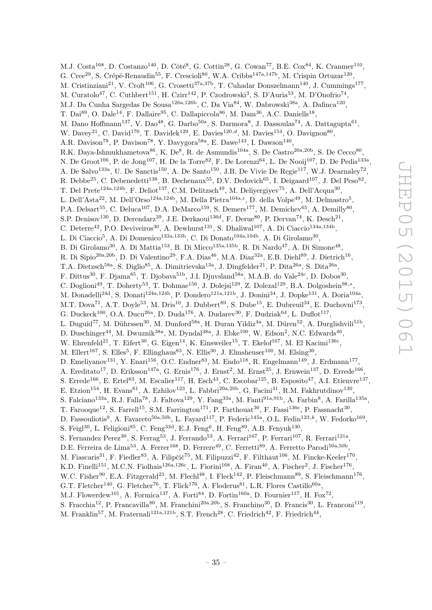M.J. Costa<sup>168</sup>, D. Costanzo<sup>140</sup>, D. Côté<sup>8</sup>, G. Cottin<sup>28</sup>, G. Cowan<sup>77</sup>, B.E. Cox<sup>84</sup>, K. Cranmer<sup>110</sup>, G. Cree<sup>29</sup>, S. Crépé-Renaudin<sup>55</sup>, F. Crescioli<sup>80</sup>, W.A. Cribbs<sup>147a,147b</sup>, M. Crispin Ortuzar<sup>120</sup>, M. Cristinziani<sup>21</sup>, V. Croft<sup>106</sup>, G. Crosetti<sup>37a,37b</sup>, T. Cuhadar Donszelmann<sup>140</sup>, J. Cummings<sup>177</sup>, M. Curatolo<sup>47</sup>, C. Cuthbert<sup>151</sup>, H. Czirr<sup>142</sup>, P. Czodrowski<sup>3</sup>, S. D'Auria<sup>53</sup>, M. D'Onofrio<sup>74</sup>, M.J. Da Cunha Sargedas De Sousa<sup>126a,126b</sup>, C. Da Via<sup>84</sup>, W. Dabrowski<sup>38a</sup>, A. Dafinca<sup>120</sup>, T. Dai<sup>89</sup>, O. Dale<sup>14</sup>, F. Dallaire<sup>95</sup>, C. Dallapiccola<sup>86</sup>, M. Dam<sup>36</sup>, A.C. Daniells<sup>18</sup>, M. Dano Hoffmann<sup>137</sup>, V. Dao<sup>48</sup>, G. Darbo<sup>50a</sup>, S. Darmora<sup>8</sup>, J. Dassoulas<sup>74</sup>, A. Dattagupta<sup>61</sup>, W. Davey<sup>21</sup>, C. David<sup>170</sup>, T. Davidek<sup>129</sup>, E. Davies<sup>120,d</sup>, M. Davies<sup>154</sup>, O. Davignon<sup>80</sup>, A.R. Davison<sup>78</sup>, P. Davison<sup>78</sup>, Y. Davygora<sup>58a</sup>, E. Dawe<sup>143</sup>, I. Dawson<sup>140</sup>, R.K. Daya-Ishmukhametova<sup>86</sup>, K. De<sup>8</sup>, R. de Asmundis<sup>104a</sup>, S. De Castro<sup>20a, 20b</sup>, S. De Cecco<sup>80</sup>, N. De Groot<sup>106</sup>, P. de Jong<sup>107</sup>, H. De la Torre<sup>82</sup>, F. De Lorenzi<sup>64</sup>, L. De Nooij<sup>107</sup>, D. De Pedis<sup>133a</sup>, A. De Salvo<sup>133a</sup>, U. De Sanctis<sup>150</sup>, A. De Santo<sup>150</sup>, J.B. De Vivie De Regie<sup>117</sup>, W.J. Dearnaley<sup>72</sup>, R. Debbe<sup>25</sup>, C. Debenedetti<sup>138</sup>, B. Dechenaux<sup>55</sup>, D.V. Dedovich<sup>65</sup>, I. Deigaard<sup>107</sup>, J. Del Peso<sup>82</sup>, T. Del Prete<sup>124a,124b</sup>, F. Deliot<sup>137</sup>, C.M. Delitzsch<sup>49</sup>, M. Deliyergiyev<sup>75</sup>, A. Dell'Acqua<sup>30</sup>, L. Dell'Asta<sup>22</sup>, M. Dell'Orso<sup>124a,124b</sup>, M. Della Pietra<sup>104a, $i$ , D. della Volpe<sup>49</sup>, M. Delmastro<sup>5</sup>,</sup> P.A. Delsart<sup>55</sup>, C. Deluca<sup>107</sup>, D.A. DeMarco<sup>159</sup>, S. Demers<sup>177</sup>, M. Demichev<sup>65</sup>, A. Demilly<sup>80</sup>, S.P. Denisov<sup>130</sup>, D. Derendarz<sup>39</sup>, J.E. Derkaoui<sup>136d</sup>, F. Derue<sup>80</sup>, P. Dervan<sup>74</sup>, K. Desch<sup>21</sup>, C. Deterre<sup>42</sup>, P.O. Deviveiros<sup>30</sup>, A. Dewhurst<sup>131</sup>, S. Dhaliwal<sup>107</sup>, A. Di Ciaccio<sup>134a,134b</sup>, L. Di Ciaccio<sup>5</sup>, A. Di Domenico<sup>133a,133b</sup>, C. Di Donato<sup>104a,104b</sup>, A. Di Girolamo<sup>30</sup>, B. Di Girolamo<sup>30</sup>, A. Di Mattia<sup>153</sup>, B. Di Micco<sup>135a,135b</sup>, R. Di Nardo<sup>47</sup>, A. Di Simone<sup>48</sup>, R. Di Sipio<sup>20a, 20b</sup>, D. Di Valentino<sup>29</sup>, F.A. Dias<sup>46</sup>, M.A. Diaz<sup>32a</sup>, E.B. Diehl<sup>89</sup>, J. Dietrich<sup>16</sup>, T.A. Dietzsch<sup>58a</sup>, S. Diglio<sup>85</sup>, A. Dimitrievska<sup>13a</sup>, J. Dingfelder<sup>21</sup>, P. Dita<sup>26a</sup>, S. Dita<sup>26a</sup>, F. Dittus<sup>30</sup>, F. Djama<sup>85</sup>, T. Djobava<sup>51b</sup>, J.I. Djuvsland<sup>58a</sup>, M.A.B. do Vale<sup>24c</sup>, D. Dobos<sup>30</sup>, C. Doglioni<sup>49</sup>, T. Doherty<sup>53</sup>, T. Dohmae<sup>156</sup>, J. Dolejsi<sup>129</sup>, Z. Dolezal<sup>129</sup>, B.A. Dolgoshein<sup>98,\*</sup>, M. Donadelli<sup>24d</sup>, S. Donati<sup>124a,124b</sup>, P. Dondero<sup>121a,121b</sup>, J. Donini<sup>34</sup>, J. Dopke<sup>131</sup>, A. Doria<sup>104a</sup>, M.T. Dova<sup>71</sup>, A.T. Doyle<sup>53</sup>, M. Dris<sup>10</sup>, J. Dubbert<sup>89</sup>, S. Dube<sup>15</sup>, E. Dubreuil<sup>34</sup>, E. Duchovni<sup>173</sup>, G. Duckeck<sup>100</sup>, O.A. Ducu<sup>26a</sup>, D. Duda<sup>176</sup>, A. Dudarev<sup>30</sup>, F. Dudziak<sup>64</sup>, L. Duflot<sup>117</sup>, L. Duguid<sup>77</sup>, M. Dührssen<sup>30</sup>, M. Dunford<sup>58a</sup>, H. Duran Yildiz<sup>4a</sup>, M. Düren<sup>52</sup>, A. Durglishvili<sup>51b</sup>, D. Duschinger<sup>44</sup>, M. Dwuznik<sup>38a</sup>, M. Dyndal<sup>38a</sup>, J. Ebke<sup>100</sup>, W. Edson<sup>2</sup>, N.C. Edwards<sup>46</sup>, W. Ehrenfeld<sup>21</sup>, T. Eifert<sup>30</sup>, G. Eigen<sup>14</sup>, K. Einsweiler<sup>15</sup>, T. Ekelof<sup>167</sup>, M. El Kacimi<sup>136c</sup>, M. Ellert<sup>167</sup>, S. Elles<sup>5</sup>, F. Ellinghaus<sup>83</sup>, N. Ellis<sup>30</sup>, J. Elmsheuser<sup>100</sup>, M. Elsing<sup>30</sup>, D. Emeliyanov<sup>131</sup>, Y. Enari<sup>156</sup>, O.C. Endner<sup>83</sup>, M. Endo<sup>118</sup>, R. Engelmann<sup>149</sup>, J. Erdmann<sup>177</sup>, A. Ereditato<sup>17</sup>, D. Eriksson<sup>147a</sup>, G. Ernis<sup>176</sup>, J. Ernst<sup>2</sup>, M. Ernst<sup>25</sup>, J. Ernwein<sup>137</sup>, D. Errede<sup>166</sup>, S. Errede<sup>166</sup>, E. Ertel<sup>83</sup>, M. Escalier<sup>117</sup>, H. Esch<sup>43</sup>, C. Escobar<sup>125</sup>, B. Esposito<sup>47</sup>, A.I. Etienvre<sup>137</sup>, E. Etzion<sup>154</sup>, H. Evans<sup>61</sup>, A. Ezhilov<sup>123</sup>, L. Fabbri<sup>20a, 20b</sup>, G. Facini<sup>31</sup>, R.M. Fakhrutdinov<sup>130</sup>, S. Falciano<sup>133a</sup>, R.J. Falla<sup>78</sup>, J. Faltova<sup>129</sup>, Y. Fang<sup>33a</sup>, M. Fanti<sup>91a,91b</sup>, A. Farbin<sup>8</sup>, A. Farilla<sup>135a</sup>, T. Farooque<sup>12</sup>, S. Farrell<sup>15</sup>, S.M. Farrington<sup>171</sup>, P. Farthouat<sup>30</sup>, F. Fassi<sup>136e</sup>, P. Fassnacht<sup>30</sup>, D. Fassouliotis<sup>9</sup>, A. Favareto<sup>50a,50b</sup>, L. Fayard<sup>117</sup>, P. Federic<sup>145a</sup>, O.L. Fedin<sup>123,k</sup>, W. Fedorko<sup>169</sup>, S. Feigl<sup>30</sup>, L. Feligioni<sup>85</sup>, C. Feng<sup>33d</sup>, E.J. Feng<sup>6</sup>, H. Feng<sup>89</sup>, A.B. Fenyuk<sup>130</sup>, S. Fernandez Perez<sup>30</sup>, S. Ferrag<sup>53</sup>, J. Ferrando<sup>53</sup>, A. Ferrari<sup>167</sup>, P. Ferrari<sup>107</sup>, R. Ferrari<sup>121a</sup>, D.E. Ferreira de Lima<sup>53</sup>, A. Ferrer<sup>168</sup>, D. Ferrere<sup>49</sup>, C. Ferretti<sup>89</sup>, A. Ferretto Parodi<sup>50a,50b</sup>, M. Fiascaris<sup>31</sup>, F. Fiedler<sup>83</sup>, A. Filipčič<sup>75</sup>, M. Filipuzzi<sup>42</sup>, F. Filthaut<sup>106</sup>, M. Fincke-Keeler<sup>170</sup>, K.D. Finelli<sup>151</sup>, M.C.N. Fiolhais<sup>126a,126c</sup>, L. Fiorini<sup>168</sup>, A. Firan<sup>40</sup>, A. Fischer<sup>2</sup>, J. Fischer<sup>176</sup>, W.C. Fisher<sup>90</sup>, E.A. Fitzgerald<sup>23</sup>, M. Flech<sup>148</sup>, I. Fleck<sup>142</sup>, P. Fleischmann<sup>89</sup>, S. Fleischmann<sup>176</sup>, G.T. Fletcher<sup>140</sup>, G. Fletcher<sup>76</sup>, T. Flick<sup>176</sup>, A. Floderus<sup>81</sup>, L.R. Flores Castillo<sup>60a</sup>, M.J. Flowerdew<sup>101</sup>, A. Formica<sup>137</sup>, A. Forti<sup>84</sup>, D. Fortin<sup>160a</sup>, D. Fournier<sup>117</sup>, H. Fox<sup>72</sup>, S. Fracchia<sup>12</sup>, P. Francavilla<sup>80</sup>, M. Franchini<sup>20a,20b</sup>, S. Franchino<sup>30</sup>, D. Francis<sup>30</sup>, L. Franconi<sup>119</sup>,

M. Franklin<sup>57</sup>, M. Fraternali<sup>121a,121b</sup>, S.T. French<sup>28</sup>, C. Friedrich<sup>42</sup>, F. Friedrich<sup>44</sup>,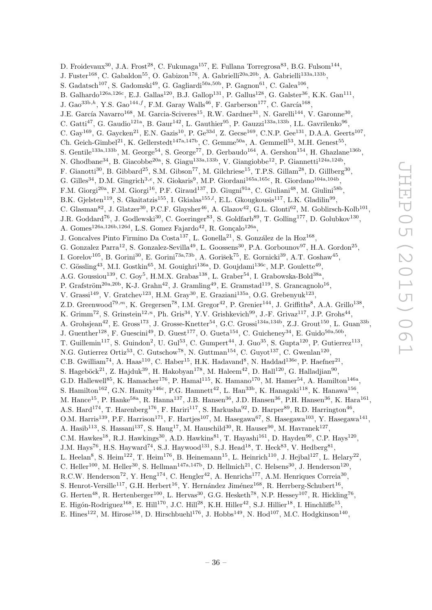D. Froidevaux $^{30}$ , J.A. Frost $^{28}$ , C. Fukunaga $^{157}$ , E. Fullana Torregrosa $^{83}$ , B.G. Fulsom $^{144}$ , J. Fuster<sup>168</sup>, C. Gabaldon<sup>55</sup>, O. Gabizon<sup>176</sup>, A. Gabrielli<sup>20a,20b</sup>, A. Gabrielli<sup>133a,133b</sup>, S. Gadatsch<sup>107</sup>, S. Gadomski<sup>49</sup>, G. Gagliardi<sup>50a,50b</sup>, P. Gagnon<sup>61</sup>, C. Galea<sup>106</sup>, B. Galhardo<sup>126a,126c</sup>, E.J. Gallas<sup>120</sup>, B.J. Gallop<sup>131</sup>, P. Gallus<sup>128</sup>, G. Galster<sup>36</sup>, K.K. Gan<sup>111</sup>, J. Gao<sup>33b,h</sup>, Y.S. Gao<sup>144,f</sup>, F.M. Garay Walls<sup>46</sup>, F. Garberson<sup>177</sup>, C. García<sup>168</sup>, J.E. García Navarro<sup>168</sup>, M. Garcia-Sciveres<sup>15</sup>, R.W. Gardner<sup>31</sup>, N. Garelli<sup>144</sup>, V. Garonne<sup>30</sup>, C. Gatti<sup>47</sup>, G. Gaudio<sup>121a</sup>, B. Gaur<sup>142</sup>, L. Gauthier<sup>95</sup>, P. Gauzzi<sup>133a,133b</sup>, I.L. Gavrilenko<sup>96</sup>, C. Gay<sup>169</sup>, G. Gaycken<sup>21</sup>, E.N. Gazis<sup>10</sup>, P. Ge<sup>33d</sup>, Z. Gecse<sup>169</sup>, C.N.P. Gee<sup>131</sup>, D.A.A. Geerts<sup>107</sup>, Ch. Geich-Gimbel<sup>21</sup>, K. Gellerstedt<sup>147a,147b</sup>, C. Gemme<sup>50a</sup>, A. Gemmell<sup>53</sup>, M.H. Genest<sup>55</sup>, S. Gentile<sup>133a,133b</sup>, M. George<sup>54</sup>, S. George<sup>77</sup>, D. Gerbaudo<sup>164</sup>, A. Gershon<sup>154</sup>, H. Ghazlane<sup>136b</sup>, N. Ghodbane<sup>34</sup>, B. Giacobbe<sup>20a</sup>, S. Giagu<sup>133a,133b</sup>, V. Giangiobbe<sup>12</sup>, P. Giannetti<sup>124a,124b</sup>, F. Gianotti<sup>30</sup>, B. Gibbard<sup>25</sup>, S.M. Gibson<sup>77</sup>, M. Gilchriese<sup>15</sup>, T.P.S. Gillam<sup>28</sup>, D. Gillberg<sup>30</sup>, G. Gilles<sup>34</sup>, D.M. Gingrich<sup>3,e</sup>, N. Giokaris<sup>9</sup>, M.P. Giordani<sup>165a,165c</sup>, R. Giordano<sup>104a,104b</sup>, F.M. Giorgi<sup>20a</sup>, F.M. Giorgi<sup>16</sup>, P.F. Giraud<sup>137</sup>, D. Giugni<sup>91a</sup>, C. Giuliani<sup>48</sup>, M. Giulini<sup>58b</sup>, B.K. Gjelsten<sup>119</sup>, S. Gkaitatzis<sup>155</sup>, I. Gkialas<sup>155,*l*</sup>, E.L. Gkougkousis<sup>117</sup>, L.K. Gladilin<sup>99</sup>, C. Glasman<sup>82</sup>, J. Glatzer<sup>30</sup>, P.C.F. Glaysher<sup>46</sup>, A. Glazov<sup>42</sup>, G.L. Glonti<sup>62</sup>, M. Goblirsch-Kolb<sup>101</sup>, J.R. Goddard<sup>76</sup>, J. Godlewski<sup>30</sup>, C. Goeringer<sup>83</sup>, S. Goldfarb<sup>89</sup>, T. Golling<sup>177</sup>, D. Golubkov<sup>130</sup>, A. Gomes<sup>126a,126b,126d</sup>, L.S. Gomez Fajardo<sup>42</sup>, R. Gonçalo<sup>126a</sup>, J. Goncalves Pinto Firmino Da Costa<sup>137</sup>, L. Gonella<sup>21</sup>, S. González de la Hoz<sup>168</sup>, G. Gonzalez Parra<sup>12</sup>, S. Gonzalez-Sevilla<sup>49</sup>, L. Goossens<sup>30</sup>, P.A. Gorbounov<sup>97</sup>, H.A. Gordon<sup>25</sup>, I. Gorelov<sup>105</sup>, B. Gorini<sup>30</sup>, E. Gorini<sup>73a,73b</sup>, A. Gorišek<sup>75</sup>, E. Gornicki<sup>39</sup>, A.T. Goshaw<sup>45</sup>, C. Gössling<sup>43</sup>, M.I. Gostkin<sup>65</sup>, M. Gouighri<sup>136a</sup>, D. Goujdami<sup>136c</sup>, M.P. Goulette<sup>49</sup>, A.G. Goussiou<sup>139</sup>, C. Goy<sup>5</sup>, H.M.X. Grabas<sup>138</sup>, L. Graber<sup>54</sup>, I. Grabowska-Bold<sup>38a</sup>, P. Grafström<sup>20a, 20b</sup>, K-J. Grahn<sup>42</sup>, J. Gramling<sup>49</sup>, E. Gramstad<sup>119</sup>, S. Grancagnolo<sup>16</sup>, V. Grassi<sup>149</sup>, V. Gratchev<sup>123</sup>, H.M. Gray<sup>30</sup>, E. Graziani<sup>135a</sup>, O.G. Grebenyuk<sup>123</sup>, Z.D. Greenwood<sup>79,*m*</sup>, K. Gregersen<sup>78</sup>, I.M. Gregor<sup>42</sup>, P. Grenier<sup>144</sup>, J. Griffiths<sup>8</sup>, A.A. Grillo<sup>138</sup>, K. Grimm<sup>72</sup>, S. Grinstein<sup>12,n</sup>, Ph. Gris<sup>34</sup>, Y.V. Grishkevich<sup>99</sup>, J.-F. Grivaz<sup>117</sup>, J.P. Grohs<sup>44</sup>, A. Grohsjean<sup>42</sup>, E. Gross<sup>173</sup>, J. Grosse-Knetter<sup>54</sup>, G.C. Grossi<sup>134a,134b</sup>, Z.J. Grout<sup>150</sup>, L. Guan<sup>33b</sup>, J. Guenther<sup>128</sup>, F. Guescini<sup>49</sup>, D. Guest<sup>177</sup>, O. Gueta<sup>154</sup>, C. Guicheney<sup>34</sup>, E. Guido<sup>50a,50b</sup>, T. Guillemin<sup>117</sup>, S. Guindon<sup>2</sup>, U. Gul<sup>53</sup>, C. Gumpert<sup>44</sup>, J. Guo<sup>35</sup>, S. Gupta<sup>120</sup>, P. Gutierrez<sup>113</sup>, N.G. Gutierrez Ortiz<sup>53</sup>, C. Gutschow<sup>78</sup>, N. Guttman<sup>154</sup>, C. Guyot<sup>137</sup>, C. Gwenlan<sup>120</sup>, C.B. Gwilliam<sup>74</sup>, A. Haas<sup>110</sup>, C. Haber<sup>15</sup>, H.K. Hadavand<sup>8</sup>, N. Haddad<sup>136e</sup>, P. Haefner<sup>21</sup>, S. Hageböck<sup>21</sup>, Z. Hajduk<sup>39</sup>, H. Hakobyan<sup>178</sup>, M. Haleem<sup>42</sup>, D. Hall<sup>120</sup>, G. Halladjian<sup>90</sup>, G.D. Hallewell<sup>85</sup>, K. Hamacher<sup>176</sup>, P. Hamal<sup>115</sup>, K. Hamano<sup>170</sup>, M. Hamer<sup>54</sup>, A. Hamilton<sup>146a</sup>, S. Hamilton<sup>162</sup>, G.N. Hamity<sup>146c</sup>, P.G. Hamnett<sup>42</sup>, L. Han<sup>33b</sup>, K. Hanagaki<sup>118</sup>, K. Hanawa<sup>156</sup>, M. Hance<sup>15</sup>, P. Hanke<sup>58a</sup>, R. Hanna<sup>137</sup>, J.B. Hansen<sup>36</sup>, J.D. Hansen<sup>36</sup>, P.H. Hansen<sup>36</sup>, K. Hara<sup>161</sup>, A.S. Hard<sup>174</sup>, T. Harenberg<sup>176</sup>, F. Hariri<sup>117</sup>, S. Harkusha<sup>92</sup>, D. Harper<sup>89</sup>, R.D. Harrington<sup>46</sup>, O.M. Harris<sup>139</sup>, P.F. Harrison<sup>171</sup>, F. Hartjes<sup>107</sup>, M. Hasegawa<sup>67</sup>, S. Hasegawa<sup>103</sup>, Y. Hasegawa<sup>141</sup>, A. Hasib<sup>113</sup>, S. Hassani<sup>137</sup>, S. Haug<sup>17</sup>, M. Hauschild<sup>30</sup>, R. Hauser<sup>90</sup>, M. Havranek<sup>127</sup>, C.M. Hawkes<sup>18</sup>, R.J. Hawkings<sup>30</sup>, A.D. Hawkins<sup>81</sup>, T. Hayashi<sup>161</sup>, D. Hayden<sup>90</sup>, C.P. Hays<sup>120</sup>, J.M. Hays<sup>76</sup>, H.S. Hayward<sup>74</sup>, S.J. Haywood<sup>131</sup>, S.J. Head<sup>18</sup>, T. Heck<sup>83</sup>, V. Hedberg<sup>81</sup>, L. Heelan<sup>8</sup>, S. Heim<sup>122</sup>, T. Heim<sup>176</sup>, B. Heinemann<sup>15</sup>, L. Heinrich<sup>110</sup>, J. Hejbal<sup>127</sup>, L. Helary<sup>22</sup>, C. Heller<sup>100</sup>, M. Heller<sup>30</sup>, S. Hellman<sup>147a,147b</sup>, D. Hellmich<sup>21</sup>, C. Helsens<sup>30</sup>, J. Henderson<sup>120</sup>, R.C.W. Henderson<sup>72</sup>, Y. Heng<sup>174</sup>, C. Hengler<sup>42</sup>, A. Henrichs<sup>177</sup>, A.M. Henriques Correia<sup>30</sup>, S. Henrot-Versille<sup>117</sup>, G.H. Herbert<sup>16</sup>, Y. Hernández Jiménez<sup>168</sup>, R. Herrberg-Schubert<sup>16</sup>, G. Herten<sup>48</sup>, R. Hertenberger<sup>100</sup>, L. Hervas<sup>30</sup>, G.G. Hesketh<sup>78</sup>, N.P. Hessey<sup>107</sup>, R. Hickling<sup>76</sup>,

E. Higón-Rodriguez<sup>168</sup>, E. Hill<sup>170</sup>, J.C. Hill<sup>28</sup>, K.H. Hiller<sup>42</sup>, S.J. Hillier<sup>18</sup>, I. Hinchliffe<sup>15</sup>, E. Hines<sup>122</sup>, M. Hirose<sup>158</sup>, D. Hirschbuehl<sup>176</sup>, J. Hobbs<sup>149</sup>, N. Hod<sup>107</sup>, M.C. Hodgkinson<sup>140</sup>,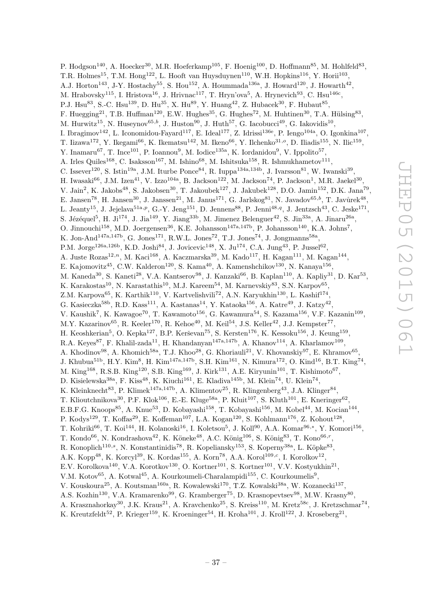P. Hodgson<sup>140</sup>, A. Hoecker<sup>30</sup>, M.R. Hoeferkamp<sup>105</sup>, F. Hoenig<sup>100</sup>, D. Hoffmann<sup>85</sup>, M. Hohlfeld<sup>83</sup>, T.R. Holmes<sup>15</sup>, T.M. Hong<sup>122</sup>, L. Hooft van Huysduynen<sup>110</sup>, W.H. Hopkins<sup>116</sup>, Y. Horii<sup>103</sup>, A.J. Horton<sup>143</sup>, J-Y. Hostachy<sup>55</sup>, S. Hou<sup>152</sup>, A. Hoummada<sup>136a</sup>, J. Howard<sup>120</sup>, J. Howarth<sup>42</sup>, M. Hrabovsky<sup>115</sup>, I. Hristova<sup>16</sup>, J. Hrivnac<sup>117</sup>, T. Hryn'ova<sup>5</sup>, A. Hrynevich<sup>93</sup>, C. Hsu<sup>146c</sup>, P.J. Hsu<sup>83</sup>, S.-C. Hsu<sup>139</sup>, D. Hu<sup>35</sup>, X. Hu<sup>89</sup>, Y. Huang<sup>42</sup>, Z. Hubacek<sup>30</sup>, F. Hubaut<sup>85</sup>, F. Huegging<sup>21</sup>, T.B. Huffman<sup>120</sup>, E.W. Hughes<sup>35</sup>, G. Hughes<sup>72</sup>, M. Huhtinen<sup>30</sup>, T.A. Hülsing<sup>83</sup>, M. Hurwitz<sup>15</sup>, N. Huseynov<sup>65,b</sup>, J. Huston<sup>90</sup>, J. Huth<sup>57</sup>, G. Iacobucci<sup>49</sup>, G. Iakovidis<sup>10</sup>, I. Ibragimov<sup>142</sup>, L. Iconomidou-Fayard<sup>117</sup>, E. Ideal<sup>177</sup>, Z. Idrissi<sup>136e</sup>, P. Iengo<sup>104a</sup>, O. Igonkina<sup>107</sup>, T. Iizawa<sup>172</sup>, Y. Ikegami<sup>66</sup>, K. Ikematsu<sup>142</sup>, M. Ikeno<sup>66</sup>, Y. Ilchenko<sup>31,0</sup>, D. Iliadis<sup>155</sup>, N. Ilic<sup>159</sup>, Y. Inamaru<sup>67</sup>, T. Ince<sup>101</sup>, P. Ioannou<sup>9</sup>, M. Iodice<sup>135a</sup>, K. Iordanidou<sup>9</sup>, V. Ippolito<sup>57</sup>, A. Irles Quiles<sup>168</sup>, C. Isaksson<sup>167</sup>, M. Ishino<sup>68</sup>, M. Ishitsuka<sup>158</sup>, R. Ishmukhametov<sup>111</sup>, C. Issever<sup>120</sup>, S. Istin<sup>19a</sup>, J.M. Iturbe Ponce<sup>84</sup>, R. Iuppa<sup>134a,134b</sup>, J. Ivarsson<sup>81</sup>, W. Iwanski<sup>39</sup>, H. Iwasaki $^{66}$ , J.M. Izen $^{41}$ , V. Izzo $^{104a}$ , B. Jackson $^{122}$ , M. Jackson $^{74}$ , P. Jackson $^1$ , M.R. Jaekel $^{30}$ , V. Jain<sup>2</sup>, K. Jakobs<sup>48</sup>, S. Jakobsen<sup>30</sup>, T. Jakoubek<sup>127</sup>, J. Jakubek<sup>128</sup>, D.O. Jamin<sup>152</sup>, D.K. Jana<sup>79</sup>, E. Jansen<sup>78</sup>, H. Jansen<sup>30</sup>, J. Janssen<sup>21</sup>, M. Janus<sup>171</sup>, G. Jarlskog<sup>81</sup>, N. Javadov<sup>65,b</sup>, T. Javůrek<sup>48</sup>, L. Jeanty<sup>15</sup>, J. Jejelava<sup>51a,p</sup>, G.-Y. Jeng<sup>151</sup>, D. Jennens<sup>88</sup>, P. Jenni<sup>48,q</sup>, J. Jentzsch<sup>43</sup>, C. Jeske<sup>171</sup>, S. Jézéquel<sup>5</sup>, H. Ji<sup>174</sup>, J. Jia<sup>149</sup>, Y. Jiang<sup>33b</sup>, M. Jimenez Belenguer<sup>42</sup>, S. Jin<sup>33a</sup>, A. Jinaru<sup>26a</sup>, O. Jinnouchi<sup>158</sup>, M.D. Joergensen<sup>36</sup>, K.E. Johansson<sup>147a,147b</sup>, P. Johansson<sup>140</sup>, K.A. Johns<sup>7</sup>, K. Jon-And<sup>147a,147b</sup>, G. Jones<sup>171</sup>, R.W.L. Jones<sup>72</sup>, T.J. Jones<sup>74</sup>, J. Jongmanns<sup>58a</sup>, P.M. Jorge<sup>126a,126b</sup>, K.D. Joshi<sup>84</sup>, J. Jovicevic<sup>148</sup>, X. Ju<sup>174</sup>, C.A. Jung<sup>43</sup>, P. Jussel<sup>62</sup>, A. Juste Rozas<sup>12,n</sup>, M. Kaci<sup>168</sup>, A. Kaczmarska<sup>39</sup>, M. Kado<sup>117</sup>, H. Kagan<sup>111</sup>, M. Kagan<sup>144</sup>, E. Kajomovitz<sup>45</sup>, C.W. Kalderon<sup>120</sup>, S. Kama<sup>40</sup>, A. Kamenshchikov<sup>130</sup>, N. Kanaya<sup>156</sup>, M. Kaneda<sup>30</sup>, S. Kaneti<sup>28</sup>, V.A. Kantserov<sup>98</sup>, J. Kanzaki<sup>66</sup>, B. Kaplan<sup>110</sup>, A. Kapliy<sup>31</sup>, D. Kar<sup>53</sup>, K. Karakostas<sup>10</sup>, N. Karastathis<sup>10</sup>, M.J. Kareem<sup>54</sup>, M. Karnevskiy<sup>83</sup>, S.N. Karpov<sup>65</sup>, Z.M. Karpova<sup>65</sup>, K. Karthik<sup>110</sup>, V. Kartvelishvili<sup>72</sup>, A.N. Karyukhin<sup>130</sup>, L. Kashif<sup>174</sup>, G. Kasieczka<sup>58b</sup>, R.D. Kass<sup>111</sup>, A. Kastanas<sup>14</sup>, Y. Kataoka<sup>156</sup>, A. Katre<sup>49</sup>, J. Katzy<sup>42</sup>, V. Kaushik<sup>7</sup>, K. Kawagoe<sup>70</sup>, T. Kawamoto<sup>156</sup>, G. Kawamura<sup>54</sup>, S. Kazama<sup>156</sup>, V.F. Kazanin<sup>109</sup>, M.Y. Kazarinov $^{65}$ , R. Keeler<sup>170</sup>, R. Kehoe<sup>40</sup>, M. Keil<sup>54</sup>, J.S. Keller<sup>42</sup>, J.J. Kempster<sup>77</sup>, H. Keoshkerian<sup>5</sup>, O. Kepka<sup>127</sup>, B.P. Kerševan<sup>75</sup>, S. Kersten<sup>176</sup>, K. Kessoku<sup>156</sup>, J. Keung<sup>159</sup>, R.A. Keyes<sup>87</sup>, F. Khalil-zada<sup>11</sup>, H. Khandanyan<sup>147a,147b</sup>, A. Khanov<sup>114</sup>, A. Kharlamov<sup>109</sup>, A. Khodinov<sup>98</sup>, A. Khomich<sup>58a</sup>, T.J. Khoo<sup>28</sup>, G. Khoriauli<sup>21</sup>, V. Khovanskiy<sup>97</sup>, E. Khramov<sup>65</sup>, J. Khubua<sup>51b</sup>, H.Y. Kim<sup>8</sup>, H. Kim<sup>147a,147b</sup>, S.H. Kim<sup>161</sup>, N. Kimura<sup>172</sup>, O. Kind<sup>16</sup>, B.T. King<sup>74</sup>, M. King<sup>168</sup>, R.S.B. King<sup>120</sup>, S.B. King<sup>169</sup>, J. Kirk<sup>131</sup>, A.E. Kiryunin<sup>101</sup>, T. Kishimoto<sup>67</sup>, D. Kisielewska<sup>38a</sup>, F. Kiss<sup>48</sup>, K. Kiuchi<sup>161</sup>, E. Kladiva<sup>145b</sup>, M. Klein<sup>74</sup>, U. Klein<sup>74</sup>, K. Kleinknecht<sup>83</sup>, P. Klimek<sup>147a,147b</sup>, A. Klimentov<sup>25</sup>, R. Klingenberg<sup>43</sup>, J.A. Klinger<sup>84</sup>, T. Klioutchnikova<sup>30</sup>, P.F. Klok<sup>106</sup>, E.-E. Kluge<sup>58a</sup>, P. Kluit<sup>107</sup>, S. Kluth<sup>101</sup>, E. Kneringer<sup>62</sup>, E.B.F.G. Knoops<sup>85</sup>, A. Knue<sup>53</sup>, D. Kobayashi<sup>158</sup>, T. Kobayashi<sup>156</sup>, M. Kobel<sup>44</sup>, M. Kocian<sup>144</sup>, P. Kodys<sup>129</sup>, T. Koffas<sup>29</sup>, E. Koffeman<sup>107</sup>, L.A. Kogan<sup>120</sup>, S. Kohlmann<sup>176</sup>, Z. Kohout<sup>128</sup>, T. Kohriki $^{66}$ , T. Koi $^{144}$ , H. Kolanoski $^{16}$ , I. Koletsou<sup>5</sup>, J. Koll<sup>90</sup>, A.A. Komar<sup>96,\*</sup>, Y. Komori $^{156}$ , T. Kondo<sup>66</sup>, N. Kondrashova<sup>42</sup>, K. Köneke<sup>48</sup>, A.C. König<sup>106</sup>, S. König<sup>83</sup>, T. Kono<sup>66,r</sup>, R. Konoplich<sup>110,s</sup>, N. Konstantinidis<sup>78</sup>, R. Kopeliansky<sup>153</sup>, S. Koperny<sup>38a</sup>, L. Köpke<sup>83</sup>, A.K. Kopp<sup>48</sup>, K. Korcyl<sup>39</sup>, K. Kordas<sup>155</sup>, A. Korn<sup>78</sup>, A.A. Korol<sup>109,c</sup>, I. Korolkov<sup>12</sup>, E.V. Korolkova<sup>140</sup>, V.A. Korotkov<sup>130</sup>, O. Kortner<sup>101</sup>, S. Kortner<sup>101</sup>, V.V. Kostyukhin<sup>21</sup>, V.M. Kotov<sup>65</sup>, A. Kotwal<sup>45</sup>, A. Kourkoumeli-Charalampidi<sup>155</sup>, C. Kourkoumelis<sup>9</sup>, V. Kouskoura<sup>25</sup>, A. Koutsman<sup>160a</sup>, R. Kowalewski<sup>170</sup>, T.Z. Kowalski<sup>38a</sup>, W. Kozanecki<sup>137</sup>, A.S. Kozhin<sup>130</sup>, V.A. Kramarenko<sup>99</sup>, G. Kramberger<sup>75</sup>, D. Krasnopevtsev<sup>98</sup>, M.W. Krasny<sup>80</sup>, A. Krasznahorkay<sup>30</sup>, J.K. Kraus<sup>21</sup>, A. Kravchenko<sup>25</sup>, S. Kreiss<sup>110</sup>, M. Kretz<sup>58c</sup>, J. Kretzschmar<sup>74</sup>,

K. Kreutzfeldt<sup>52</sup>, P. Krieger<sup>159</sup>, K. Kroeninger<sup>54</sup>, H. Kroha<sup>101</sup>, J. Kroll<sup>122</sup>, J. Kroseberg<sup>21</sup>,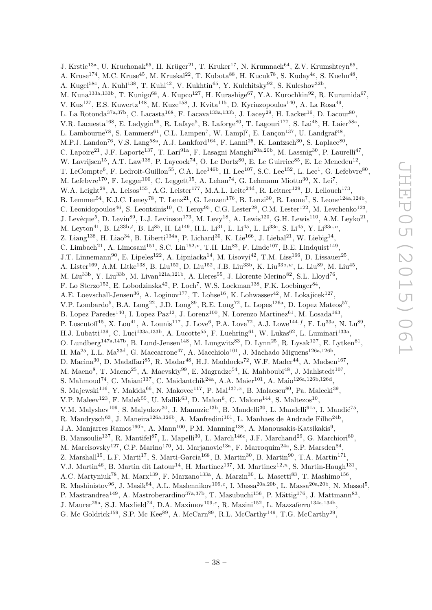J. Krstic<sup>13a</sup>, U. Kruchonak<sup>65</sup>, H. Krüger<sup>21</sup>, T. Kruker<sup>17</sup>, N. Krumnack<sup>64</sup>, Z.V. Krumshteyn<sup>65</sup>, A. Kruse<sup>174</sup>, M.C. Kruse<sup>45</sup>, M. Kruskal<sup>22</sup>, T. Kubota<sup>88</sup>, H. Kucuk<sup>78</sup>, S. Kuday<sup>4c</sup>, S. Kuehn<sup>48</sup>, A. Kugel<sup>58c</sup>, A. Kuhl<sup>138</sup>, T. Kuhl<sup>42</sup>, V. Kukhtin<sup>65</sup>, Y. Kulchitsky<sup>92</sup>, S. Kuleshov<sup>32b</sup>, M. Kuna<sup>133a,133b</sup>, T. Kunigo<sup>68</sup>, A. Kupco<sup>127</sup>, H. Kurashige<sup>67</sup>, Y.A. Kurochkin<sup>92</sup>, R. Kurumida<sup>67</sup>, V. Kus<sup>127</sup>, E.S. Kuwertz<sup>148</sup>, M. Kuze<sup>158</sup>, J. Kvita<sup>115</sup>, D. Kyriazopoulos<sup>140</sup>, A. La Rosa<sup>49</sup>, L. La Rotonda<sup>37a,37b</sup>, C. Lacasta<sup>168</sup>, F. Lacava<sup>133a,133b</sup>, J. Lacey<sup>29</sup>, H. Lacker<sup>16</sup>, D. Lacour<sup>80</sup>, V.R. Lacuesta<sup>168</sup>, E. Ladygin<sup>65</sup>, R. Lafaye<sup>5</sup>, B. Laforge<sup>80</sup>, T. Lagouri<sup>177</sup>, S. Lai<sup>48</sup>, H. Laier<sup>58a</sup>, L. Lambourne<sup>78</sup>, S. Lammers<sup>61</sup>, C.L. Lampen<sup>7</sup>, W. Lampl<sup>7</sup>, E. Lançon<sup>137</sup>, U. Landgraf<sup>48</sup>, M.P.J. Landon<sup>76</sup>, V.S. Lang<sup>58a</sup>, A.J. Lankford<sup>164</sup>, F. Lanni<sup>25</sup>, K. Lantzsch<sup>30</sup>, S. Laplace<sup>80</sup>, C. Lapoire<sup>21</sup>, J.F. Laporte<sup>137</sup>, T. Lari<sup>91a</sup>, F. Lasagni Manghi<sup>20a,20b</sup>, M. Lassnig<sup>30</sup>, P. Laurelli<sup>47</sup>, W. Lavrijsen<sup>15</sup>, A.T. Law<sup>138</sup>, P. Laycock<sup>74</sup>, O. Le Dortz<sup>80</sup>, E. Le Guirriec<sup>85</sup>, E. Le Menedeu<sup>12</sup>, T. LeCompte<sup>6</sup>, F. Ledroit-Guillon<sup>55</sup>, C.A. Lee<sup>146b</sup>, H. Lee<sup>107</sup>, S.C. Lee<sup>152</sup>, L. Lee<sup>1</sup>, G. Lefebvre<sup>80</sup>, M. Lefebvre<sup>170</sup>, F. Legger<sup>100</sup>, C. Leggett<sup>15</sup>, A. Lehan<sup>74</sup>, G. Lehmann Miotto<sup>30</sup>, X. Lei<sup>7</sup>, W.A. Leight<sup>29</sup>, A. Leisos<sup>155</sup>, A.G. Leister<sup>177</sup>, M.A.L. Leite<sup>24d</sup>, R. Leitner<sup>129</sup>, D. Lellouch<sup>173</sup>, B. Lemmer<sup>54</sup>, K.J.C. Leney<sup>78</sup>, T. Lenz<sup>21</sup>, G. Lenzen<sup>176</sup>, B. Lenzi<sup>30</sup>, R. Leone<sup>7</sup>, S. Leone<sup>124a,124b</sup>, C. Leonidopoulos<sup>46</sup>, S. Leontsinis<sup>10</sup>, C. Leroy<sup>95</sup>, C.G. Lester<sup>28</sup>, C.M. Lester<sup>122</sup>, M. Levchenko<sup>123</sup>, J. Levêque<sup>5</sup>, D. Levin<sup>89</sup>, L.J. Levinson<sup>173</sup>, M. Levy<sup>18</sup>, A. Lewis<sup>120</sup>, G.H. Lewis<sup>110</sup>, A.M. Leyko<sup>21</sup>, M. Leyton<sup>41</sup>, B. Li<sup>33b,t</sup>, B. Li<sup>85</sup>, H. Li<sup>149</sup>, H.L. Li<sup>31</sup>, L. Li<sup>45</sup>, L. Li<sup>33e</sup>, S. Li<sup>45</sup>, Y. Li<sup>33c,u</sup>, Z. Liang<sup>138</sup>, H. Liao<sup>34</sup>, B. Liberti<sup>134a</sup>, P. Lichard<sup>30</sup>, K. Lie<sup>166</sup>, J. Liebal<sup>21</sup>, W. Liebig<sup>14</sup>, C. Limbach<sup>21</sup>, A. Limosani<sup>151</sup>, S.C. Lin<sup>152,*v*</sup>, T.H. Lin<sup>83</sup>, F. Linde<sup>107</sup>, B.E. Lindquist<sup>149</sup>, J.T. Linnemann<sup>90</sup>, E. Lipeles<sup>122</sup>, A. Lipniacka<sup>14</sup>, M. Lisovyi<sup>42</sup>, T.M. Liss<sup>166</sup>, D. Lissauer<sup>25</sup>, A. Lister<sup>169</sup>, A.M. Litke<sup>138</sup>, B. Liu<sup>152</sup>, D. Liu<sup>152</sup>, J.B. Liu<sup>33b</sup>, K. Liu<sup>33b,w</sup>, L. Liu<sup>89</sup>, M. Liu<sup>45</sup>, M. Liu<sup>33b</sup>, Y. Liu<sup>33b</sup>, M. Livan<sup>121a,121b</sup>, A. Lleres<sup>55</sup>, J. Llorente Merino<sup>82</sup>, S.L. Lloyd<sup>76</sup>, F. Lo Sterzo<sup>152</sup>, E. Lobodzinska<sup>42</sup>, P. Loch<sup>7</sup>, W.S. Lockman<sup>138</sup>, F.K. Loebinger<sup>84</sup>, A.E. Loevschall-Jensen<sup>36</sup>, A. Loginov<sup>177</sup>, T. Lohse<sup>16</sup>, K. Lohwasser<sup>42</sup>, M. Lokajicek<sup>127</sup>, V.P. Lombardo<sup>5</sup>, B.A. Long<sup>22</sup>, J.D. Long<sup>89</sup>, R.E. Long<sup>72</sup>, L. Lopes<sup>126a</sup>, D. Lopez Mateos<sup>57</sup>, B. Lopez Paredes<sup>140</sup>, I. Lopez Paz<sup>12</sup>, J. Lorenz<sup>100</sup>, N. Lorenzo Martinez<sup>61</sup>, M. Losada<sup>163</sup>, P. Loscutoff<sup>15</sup>, X. Lou<sup>41</sup>, A. Lounis<sup>117</sup>, J. Love<sup>6</sup>, P.A. Love<sup>72</sup>, A.J. Lowe<sup>144,f</sup>, F. Lu<sup>33a</sup>, N. Lu<sup>89</sup>, H.J. Lubatti<sup>139</sup>, C. Luci<sup>133a,133b</sup>, A. Lucotte<sup>55</sup>, F. Luehring<sup>61</sup>, W. Lukas<sup>62</sup>, L. Luminari<sup>133a</sup>, O. Lundberg<sup>147a,147b</sup>, B. Lund-Jensen<sup>148</sup>, M. Lungwitz<sup>83</sup>, D. Lynn<sup>25</sup>, R. Lysak<sup>127</sup>, E. Lytken<sup>81</sup>, H. Ma<sup>25</sup>, L.L. Ma<sup>33d</sup>, G. Maccarrone<sup>47</sup>, A. Macchiolo<sup>101</sup>, J. Machado Miguens<sup>126a,126b</sup>, D. Macina<sup>30</sup>, D. Madaffari<sup>85</sup>, R. Madar<sup>48</sup>, H.J. Maddocks<sup>72</sup>, W.F. Mader<sup>44</sup>, A. Madsen<sup>167</sup>, M. Maeno<sup>8</sup>, T. Maeno<sup>25</sup>, A. Maevskiy<sup>99</sup>, E. Magradze<sup>54</sup>, K. Mahboubi<sup>48</sup>, J. Mahlstedt<sup>107</sup>, S. Mahmoud<sup>74</sup>, C. Maiani<sup>137</sup>, C. Maidantchik<sup>24a</sup>, A.A. Maier<sup>101</sup>, A. Maio<sup>126a,126b,126d</sup>, S. Majewski $^{116}$ , Y. Makida $^{66}$ , N. Makovec $^{117}$ , P. Mal $^{137,x}$ , B. Malaescu $^{80}$ , Pa. Malecki $^{39}$ , V.P. Maleev<sup>123</sup>, F. Malek<sup>55</sup>, U. Mallik<sup>63</sup>, D. Malon<sup>6</sup>, C. Malone<sup>144</sup>, S. Maltezos<sup>10</sup>, V.M. Malyshev<sup>109</sup>, S. Malyukov<sup>30</sup>, J. Mamuzic<sup>13b</sup>, B. Mandelli<sup>30</sup>, L. Mandelli<sup>91a</sup>, I. Mandić<sup>75</sup>, R. Mandrysch<sup>63</sup>, J. Maneira<sup>126a,126b</sup>, A. Manfredini<sup>101</sup>, L. Manhaes de Andrade Filho<sup>24b</sup>, J.A. Manjarres Ramos<sup>160b</sup>, A. Mann<sup>100</sup>, P.M. Manning<sup>138</sup>, A. Manousakis-Katsikakis<sup>9</sup>, B. Mansoulie<sup>137</sup>, R. Mantifel<sup>87</sup>, L. Mapelli<sup>30</sup>, L. March<sup>146c</sup>, J.F. Marchand<sup>29</sup>, G. Marchiori<sup>80</sup>, M. Marcisovsky<sup>127</sup>, C.P. Marino<sup>170</sup>, M. Marjanovic<sup>13a</sup>, F. Marroquim<sup>24a</sup>, S.P. Marsden<sup>84</sup>, Z. Marshall<sup>15</sup>, L.F. Marti<sup>17</sup>, S. Marti-Garcia<sup>168</sup>, B. Martin<sup>30</sup>, B. Martin<sup>90</sup>, T.A. Martin<sup>171</sup>, V.J. Martin<sup>46</sup>, B. Martin dit Latour<sup>14</sup>, H. Martinez<sup>137</sup>, M. Martinez<sup>12,n</sup>, S. Martin-Haugh<sup>131</sup>, A.C. Martyniuk<sup>78</sup>, M. Marx<sup>139</sup>, F. Marzano<sup>133a</sup>, A. Marzin<sup>30</sup>, L. Masetti<sup>83</sup>, T. Mashimo<sup>156</sup>, R. Mashinistov<sup>96</sup>, J. Masik<sup>84</sup>, A.L. Maslennikov<sup>109,*c*</sup>, I. Massa<sup>20a,20b</sup>, L. Massa<sup>20a,20b</sup>, N. Massol<sup>5</sup>, P. Mastrandrea<sup>149</sup>, A. Mastroberardino<sup>37a,37b</sup>, T. Masubuchi<sup>156</sup>, P. Mättig<sup>176</sup>, J. Mattmann<sup>83</sup>, J. Maurer<sup>26a</sup>, S.J. Maxfield<sup>74</sup>, D.A. Maximov<sup>109,c</sup>, R. Mazini<sup>152</sup>, L. Mazzaferro<sup>134a,134b</sup>,

G. Mc Goldrick<sup>159</sup>, S.P. Mc Kee<sup>89</sup>, A. McCarn<sup>89</sup>, R.L. McCarthy<sup>149</sup>, T.G. McCarthy<sup>29</sup>,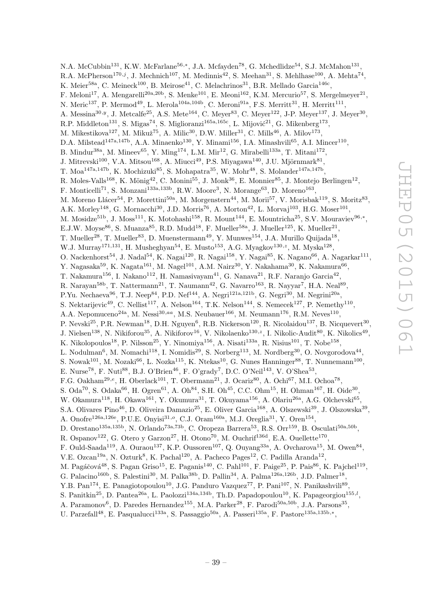N.A. McCubbin<sup>131</sup>, K.W. McFarlane<sup>56,\*</sup>, J.A. Mcfayden<sup>78</sup>, G. Mchedlidze<sup>54</sup>, S.J. McMahon<sup>131</sup>, R.A. McPherson<sup>170,j</sup>, J. Mechnich<sup>107</sup>, M. Medinnis<sup>42</sup>, S. Meehan<sup>31</sup>, S. Mehlhase<sup>100</sup>, A. Mehta<sup>74</sup>, K. Meier $^{58a}$ , C. Meineck $^{100}$ , B. Meirose $^{41}$ , C. Melachrinos $^{31}$ , B.R. Mellado Garcia $^{146c}$ , F. Meloni<sup>17</sup>, A. Mengarelli<sup>20a, 20b</sup>, S. Menke<sup>101</sup>, E. Meoni<sup>162</sup>, K.M. Mercurio<sup>57</sup>, S. Mergelmeyer<sup>21</sup>, N. Meric<sup>137</sup>, P. Mermod<sup>49</sup>, L. Merola<sup>104a,104b</sup>, C. Meroni<sup>91a</sup>, F.S. Merritt<sup>31</sup>, H. Merritt<sup>111</sup>, A. Messina<sup>30, y</sup>, J. Metcalfe<sup>25</sup>, A.S. Mete<sup>164</sup>, C. Meyer<sup>83</sup>, C. Meyer<sup>122</sup>, J-P. Meyer<sup>137</sup>, J. Meyer<sup>30</sup>, R.P. Middleton<sup>131</sup>, S. Migas<sup>74</sup>, S. Miglioranzi<sup>165a,165c</sup>, L. Mijović<sup>21</sup>, G. Mikenberg<sup>173</sup>, M. Mikestikova<sup>127</sup>, M. Mikuž<sup>75</sup>, A. Milic<sup>30</sup>, D.W. Miller<sup>31</sup>, C. Mills<sup>46</sup>, A. Milov<sup>173</sup>, D.A. Milstead<sup>147a,147b</sup>, A.A. Minaenko<sup>130</sup>, Y. Minami<sup>156</sup>, I.A. Minashvili<sup>65</sup>, A.I. Mincer<sup>110</sup>, B. Mindur<sup>38a</sup>, M. Mineev<sup>65</sup>, Y. Ming<sup>174</sup>, L.M. Mir<sup>12</sup>, G. Mirabelli<sup>133a</sup>, T. Mitani<sup>172</sup>, J. Mitrevski $^{100}$ , V.A. Mitsou $^{168}$ , A. Miucci $^{49}$ , P.S. Miyagawa $^{140}$ , J.U. Mjörnmark $^{81}$ , T. Moa<sup>147a,147b</sup>, K. Mochizuki<sup>85</sup>, S. Mohapatra<sup>35</sup>, W. Mohr<sup>48</sup>, S. Molander<sup>147a,147b</sup>, R. Moles-Valls<sup>168</sup>, K. Mönig<sup>42</sup>, C. Monini<sup>55</sup>, J. Monk<sup>36</sup>, E. Monnier<sup>85</sup>, J. Montejo Berlingen<sup>12</sup>, F. Monticelli<sup>71</sup>, S. Monzani<sup>133a,133b</sup>, R.W. Moore<sup>3</sup>, N. Morange<sup>63</sup>, D. Moreno<sup>163</sup>, M. Moreno Llácer<sup>54</sup>, P. Morettini<sup>50a</sup>, M. Morgenstern<sup>44</sup>, M. Morii<sup>57</sup>, V. Morisbak<sup>119</sup>, S. Moritz<sup>83</sup>, A.K. Morley<sup>148</sup>, G. Mornacchi<sup>30</sup>, J.D. Morris<sup>76</sup>, A. Morton<sup>42</sup>, L. Morvaj<sup>103</sup>, H.G. Moser<sup>101</sup>, M. Mosidze<sup>51b</sup>, J. Moss<sup>111</sup>, K. Motohashi<sup>158</sup>, R. Mount<sup>144</sup>, E. Mountricha<sup>25</sup>, S.V. Mouraviev<sup>96,\*</sup>, E.J.W. Moyse<sup>86</sup>, S. Muanza<sup>85</sup>, R.D. Mudd<sup>18</sup>, F. Mueller<sup>58a</sup>, J. Mueller<sup>125</sup>, K. Mueller<sup>21</sup>, T. Mueller<sup>28</sup>, T. Mueller<sup>83</sup>, D. Muenstermann<sup>49</sup>, Y. Munwes<sup>154</sup>, J.A. Murillo Quijada<sup>18</sup>, W.J. Murray<sup>171,131</sup>, H. Musheghyan<sup>54</sup>, E. Musto<sup>153</sup>, A.G. Myagkov<sup>130,z</sup>, M. Myska<sup>128</sup>, O. Nackenhorst $^{54}$ , J. Nadal $^{54}$ , K. Nagai $^{120}$ , R. Nagai $^{158}$ , Y. Nagai $^{85}$ , K. Nagano $^{66}$ , A. Nagarkar $^{111}$ , Y. Nagasaka $^{59}$ , K. Nagata $^{161}$ , M. Nagel $^{101}$ , A.M. Nairz $^{30}$ , Y. Nakahama $^{30}$ , K. Nakamura $^{66}$ , T. Nakamura<sup>156</sup>, I. Nakano<sup>112</sup>, H. Namasivayam<sup>41</sup>, G. Nanava<sup>21</sup>, R.F. Naranjo Garcia<sup>42</sup>, R. Narayan<sup>58b</sup>, T. Nattermann<sup>21</sup>, T. Naumann<sup>42</sup>, G. Navarro<sup>163</sup>, R. Nayyar<sup>7</sup>, H.A. Neal<sup>89</sup>, P.Yu. Nechaeva<sup>96</sup>, T.J. Neep<sup>84</sup>, P.D. Nef<sup>144</sup>, A. Negri<sup>121a,121b</sup>, G. Negri<sup>30</sup>, M. Negrini<sup>20a</sup>, S. Nektarijevic<sup>49</sup>, C. Nellist<sup>117</sup>, A. Nelson<sup>164</sup>, T.K. Nelson<sup>144</sup>, S. Nemecek<sup>127</sup>, P. Nemethy<sup>110</sup>, A.A. Nepomuceno<sup>24a</sup>, M. Nessi<sup>30,aa</sup>, M.S. Neubauer<sup>166</sup>, M. Neumann<sup>176</sup>, R.M. Neves<sup>110</sup>, P. Nevski $^{25}$ , P.R. Newman<sup>18</sup>, D.H. Nguyen $^6$ , R.B. Nickerson<sup>120</sup>, R. Nicolaidou<sup>137</sup>, B. Nicquevert<sup>30</sup>, J. Nielsen<sup>138</sup>, N. Nikiforou<sup>35</sup>, A. Nikiforov<sup>16</sup>, V. Nikolaenko<sup>130,z</sup>, I. Nikolic-Audit<sup>80</sup>, K. Nikolics<sup>49</sup>, K. Nikolopoulos<sup>18</sup>, P. Nilsson<sup>25</sup>, Y. Ninomiya<sup>156</sup>, A. Nisati<sup>133a</sup>, R. Nisius<sup>101</sup>, T. Nobe<sup>158</sup>, L. Nodulman<sup>6</sup>, M. Nomachi<sup>118</sup>, I. Nomidis<sup>29</sup>, S. Norberg<sup>113</sup>, M. Nordberg<sup>30</sup>, O. Novgorodova<sup>44</sup>, S. Nowak<sup>101</sup>, M. Nozaki<sup>66</sup>, L. Nozka<sup>115</sup>, K. Ntekas<sup>10</sup>, G. Nunes Hanninger<sup>88</sup>, T. Nunnemann<sup>100</sup>, E. Nurse<sup>78</sup>, F. Nuti<sup>88</sup>, B.J. O'Brien<sup>46</sup>, F. O'grady<sup>7</sup>, D.C. O'Neil<sup>143</sup>, V. O'Shea<sup>53</sup>, F.G. Oakham<sup>29,e</sup>, H. Oberlack<sup>101</sup>, T. Obermann<sup>21</sup>, J. Ocariz<sup>80</sup>, A. Ochi<sup>67</sup>, M.I. Ochoa<sup>78</sup>, S. Oda<sup>70</sup>, S. Odaka<sup>66</sup>, H. Ogren<sup>61</sup>, A. Oh<sup>84</sup>, S.H. Oh<sup>45</sup>, C.C. Ohm<sup>15</sup>, H. Ohman<sup>167</sup>, H. Oide<sup>30</sup>, W. Okamura<sup>118</sup>, H. Okawa<sup>161</sup>, Y. Okumura<sup>31</sup>, T. Okuyama<sup>156</sup>, A. Olariu<sup>26a</sup>, A.G. Olchevski<sup>65</sup>, S.A. Olivares Pino<sup>46</sup>, D. Oliveira Damazio<sup>25</sup>, E. Oliver Garcia<sup>168</sup>, A. Olszewski<sup>39</sup>, J. Olszowska<sup>39</sup>, A. Onofre<sup>126a, 126e</sup>, P.U.E. Onyisi<sup>31,o</sup>, C.J. Oram<sup>160a</sup>, M.J. Oreglia<sup>31</sup>, Y. Oren<sup>154</sup>, D. Orestano<sup>135a,135b</sup>, N. Orlando<sup>73a,73b</sup>, C. Oropeza Barrera<sup>53</sup>, R.S. Orr<sup>159</sup>, B. Osculati<sup>50a,50b</sup>, R. Ospanov<sup>122</sup>, G. Otero y Garzon<sup>27</sup>, H. Otono<sup>70</sup>, M. Ouchrif<sup>136d</sup>, E.A. Ouellette<sup>170</sup>, F. Ould-Saada<sup>119</sup>, A. Ouraou<sup>137</sup>, K.P. Oussoren<sup>107</sup>, Q. Ouyang<sup>33a</sup>, A. Ovcharova<sup>15</sup>, M. Owen<sup>84</sup>, V.E. Ozcan<sup>19a</sup>, N. Ozturk<sup>8</sup>, K. Pachal<sup>120</sup>, A. Pacheco Pages<sup>12</sup>, C. Padilla Aranda<sup>12</sup>, M. Pagáčová $^{48}$ , S. Pagan Griso<sup>15</sup>, E. Paganis<sup>140</sup>, C. Pahl<sup>101</sup>, F. Paige<sup>25</sup>, P. Pais<sup>86</sup>, K. Pajchel<sup>119</sup>, G. Palacino<sup>160b</sup>, S. Palestini<sup>30</sup>, M. Palka<sup>38b</sup>, D. Pallin<sup>34</sup>, A. Palma<sup>126a,126b</sup>, J.D. Palmer<sup>18</sup>, Y.B. Pan<sup>174</sup>, E. Panagiotopoulou<sup>10</sup>, J.G. Panduro Vazquez<sup>77</sup>, P. Pani<sup>107</sup>, N. Panikashvili<sup>89</sup>, S. Panitkin<sup>25</sup>, D. Pantea<sup>26a</sup>, L. Paolozzi<sup>134a, 134b</sup>, Th.D. Papadopoulou<sup>10</sup>, K. Papageorgiou<sup>155,*l*</sup>, A. Paramonov<sup>6</sup>, D. Paredes Hernandez<sup>155</sup>, M.A. Parker<sup>28</sup>, F. Parodi<sup>50a,50b</sup>, J.A. Parsons<sup>35</sup>,

U. Parzefall<sup>48</sup>, E. Pasqualucci<sup>133a</sup>, S. Passaggio<sup>50a</sup>, A. Passeri<sup>135a</sup>, F. Pastore<sup>135a,135b,\*</sup>,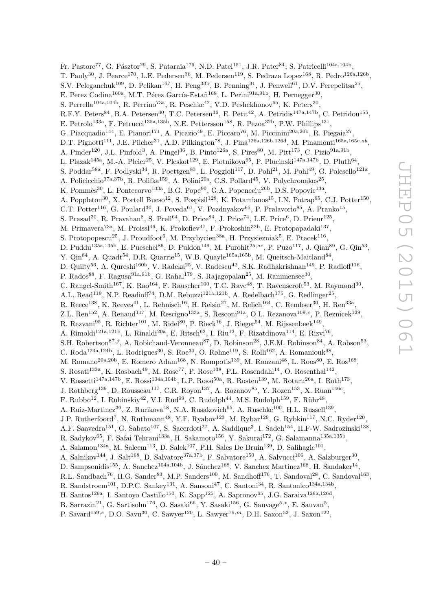Fr. Pastore<sup>77</sup>, G. Pásztor<sup>29</sup>, S. Pataraia<sup>176</sup>, N.D. Patel<sup>151</sup>, J.R. Pater<sup>84</sup>, S. Patricelli<sup>104a,104b</sup>, T. Pauly<sup>30</sup>, J. Pearce<sup>170</sup>, L.E. Pedersen<sup>36</sup>, M. Pedersen<sup>119</sup>, S. Pedraza Lopez<sup>168</sup>, R. Pedro<sup>126a,126b</sup>, S.V. Peleganchuk<sup>109</sup>, D. Pelikan<sup>167</sup>, H. Peng<sup>33b</sup>, B. Penning<sup>31</sup>, J. Penwell<sup>61</sup>, D.V. Perepelitsa<sup>25</sup>, E. Perez Codina<sup>160a</sup>, M.T. Pérez García-Estañ<sup>168</sup>, L. Perini<sup>91a,91b</sup>, H. Pernegger<sup>30</sup>, S. Perrella<sup>104a,104b</sup>, R. Perrino<sup>73a</sup>, R. Peschke<sup>42</sup>, V.D. Peshekhonov<sup>65</sup>, K. Peters<sup>30</sup>, R.F.Y. Peters<sup>84</sup>, B.A. Petersen<sup>30</sup>, T.C. Petersen<sup>36</sup>, E. Petit<sup>42</sup>, A. Petridis<sup>147a,147b</sup>, C. Petridou<sup>155</sup>, E. Petrolo<sup>133a</sup>, F. Petrucci<sup>135a,135b</sup>, N.E. Pettersson<sup>158</sup>, R. Pezoa<sup>32b</sup>, P.W. Phillips<sup>131</sup>, G. Piacquadio<sup>144</sup>, E. Pianori<sup>171</sup>, A. Picazio<sup>49</sup>, E. Piccaro<sup>76</sup>, M. Piccinini<sup>20a,20b</sup>, R. Piegaia<sup>27</sup>, D.T. Pignotti<sup>111</sup>, J.E. Pilcher<sup>31</sup>, A.D. Pilkington<sup>78</sup>, J. Pina<sup>126a,126b,126d</sup>, M. Pinamonti<sup>165a,165c,ab</sup>, A. Pinder<sup>120</sup>, J.L. Pinfold<sup>3</sup>, A. Pingel<sup>36</sup>, B. Pinto<sup>126a</sup>, S. Pires<sup>80</sup>, M. Pitt<sup>173</sup>, C. Pizio<sup>91a,91b</sup>, L. Plazak<sup>145a</sup>, M.-A. Pleier<sup>25</sup>, V. Pleskot<sup>129</sup>, E. Plotnikova<sup>65</sup>, P. Plucinski<sup>147a,147b</sup>, D. Pluth<sup>64</sup>, S. Poddar<sup>58a</sup>, F. Podlyski<sup>34</sup>, R. Poettgen<sup>83</sup>, L. Poggioli<sup>117</sup>, D. Pohl<sup>21</sup>, M. Pohl<sup>49</sup>, G. Polesello<sup>121a</sup>, A. Policicchio<sup>37a,37b</sup>, R. Polifka<sup>159</sup>, A. Polini<sup>20a</sup>, C.S. Pollard<sup>45</sup>, V. Polychronakos<sup>25</sup>, K. Pommès<sup>30</sup>, L. Pontecorvo<sup>133a</sup>, B.G. Pope<sup>90</sup>, G.A. Popeneciu<sup>26b</sup>, D.S. Popovic<sup>13a</sup>, A. Poppleton<sup>30</sup>, X. Portell Bueso<sup>12</sup>, S. Pospisil<sup>128</sup>, K. Potamianos<sup>15</sup>, I.N. Potrap<sup>65</sup>, C.J. Potter<sup>150</sup>, C.T. Potter<sup>116</sup>, G. Poulard<sup>30</sup>, J. Poveda<sup>61</sup>, V. Pozdnyakov<sup>65</sup>, P. Pralavorio<sup>85</sup>, A. Pranko<sup>15</sup>, S. Prasad<sup>30</sup>, R. Pravahan<sup>8</sup>, S. Prell<sup>64</sup>, D. Price<sup>84</sup>, J. Price<sup>74</sup>, L.E. Price<sup>6</sup>, D. Prieur<sup>125</sup>, M. Primavera<sup>73a</sup>, M. Proissl<sup>46</sup>, K. Prokofiev<sup>47</sup>, F. Prokoshin<sup>32b</sup>, E. Protopapadaki<sup>137</sup>, S. Protopopescu<sup>25</sup>, J. Proudfoot<sup>6</sup>, M. Przybycien<sup>38a</sup>, H. Przysiezniak<sup>5</sup>, E. Ptacek<sup>116</sup>, D. Puddu<sup>135a,135b</sup>, E. Pueschel<sup>86</sup>, D. Puldon<sup>149</sup>, M. Purohit<sup>25,ac</sup>, P. Puzo<sup>117</sup>, J. Qian<sup>89</sup>, G. Qin<sup>53</sup>, Y. Qin<sup>84</sup>, A. Quadt<sup>54</sup>, D.R. Quarrie<sup>15</sup>, W.B. Quayle<sup>165a, 165b</sup>, M. Queitsch-Maitland<sup>84</sup>, D. Quilty<sup>53</sup>, A. Qureshi<sup>160b</sup>, V. Radeka<sup>25</sup>, V. Radescu<sup>42</sup>, S.K. Radhakrishnan<sup>149</sup>, P. Radloff<sup>116</sup>, P. Rados $^{88}$ , F. Ragusa $^{91a,91b}$ , G. Rahal<sup>179</sup>, S. Rajagopalan<sup>25</sup>, M. Rammensee<sup>30</sup>, C. Rangel-Smith<sup>167</sup>, K. Rao<sup>164</sup>, F. Rauscher<sup>100</sup>, T.C. Rave<sup>48</sup>, T. Ravenscroft<sup>53</sup>, M. Raymond<sup>30</sup>, A.L. Read<sup>119</sup>, N.P. Readioff<sup>74</sup>, D.M. Rebuzzi<sup>121a,121b</sup>, A. Redelbach<sup>175</sup>, G. Redlinger<sup>25</sup>, R. Reece<sup>138</sup>, K. Reeves<sup>41</sup>, L. Rehnisch<sup>16</sup>, H. Reisin<sup>27</sup>, M. Relich<sup>164</sup>, C. Rembser<sup>30</sup>, H. Ren<sup>33a</sup>, Z.L. Ren<sup>152</sup>, A. Renaud<sup>117</sup>, M. Rescigno<sup>133a</sup>, S. Resconi<sup>91a</sup>, O.L. Rezanova<sup>109,c</sup>, P. Reznicek<sup>129</sup>, R. Rezvani $^{95}$ , R. Richter $^{101}$ , M. Ridel $^{80}$ , P. Rieck $^{16}$ , J. Rieger $^{54}$ , M. Rijssenbeek $^{149}$ , A. Rimoldi<sup>121a,121b</sup>, L. Rinaldi<sup>20a</sup>, E. Ritsch<sup>62</sup>, I. Riu<sup>12</sup>, F. Rizatdinova<sup>114</sup>, E. Rizvi<sup>76</sup>, S.H. Robertson<sup>87,j</sup>, A. Robichaud-Veronneau<sup>87</sup>, D. Robinson<sup>28</sup>, J.E.M. Robinson<sup>84</sup>, A. Robson<sup>53</sup>, C. Roda<sup>124a,124b</sup>, L. Rodrigues<sup>30</sup>, S. Roe<sup>30</sup>, O. Røhne<sup>119</sup>, S. Rolli<sup>162</sup>, A. Romaniouk<sup>98</sup>, M. Romano<sup>20a, 20b</sup>, E. Romero Adam<sup>168</sup>, N. Rompotis<sup>139</sup>, M. Ronzani<sup>48</sup>, L. Roos<sup>80</sup>, E. Ros<sup>168</sup>, S. Rosati<sup>133a</sup>, K. Rosbach<sup>49</sup>, M. Rose<sup>77</sup>, P. Rose<sup>138</sup>, P.L. Rosendahl<sup>14</sup>, O. Rosenthal<sup>142</sup>, V. Rossetti<sup>147a,147b</sup>, E. Rossi<sup>104a,104b</sup>, L.P. Rossi<sup>50a</sup>, R. Rosten<sup>139</sup>, M. Rotaru<sup>26a</sup>, I. Roth<sup>173</sup>, J. Rothberg<sup>139</sup>, D. Rousseau<sup>117</sup>, C.R. Royon<sup>137</sup>, A. Rozanov<sup>85</sup>, Y. Rozen<sup>153</sup>, X. Ruan<sup>146c</sup>, F. Rubbo<sup>12</sup>, I. Rubinskiy<sup>42</sup>, V.I. Rud<sup>99</sup>, C. Rudolph<sup>44</sup>, M.S. Rudolph<sup>159</sup>, F. Rühr<sup>48</sup>, A. Ruiz-Martinez<sup>30</sup>, Z. Rurikova<sup>48</sup>, N.A. Rusakovich<sup>65</sup>, A. Ruschke<sup>100</sup>, H.L. Russell<sup>139</sup>, J.P. Rutherfoord<sup>7</sup>, N. Ruthmann<sup>48</sup>, Y.F. Ryabov<sup>123</sup>, M. Rybar<sup>129</sup>, G. Rybkin<sup>117</sup>, N.C. Ryder<sup>120</sup>, A.F. Saavedra<sup>151</sup>, G. Sabato<sup>107</sup>, S. Sacerdoti<sup>27</sup>, A. Saddique<sup>3</sup>, I. Sadeh<sup>154</sup>, H.F-W. Sadrozinski<sup>138</sup>, R. Sadykov<sup>65</sup>, F. Safai Tehrani<sup>133a</sup>, H. Sakamoto<sup>156</sup>, Y. Sakurai<sup>172</sup>, G. Salamanna<sup>135a,135b</sup>, A. Salamon<sup>134a</sup>, M. Saleem<sup>113</sup>, D. Salek<sup>107</sup>, P.H. Sales De Bruin<sup>139</sup>, D. Salihagic<sup>101</sup>, A. Salnikov<sup>144</sup>, J. Salt<sup>168</sup>, D. Salvatore<sup>37a,37b</sup>, F. Salvatore<sup>150</sup>, A. Salvucci<sup>106</sup>, A. Salzburger<sup>30</sup>, D. Sampsonidis<sup>155</sup>, A. Sanchez<sup>104a,104b</sup>, J. Sánchez<sup>168</sup>, V. Sanchez Martinez<sup>168</sup>, H. Sandaker<sup>14</sup>, R.L. Sandbach<sup>76</sup>, H.G. Sander<sup>83</sup>, M.P. Sanders<sup>100</sup>, M. Sandhoff<sup>176</sup>, T. Sandoval<sup>28</sup>, C. Sandoval<sup>163</sup>, R. Sandstroem<sup>101</sup>, D.P.C. Sankey<sup>131</sup>, A. Sansoni<sup>47</sup>, C. Santoni<sup>34</sup>, R. Santonico<sup>134a,134b</sup>, H. Santos<sup>126a</sup>, I. Santoyo Castillo<sup>150</sup>, K. Sapp<sup>125</sup>, A. Sapronov<sup>65</sup>, J.G. Saraiva<sup>126a,126d</sup>,

B. Sarrazin<sup>21</sup>, G. Sartisohn<sup>176</sup>, O. Sasaki<sup>66</sup>, Y. Sasaki<sup>156</sup>, G. Sauvage<sup>5,\*</sup>, E. Sauvan<sup>5</sup>,

P. Savard<sup>159,e</sup>, D.O. Savu<sup>30</sup>, C. Sawyer<sup>120</sup>, L. Sawyer<sup>79,m</sup>, D.H. Saxon<sup>53</sup>, J. Saxon<sup>122</sup>,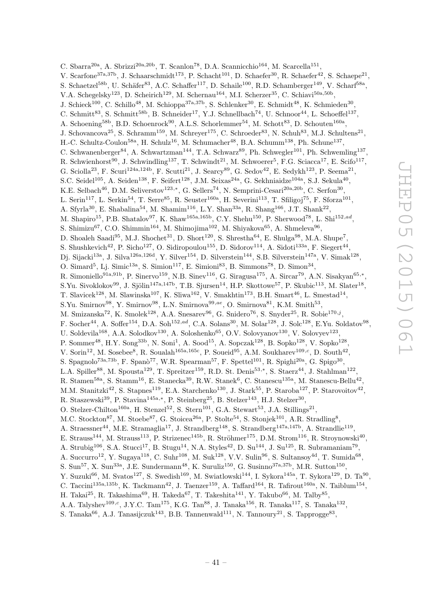C. Sbarra<sup>20a</sup>, A. Sbrizzi<sup>20a, 20b</sup>, T. Scanlon<sup>78</sup>, D.A. Scannicchio<sup>164</sup>, M. Scarcella<sup>151</sup>, V. Scarfone<sup>37a,37b</sup>, J. Schaarschmidt<sup>173</sup>, P. Schacht<sup>101</sup>, D. Schaefer<sup>30</sup>, R. Schaefer<sup>42</sup>, S. Schaepe<sup>21</sup>, S. Schaetzel<sup>58b</sup>, U. Schäfer<sup>83</sup>, A.C. Schaffer<sup>117</sup>, D. Schaile<sup>100</sup>, R.D. Schamberger<sup>149</sup>, V. Scharf<sup>58a</sup>, V.A. Schegelsky<sup>123</sup>, D. Scheirich<sup>129</sup>, M. Schernau<sup>164</sup>, M.I. Scherzer<sup>35</sup>, C. Schiavi<sup>50a,50b</sup>, J. Schieck<sup>100</sup>, C. Schillo<sup>48</sup>, M. Schioppa<sup>37a,37b</sup>, S. Schlenker<sup>30</sup>, E. Schmidt<sup>48</sup>, K. Schmieden<sup>30</sup>, C. Schmitt<sup>83</sup>, S. Schmitt<sup>58b</sup>, B. Schneider<sup>17</sup>, Y.J. Schnellbach<sup>74</sup>, U. Schnoor<sup>44</sup>, L. Schoeffel<sup>137</sup>, A. Schoening<sup>58b</sup>, B.D. Schoenrock<sup>90</sup>, A.L.S. Schorlemmer<sup>54</sup>, M. Schott<sup>83</sup>, D. Schouten<sup>160a</sup>, J. Schovancova<sup>25</sup>, S. Schramm<sup>159</sup>, M. Schreyer<sup>175</sup>, C. Schroeder<sup>83</sup>, N. Schuh<sup>83</sup>, M.J. Schultens<sup>21</sup>, H.-C. Schultz-Coulon<sup>58a</sup>, H. Schulz<sup>16</sup>, M. Schumacher<sup>48</sup>, B.A. Schumm<sup>138</sup>, Ph. Schune<sup>137</sup>, C. Schwanenberger<sup>84</sup>, A. Schwartzman<sup>144</sup>, T.A. Schwarz<sup>89</sup>, Ph. Schwegler<sup>101</sup>, Ph. Schwemling<sup>137</sup>, R. Schwienhorst<sup>90</sup>, J. Schwindling<sup>137</sup>, T. Schwindt<sup>21</sup>, M. Schwoerer<sup>5</sup>, F.G. Sciacca<sup>17</sup>, E. Scifo<sup>117</sup>, G. Sciolla<sup>23</sup>, F. Scuri<sup>124a,124b</sup>, F. Scutti<sup>21</sup>, J. Searcy<sup>89</sup>, G. Sedov<sup>42</sup>, E. Sedykh<sup>123</sup>, P. Seema<sup>21</sup>, S.C. Seidel<sup>105</sup>, A. Seiden<sup>138</sup>, F. Seifert<sup>128</sup>, J.M. Seixas<sup>24a</sup>, G. Sekhniaidze<sup>104a</sup>, S.J. Sekula<sup>40</sup>, K.E. Selbach<sup>46</sup>, D.M. Seliverstov<sup>123,\*</sup>, G. Sellers<sup>74</sup>, N. Semprini-Cesari<sup>20a,20b</sup>, C. Serfon<sup>30</sup>, L. Serin<sup>117</sup>, L. Serkin<sup>54</sup>, T. Serre<sup>85</sup>, R. Seuster<sup>160a</sup>, H. Severini<sup>113</sup>, T. Sfiligoj<sup>75</sup>, F. Sforza<sup>101</sup>, A. Sfyrla<sup>30</sup>, E. Shabalina<sup>54</sup>, M. Shamim<sup>116</sup>, L.Y. Shan<sup>33a</sup>, R. Shang<sup>166</sup>, J.T. Shank<sup>22</sup>, M. Shapiro<sup>15</sup>, P.B. Shatalov<sup>97</sup>, K. Shaw<sup>165a,165b</sup>, C.Y. Shehu<sup>150</sup>, P. Sherwood<sup>78</sup>, L. Shi<sup>152,ad</sup>, S. Shimizu<sup>67</sup>, C.O. Shimmin<sup>164</sup>, M. Shimojima<sup>102</sup>, M. Shiyakova<sup>65</sup>, A. Shmeleva<sup>96</sup>, D. Shoaleh Saadi $^{95}$ , M.J. Shochet<sup>31</sup>, D. Short<sup>120</sup>, S. Shrestha<sup>64</sup>, E. Shulga<sup>98</sup>, M.A. Shupe<sup>7</sup>, S. Shushkevich<sup>42</sup>, P. Sicho<sup>127</sup>, O. Sidiropoulou<sup>155</sup>, D. Sidorov<sup>114</sup>, A. Sidoti<sup>133a</sup>, F. Siegert<sup>44</sup>, Dj. Sijacki<sup>13a</sup>, J. Silva<sup>126a,126d</sup>, Y. Silver<sup>154</sup>, D. Silverstein<sup>144</sup>, S.B. Silverstein<sup>147a</sup>, V. Simak<sup>128</sup>, O. Simard<sup>5</sup>, Lj. Simic<sup>13a</sup>, S. Simion<sup>117</sup>, E. Simioni<sup>83</sup>, B. Simmons<sup>78</sup>, D. Simon<sup>34</sup>, R. Simoniello<sup>91a,91b</sup>, P. Sinervo<sup>159</sup>, N.B. Sinev<sup>116</sup>, G. Siragusa<sup>175</sup>, A. Sircar<sup>79</sup>, A.N. Sisakyan<sup>65,\*</sup>, S.Yu. Sivoklokov<sup>99</sup>, J. Sjölin<sup>147a,147b</sup>, T.B. Sjursen<sup>14</sup>, H.P. Skottowe<sup>57</sup>, P. Skubic<sup>113</sup>, M. Slater<sup>18</sup>, T. Slavicek<sup>128</sup>, M. Slawinska<sup>107</sup>, K. Sliwa<sup>162</sup>, V. Smakhtin<sup>173</sup>, B.H. Smart<sup>46</sup>, L. Smestad<sup>14</sup>, S.Yu. Smirnov<sup>98</sup>, Y. Smirnov<sup>98</sup>, L.N. Smirnova<sup>99,ae</sup>, O. Smirnova<sup>81</sup>, K.M. Smith<sup>53</sup>, M. Smizanska<sup>72</sup>, K. Smolek<sup>128</sup>, A.A. Snesarev<sup>96</sup>, G. Snidero<sup>76</sup>, S. Snyder<sup>25</sup>, R. Sobie<sup>170,j</sup>, F. Socher<sup>44</sup>, A. Soffer<sup>154</sup>, D.A. Soh<sup>152,ad</sup>, C.A. Solans<sup>30</sup>, M. Solar<sup>128</sup>, J. Solc<sup>128</sup>, E.Yu. Soldatov<sup>98</sup>, U. Soldevila<sup>168</sup>, A.A. Solodkov<sup>130</sup>, A. Soloshenko<sup>65</sup>, O.V. Solovyanov<sup>130</sup>, V. Solovyev<sup>123</sup>, P. Sommer<sup>48</sup>, H.Y. Song<sup>33b</sup>, N. Soni<sup>1</sup>, A. Sood<sup>15</sup>, A. Sopczak<sup>128</sup>, B. Sopko<sup>128</sup>, V. Sopko<sup>128</sup>, V. Sorin<sup>12</sup>, M. Sosebee<sup>8</sup>, R. Soualah<sup>165a,165c</sup>, P. Soueid<sup>95</sup>, A.M. Soukharev<sup>109,c</sup>, D. South<sup>42</sup>, S. Spagnolo<sup>73a,73b</sup>, F. Spanò<sup>77</sup>, W.R. Spearman<sup>57</sup>, F. Spettel<sup>101</sup>, R. Spighi<sup>20a</sup>, G. Spigo<sup>30</sup>, L.A. Spiller<sup>88</sup>, M. Spousta<sup>129</sup>, T. Spreitzer<sup>159</sup>, R.D. St. Denis<sup>53,\*</sup>, S. Staerz<sup>44</sup>, J. Stahlman<sup>122</sup>, R. Stamen<sup>58a</sup>, S. Stamm<sup>16</sup>, E. Stanecka<sup>39</sup>, R.W. Stanek<sup>6</sup>, C. Stanescu<sup>135a</sup>, M. Stanescu-Bellu<sup>42</sup>, M.M. Stanitzki<sup>42</sup>, S. Stapnes<sup>119</sup>, E.A. Starchenko<sup>130</sup>, J. Stark<sup>55</sup>, P. Staroba<sup>127</sup>, P. Starovoitov<sup>42</sup>, R. Staszewski<sup>39</sup>, P. Stavina<sup>145a,\*</sup>, P. Steinberg<sup>25</sup>, B. Stelzer<sup>143</sup>, H.J. Stelzer<sup>30</sup>, O. Stelzer-Chilton<sup>160a</sup>, H. Stenzel<sup>52</sup>, S. Stern<sup>101</sup>, G.A. Stewart<sup>53</sup>, J.A. Stillings<sup>21</sup>, M.C. Stockton<sup>87</sup>, M. Stoebe<sup>87</sup>, G. Stoicea<sup>26a</sup>, P. Stolte<sup>54</sup>, S. Stonjek<sup>101</sup>, A.R. Stradling<sup>8</sup>, A. Straessner<sup>44</sup>, M.E. Stramaglia<sup>17</sup>, J. Strandberg<sup>148</sup>, S. Strandberg<sup>147a,147b</sup>, A. Strandlie<sup>119</sup>, E. Strauss<sup>144</sup>, M. Strauss<sup>113</sup>, P. Strizenec<sup>145b</sup>, R. Ströhmer<sup>175</sup>, D.M. Strom<sup>116</sup>, R. Stroynowski<sup>40</sup>, A. Strubig<sup>106</sup>, S.A. Stucci<sup>17</sup>, B. Stugu<sup>14</sup>, N.A. Styles<sup>42</sup>, D. Su<sup>144</sup>, J. Su<sup>125</sup>, R. Subramaniam<sup>79</sup>, A. Succurro<sup>12</sup>, Y. Sugaya<sup>118</sup>, C. Suhr<sup>108</sup>, M. Suk<sup>128</sup>, V.V. Sulin<sup>96</sup>, S. Sultansoy<sup>4d</sup>, T. Sumida<sup>68</sup>, S. Sun<sup>57</sup>, X. Sun<sup>33a</sup>, J.E. Sundermann<sup>48</sup>, K. Suruliz<sup>150</sup>, G. Susinno<sup>37a,37b</sup>, M.R. Sutton<sup>150</sup>, Y. Suzuki<sup>66</sup>, M. Svatos<sup>127</sup>, S. Swedish<sup>169</sup>, M. Swiatlowski<sup>144</sup>, I. Sykora<sup>145a</sup>, T. Sykora<sup>129</sup>, D. Ta<sup>90</sup>, C. Taccini<sup>135a,135b</sup>, K. Tackmann<sup>42</sup>, J. Taenzer<sup>159</sup>, A. Taffard<sup>164</sup>, R. Tafirout<sup>160a</sup>, N. Taiblum<sup>154</sup>, H. Takai $^{25}$ , R. Takashima $^{69}$ , H. Takeda $^{67}$ , T. Takeshita<sup>141</sup>, Y. Takubo $^{66}$ , M. Talby $^{85}$ , A.A. Talyshev<sup>109,c</sup>, J.Y.C. Tam<sup>175</sup>, K.G. Tan<sup>88</sup>, J. Tanaka<sup>156</sup>, R. Tanaka<sup>117</sup>, S. Tanaka<sup>132</sup>,

S. Tanaka $^{66}$ , A.J. Tanasijczuk<sup>143</sup>, B.B. Tannenwald<sup>111</sup>, N. Tannoury<sup>21</sup>, S. Tapprogge<sup>83</sup>,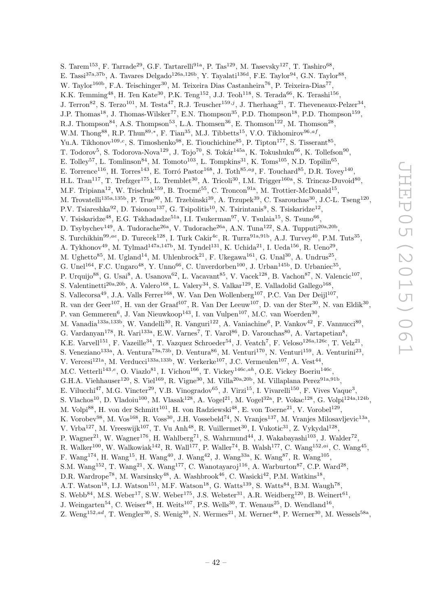S. Tarem<sup>153</sup>, F. Tarrade<sup>29</sup>, G.F. Tartarelli<sup>91a</sup>, P. Tas<sup>129</sup>, M. Tasevsky<sup>127</sup>, T. Tashiro<sup>68</sup>, E. Tassi<sup>37a,37b</sup>, A. Tavares Delgado<sup>126a,126b</sup>, Y. Tayalati<sup>136d</sup>, F.E. Taylor<sup>94</sup>, G.N. Taylor<sup>88</sup>, W. Taylor<sup>160b</sup>, F.A. Teischinger<sup>30</sup>, M. Teixeira Dias Castanheira<sup>76</sup>, P. Teixeira-Dias<sup>77</sup>, K.K. Temming<sup>48</sup>, H. Ten Kate<sup>30</sup>, P.K. Teng<sup>152</sup>, J.J. Teoh<sup>118</sup>, S. Terada<sup>66</sup>, K. Terashi<sup>156</sup>, J. Terron<sup>82</sup>, S. Terzo<sup>101</sup>, M. Testa<sup>47</sup>, R.J. Teuscher<sup>159,j</sup>, J. Therhaag<sup>21</sup>, T. Theveneaux-Pelzer<sup>34</sup>, J.P. Thomas<sup>18</sup>, J. Thomas-Wilsker<sup>77</sup>, E.N. Thompson<sup>35</sup>, P.D. Thompson<sup>18</sup>, P.D. Thompson<sup>159</sup>, R.J. Thompson<sup>84</sup>, A.S. Thompson<sup>53</sup>, L.A. Thomsen<sup>36</sup>, E. Thomson<sup>122</sup>, M. Thomson<sup>28</sup>, W.M. Thong<sup>88</sup>, R.P. Thun<sup>89,\*</sup>, F. Tian<sup>35</sup>, M.J. Tibbetts<sup>15</sup>, V.O. Tikhomirov<sup>96,af</sup>, Yu.A. Tikhonov<sup>109,c</sup>, S. Timoshenko<sup>98</sup>, E. Tiouchichine<sup>85</sup>, P. Tipton<sup>177</sup>, S. Tisserant<sup>85</sup>, T. Todorov<sup>5</sup>, S. Todorova-Nova<sup>129</sup>, J. Tojo<sup>70</sup>, S. Tokár<sup>145a</sup>, K. Tokushuku<sup>66</sup>, K. Tollefson<sup>90</sup>, E. Tolley<sup>57</sup>, L. Tomlinson<sup>84</sup>, M. Tomoto<sup>103</sup>, L. Tompkins<sup>31</sup>, K. Toms<sup>105</sup>, N.D. Topilin<sup>65</sup>, E. Torrence<sup>116</sup>, H. Torres<sup>143</sup>, E. Torró Pastor<sup>168</sup>, J. Toth<sup>85,ag</sup>, F. Touchard<sup>85</sup>, D.R. Tovey<sup>140</sup>, H.L. Tran<sup>117</sup>, T. Trefzger<sup>175</sup>, L. Tremblet<sup>30</sup>, A. Tricoli<sup>30</sup>, I.M. Trigger<sup>160a</sup>, S. Trincaz-Duvoid<sup>80</sup>, M.F. Tripiana<sup>12</sup>, W. Trischuk<sup>159</sup>, B. Trocmé<sup>55</sup>, C. Troncon<sup>91a</sup>, M. Trottier-McDonald<sup>15</sup>, M. Trovatelli<sup>135a,135b</sup>, P. True<sup>90</sup>, M. Trzebinski<sup>39</sup>, A. Trzupek<sup>39</sup>, C. Tsarouchas<sup>30</sup>, J.C-L. Tseng<sup>120</sup>, P.V. Tsiareshka<sup>92</sup>, D. Tsionou<sup>137</sup>, G. Tsipolitis<sup>10</sup>, N. Tsirintanis<sup>9</sup>, S. Tsiskaridze<sup>12</sup>, V. Tsiskaridze<sup>48</sup>, E.G. Tskhadadze<sup>51a</sup>, I.I. Tsukerman<sup>97</sup>, V. Tsulaia<sup>15</sup>, S. Tsuno<sup>66</sup>, D. Tsybychev<sup>149</sup>, A. Tudorache<sup>26a</sup>, V. Tudorache<sup>26a</sup>, A.N. Tuna<sup>122</sup>, S.A. Tupputi<sup>20a,20b</sup>, S. Turchikhin<sup>99,ae</sup>, D. Turecek<sup>128</sup>, I. Turk Cakir<sup>4c</sup>, R. Turra<sup>91a,91b</sup>, A.J. Turvey<sup>40</sup>, P.M. Tuts<sup>35</sup>, A. Tykhonov<sup>49</sup>, M. Tylmad<sup>147a,147b</sup>, M. Tyndel<sup>131</sup>, K. Uchida<sup>21</sup>, I. Ueda<sup>156</sup>, R. Ueno<sup>29</sup>, M. Ughetto<sup>85</sup>, M. Ugland<sup>14</sup>, M. Uhlenbrock<sup>21</sup>, F. Ukegawa<sup>161</sup>, G. Unal<sup>30</sup>, A. Undrus<sup>25</sup>, G. Unel<sup>164</sup>, F.C. Ungaro<sup>48</sup>, Y. Unno<sup>66</sup>, C. Unverdorben<sup>100</sup>, J. Urban<sup>145b</sup>, D. Urbaniec<sup>35</sup>, P. Urquijo<sup>88</sup>, G. Usai<sup>8</sup>, A. Usanova<sup>62</sup>, L. Vacavant<sup>85</sup>, V. Vacek<sup>128</sup>, B. Vachon<sup>87</sup>, N. Valencic<sup>107</sup>, S. Valentinetti<sup>20a,20b</sup>, A. Valero<sup>168</sup>, L. Valery<sup>34</sup>, S. Valkar<sup>129</sup>, E. Valladolid Gallego<sup>168</sup>, S. Vallecorsa<sup>49</sup>, J.A. Valls Ferrer<sup>168</sup>, W. Van Den Wollenberg<sup>107</sup>, P.C. Van Der Deijl<sup>107</sup>, R. van der Geer<sup>107</sup>, H. van der Graaf<sup>107</sup>, R. Van Der Leeuw<sup>107</sup>, D. van der Ster<sup>30</sup>, N. van Eldik<sup>30</sup>, P. van Gemmeren<sup>6</sup>, J. Van Nieuwkoop<sup>143</sup>, I. van Vulpen<sup>107</sup>, M.C. van Woerden<sup>30</sup>, M. Vanadia<sup>133a,133b</sup>, W. Vandelli<sup>30</sup>, R. Vanguri<sup>122</sup>, A. Vaniachine<sup>6</sup>, P. Vankov<sup>42</sup>, F. Vannucci<sup>80</sup>, G. Vardanyan<sup>178</sup>, R. Vari<sup>133a</sup>, E.W. Varnes<sup>7</sup>, T. Varol<sup>86</sup>, D. Varouchas<sup>80</sup>, A. Vartapetian<sup>8</sup>, K.E. Varvell<sup>151</sup>, F. Vazeille<sup>34</sup>, T. Vazquez Schroeder<sup>54</sup>, J. Veatch<sup>7</sup>, F. Veloso<sup>126a,126c</sup>, T. Velz<sup>21</sup>, S. Veneziano<sup>133a</sup>, A. Ventura<sup>73a,73b</sup>, D. Ventura<sup>86</sup>, M. Venturi<sup>170</sup>, N. Venturi<sup>159</sup>, A. Venturini<sup>23</sup>, V. Vercesi<sup>121a</sup>, M. Verducci<sup>133a,133b</sup>, W. Verkerke<sup>107</sup>, J.C. Vermeulen<sup>107</sup>, A. Vest<sup>44</sup>, M.C. Vetterli<sup>143,e</sup>, O. Viazlo<sup>81</sup>, I. Vichou<sup>166</sup>, T. Vickey<sup>146c,ah</sup>, O.E. Vickey Boeriu<sup>146c</sup>, G.H.A. Viehhauser<sup>120</sup>, S. Viel<sup>169</sup>, R. Vigne<sup>30</sup>, M. Villa<sup>20a,20b</sup>, M. Villaplana Perez<sup>91a,91b</sup>, E. Vilucchi<sup>47</sup>, M.G. Vincter<sup>29</sup>, V.B. Vinogradov<sup>65</sup>, J. Virzi<sup>15</sup>, I. Vivarelli<sup>150</sup>, F. Vives Vaque<sup>3</sup>, S. Vlachos<sup>10</sup>, D. Vladoiu<sup>100</sup>, M. Vlasak<sup>128</sup>, A. Vogel<sup>21</sup>, M. Vogel<sup>32a</sup>, P. Vokac<sup>128</sup>, G. Volpi<sup>124a,124b</sup>, M. Volpi<sup>88</sup>, H. von der Schmitt<sup>101</sup>, H. von Radziewski<sup>48</sup>, E. von Toerne<sup>21</sup>, V. Vorobel<sup>129</sup>, K. Vorobev<sup>98</sup>, M. Vos<sup>168</sup>, R. Voss<sup>30</sup>, J.H. Vossebeld<sup>74</sup>, N. Vranjes<sup>137</sup>, M. Vranjes Milosavljevic<sup>13a</sup>, V. Vrba<sup>127</sup>, M. Vreeswijk<sup>107</sup>, T. Vu Anh<sup>48</sup>, R. Vuillermet<sup>30</sup>, I. Vukotic<sup>31</sup>, Z. Vykydal<sup>128</sup>, P. Wagner<sup>21</sup>, W. Wagner<sup>176</sup>, H. Wahlberg<sup>71</sup>, S. Wahrmund<sup>44</sup>, J. Wakabayashi<sup>103</sup>, J. Walder<sup>72</sup>, R. Walker<sup>100</sup>, W. Walkowiak<sup>142</sup>, R. Wall<sup>177</sup>, P. Waller<sup>74</sup>, B. Walsh<sup>177</sup>, C. Wang<sup>152,ai</sup>, C. Wang<sup>45</sup>, F. Wang<sup>174</sup>, H. Wang<sup>15</sup>, H. Wang<sup>40</sup>, J. Wang<sup>42</sup>, J. Wang<sup>33a</sup>, K. Wang<sup>87</sup>, R. Wang<sup>105</sup>, S.M. Wang<sup>152</sup>, T. Wang<sup>21</sup>, X. Wang<sup>177</sup>, C. Wanotayaroj<sup>116</sup>, A. Warburton<sup>87</sup>, C.P. Ward<sup>28</sup>, D.R. Wardrope<sup>78</sup>, M. Warsinsky<sup>48</sup>, A. Washbrook<sup>46</sup>, C. Wasicki<sup>42</sup>, P.M. Watkins<sup>18</sup>, A.T. Watson<sup>18</sup>, I.J. Watson<sup>151</sup>, M.F. Watson<sup>18</sup>, G. Watts<sup>139</sup>, S. Watts<sup>84</sup>, B.M. Waugh<sup>78</sup>, S. Webb<sup>84</sup>, M.S. Weber<sup>17</sup>, S.W. Weber<sup>175</sup>, J.S. Webster<sup>31</sup>, A.R. Weidberg<sup>120</sup>, B. Weinert<sup>61</sup>,

- J. Weingarten<sup>54</sup>, C. Weiser<sup>48</sup>, H. Weits<sup>107</sup>, P.S. Wells<sup>30</sup>, T. Wenaus<sup>25</sup>, D. Wendland<sup>16</sup>,
- Z. Weng<sup>152,ad</sup>, T. Wengler<sup>30</sup>, S. Wenig<sup>30</sup>, N. Wermes<sup>21</sup>, M. Werner<sup>48</sup>, P. Werner<sup>30</sup>, M. Wessels<sup>58a</sup>,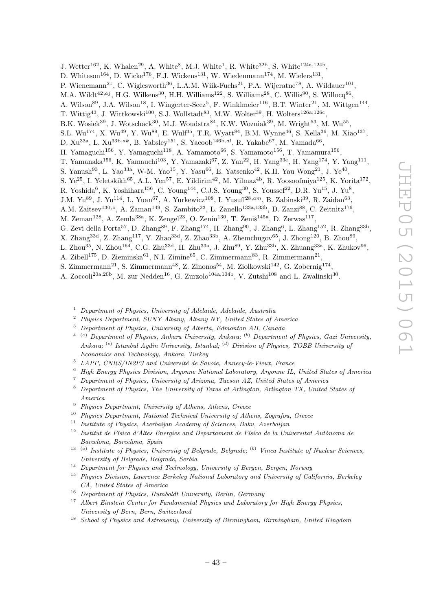J. Wetter<sup>162</sup>, K. Whalen<sup>29</sup>, A. White<sup>8</sup>, M.J. White<sup>1</sup>, R. White<sup>32b</sup>, S. White<sup>124a,124b</sup>,

D. Whiteson<sup>164</sup>, D. Wicke<sup>176</sup>, F.J. Wickens<sup>131</sup>, W. Wiedenmann<sup>174</sup>, M. Wielers<sup>131</sup>,

- P. Wienemann<sup>21</sup>, C. Wiglesworth<sup>36</sup>, L.A.M. Wiik-Fuchs<sup>21</sup>, P.A. Wijeratne<sup>78</sup>, A. Wildauer<sup>101</sup>,
- M.A. Wildt<sup>42,aj</sup>, H.G. Wilkens<sup>30</sup>, H.H. Williams<sup>122</sup>, S. Williams<sup>28</sup>, C. Willis<sup>90</sup>, S. Willocq<sup>86</sup>,
- A. Wilson<sup>89</sup>, J.A. Wilson<sup>18</sup>, I. Wingerter-Seez<sup>5</sup>, F. Winklmeier<sup>116</sup>, B.T. Winter<sup>21</sup>, M. Wittgen<sup>144</sup>,
- T. Wittig<sup>43</sup>, J. Wittkowski<sup>100</sup>, S.J. Wollstadt<sup>83</sup>, M.W. Wolter<sup>39</sup>, H. Wolters<sup>126a,126c</sup>,
- B.K. Wosiek<sup>39</sup>, J. Wotschack<sup>30</sup>, M.J. Woudstra<sup>84</sup>, K.W. Wozniak<sup>39</sup>, M. Wright<sup>53</sup>, M. Wu<sup>55</sup>,
- $S.L. Wu<sup>174</sup>, X. Wu<sup>49</sup>, Y. Wu<sup>89</sup>, E. Wulf<sup>35</sup>, T.R. Wyatt<sup>84</sup>, B.M. Wynne<sup>46</sup>, S. Xella<sup>36</sup>, M. Xiao<sup>137</sup>,$
- D.  $Xu^{33a}$ , L.  $Xu^{33b,ak}$ , B. Yabsley<sup>151</sup>, S. Yacoob<sup>146b,al</sup>, R. Yakabe<sup>67</sup>, M. Yamada<sup>66</sup>,
- H. Yamaguchi<sup>156</sup>, Y. Yamaguchi<sup>118</sup>, A. Yamamoto<sup>66</sup>, S. Yamamoto<sup>156</sup>, T. Yamamura<sup>156</sup>,
- T. Yamanaka<sup>156</sup>, K. Yamauchi<sup>103</sup>, Y. Yamazaki<sup>67</sup>, Z. Yan<sup>22</sup>, H. Yang<sup>33e</sup>, H. Yang<sup>174</sup>, Y. Yang<sup>111</sup>,
- S. Yanush<sup>93</sup>, L. Yao<sup>33a</sup>, W-M. Yao<sup>15</sup>, Y. Yasu<sup>66</sup>, E. Yatsenko<sup>42</sup>, K.H. Yau Wong<sup>21</sup>, J. Ye<sup>40</sup>,
- S. Ye<sup>25</sup>, I. Yeletskikh<sup>65</sup>, A.L. Yen<sup>57</sup>, E. Yildirim<sup>42</sup>, M. Yilmaz<sup>4b</sup>, R. Yoosoofmiya<sup>125</sup>, K. Yorita<sup>172</sup>,
- R. Yoshida<sup>6</sup>, K. Yoshihara<sup>156</sup>, C. Young<sup>144</sup>, C.J.S. Young<sup>30</sup>, S. Youssef<sup>22</sup>, D.R. Yu<sup>15</sup>, J. Yu<sup>8</sup>,
- J.M. Yu<sup>89</sup>, J. Yu<sup>114</sup>, L. Yuan<sup>67</sup>, A. Yurkewicz<sup>108</sup>, I. Yusuff<sup>28,am</sup>, B. Zabinski<sup>39</sup>, R. Zaidan<sup>63</sup>,
- A.M. Zaitsev<sup>130,z</sup>, A. Zaman<sup>149</sup>, S. Zambito<sup>23</sup>, L. Zanello<sup>133a,133b</sup>, D. Zanzi<sup>88</sup>, C. Zeitnitz<sup>176</sup>,
- M. Zeman<sup>128</sup>, A. Zemla<sup>38a</sup>, K. Zengel<sup>23</sup>, O. Zenin<sup>130</sup>, T. Ženiš<sup>145a</sup>, D. Zerwas<sup>117</sup>,
- G. Zevi della Porta<sup>57</sup>, D. Zhang<sup>89</sup>, F. Zhang<sup>174</sup>, H. Zhang<sup>90</sup>, J. Zhang<sup>6</sup>, L. Zhang<sup>152</sup>, R. Zhang<sup>33b</sup>,
- X. Zhang<sup>33d</sup>, Z. Zhang<sup>117</sup>, Y. Zhao<sup>33d</sup>, Z. Zhao<sup>33b</sup>, A. Zhemchugov<sup>65</sup>, J. Zhong<sup>120</sup>, B. Zhou<sup>89</sup>,
- L. Zhou $^{35}$ , N. Zhou $^{164}$ , C.G. Zhu $^{33d}$ , H. Zhu $^{33a}$ , J. Zhu $^{89}$ , Y. Zhu $^{33b}$ , X. Zhuang $^{33a}$ , K. Zhukov $^{96}$ ,
- A. Zibell<sup>175</sup>, D. Zieminska<sup>61</sup>, N.I. Zimine<sup>65</sup>, C. Zimmermann<sup>83</sup>, R. Zimmermann<sup>21</sup>,
- S. Zimmermann<sup>21</sup>, S. Zimmermann<sup>48</sup>, Z. Zinonos<sup>54</sup>, M. Ziolkowski<sup>142</sup>, G. Zobernig<sup>174</sup>,
- A. Zoccoli<sup>20a, 20b</sup>, M. zur Nedden<sup>16</sup>, G. Zurzolo<sup>104a, 104b</sup>, V. Zutshi<sup>108</sup> and L. Zwalinski<sup>30</sup>.
	- <sup>1</sup> Department of Physics, University of Adelaide, Adelaide, Australia
	- <sup>2</sup> Physics Department, SUNY Albany, Albany NY, United States of America
	- <sup>3</sup> Department of Physics, University of Alberta, Edmonton AB, Canada
	- <sup>4</sup> <sup>(a)</sup> Department of Physics, Ankara University, Ankara; <sup>(b)</sup> Department of Physics, Gazi University, Ankara; <sup>(c)</sup> Istanbul Aydin University, Istanbul; <sup>(d)</sup> Division of Physics, TOBB University of Economics and Technology, Ankara, Turkey
	- $5$  LAPP, CNRS/IN2P3 and Université de Savoie, Annecy-le-Vieux, France
	- <sup>6</sup> High Energy Physics Division, Argonne National Laboratory, Argonne IL, United States of America
	- <sup>7</sup> Department of Physics, University of Arizona, Tucson AZ, United States of America
	- <sup>8</sup> Department of Physics, The University of Texas at Arlington, Arlington TX, United States of America
	- <sup>9</sup> Physics Department, University of Athens, Athens, Greece
	- <sup>10</sup> Physics Department, National Technical University of Athens, Zografou, Greece
	- <sup>11</sup> Institute of Physics, Azerbaijan Academy of Sciences, Baku, Azerbaijan
	- $12$  Institut de Física d'Altes Energies and Departament de Física de la Universitat Autònoma de Barcelona, Barcelona, Spain
	- <sup>13</sup> <sup>(a)</sup> Institute of Physics, University of Belgrade, Belgrade; <sup>(b)</sup> Vinca Institute of Nuclear Sciences, University of Belgrade, Belgrade, Serbia
	- <sup>14</sup> Department for Physics and Technology, University of Bergen, Bergen, Norway
	- <sup>15</sup> Physics Division, Lawrence Berkeley National Laboratory and University of California, Berkeley CA, United States of America
	- <sup>16</sup> Department of Physics, Humboldt University, Berlin, Germany
	- Albert Einstein Center for Fundamental Physics and Laboratory for High Energy Physics, University of Bern, Bern, Switzerland
	- <sup>18</sup> School of Physics and Astronomy, University of Birmingham, Birmingham, United Kingdom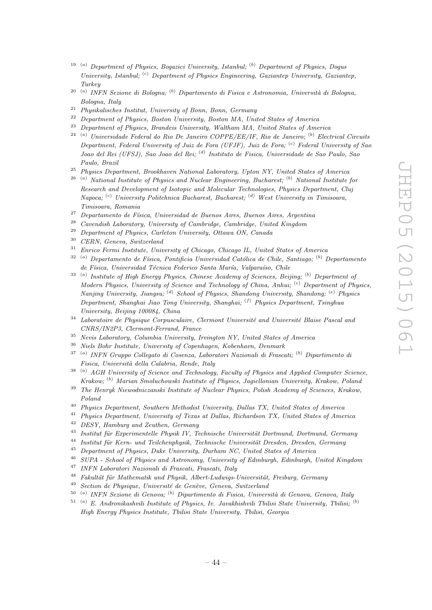- <sup>19</sup> (a) Department of Physics, Bogazici University, Istanbul; <sup>(b)</sup> Department of Physics, Dogus University, Istanbul; <sup>(c)</sup> Department of Physics Engineering, Gaziantep University, Gaziantep, Turkey
- <sup>20 (a</sup>) INFN Sezione di Bologna; <sup>(b</sup>) Dipartimento di Fisica e Astronomia, Università di Bologna, Bologna, Italy
- <sup>21</sup> Physikalisches Institut, University of Bonn, Bonn, Germany<br><sup>22</sup> Penertment of Physics, Boston University, Boston MA, University
- <sup>22</sup> Department of Physics, Boston University, Boston MA, United States of America<sup>23</sup> Department of Physics, Boston University, Welther MA, United States of America
- <sup>23</sup> Department of Physics, Brandeis University, Waltham MA, United States of America
- <sup>24 (a)</sup> Universidade Federal do Rio De Janeiro COPPE/EE/IF, Rio de Janeiro; <sup>(b)</sup> Electrical Circuits Department, Federal University of Juiz de Fora (UFJF), Juiz de Fora; <sup>(c)</sup> Federal University of Sao Joao del Rei (UFSJ), Sao Joao del Rei; <sup>(d)</sup> Instituto de Fisica, Universidade de Sao Paulo, Sao Paulo, Brazil
- <sup>25</sup> Physics Department, Brookhaven National Laboratory, Upton NY, United States of America
- $2^{6}$ <sup>(a)</sup> National Institute of Physics and Nuclear Engineering, Bucharest; <sup>(b)</sup> National Institute for Research and Development of Isotopic and Molecular Technologies, Physics Department, Cluj Napoca; <sup>(c)</sup> University Politehnica Bucharest, Bucharest; <sup>(d)</sup> West University in Timisoara, Timisoara, Romania
- <sup>27</sup> Departamento de Física, Universidad de Buenos Aires, Buenos Aires, Argentina
- <sup>28</sup> Cavendish Laboratory, University of Cambridge, Cambridge, United Kingdom
- <sup>29</sup> Department of Physics, Carleton University, Ottawa ON, Canada
- <sup>30</sup> CERN, Geneva, Switzerland
- <sup>31</sup> Enrico Fermi Institute, University of Chicago, Chicago IL, United States of America
- $32$ <sup>(a)</sup> Departamento de Física, Pontificia Universidad Católica de Chile, Santiago; <sup>(b)</sup> Departamento de Física, Universidad Técnica Federico Santa María, Valparaíso, Chile
- <sup>33</sup><sup>(a)</sup> Institute of High Energy Physics, Chinese Academy of Sciences, Beijing;<sup>(b)</sup> Department of Modern Physics, University of Science and Technology of China, Anhui;  $\binom{c}{r}$  Department of Physics, Nanjing University, Jiangsu;<sup>(d)</sup> School of Physics, Shandong University, Shandong;<sup>(e)</sup> Physics Department, Shanghai Jiao Tong University, Shanghai; <sup>(f)</sup> Physics Department, Tsinghua University, Beijing 100084, China
- $34$  Laboratoire de Physique Corpusculaire, Clermont Université and Université Blaise Pascal and CNRS/IN2P3, Clermont-Ferrand, France
- <sup>35</sup> Nevis Laboratory, Columbia University, Irvington NY, United States of America
- <sup>36</sup> Niels Bohr Institute, University of Copenhagen, Kobenhavn, Denmark
- <sup>37 (a)</sup> INFN Gruppo Collegato di Cosenza, Laboratori Nazionali di Frascati; <sup>(b)</sup> Dipartimento di Fisica, Università della Calabria, Rende, Italy
- <sup>38 (a)</sup> AGH University of Science and Technology, Faculty of Physics and Applied Computer Science, Krakow; <sup>(b)</sup> Marian Smoluchowski Institute of Physics, Jagiellonian University, Krakow, Polana
- <sup>39</sup> The Henryk Niewodniczanski Institute of Nuclear Physics, Polish Academy of Sciences, Krakow, Poland
- <sup>40</sup> Physics Department, Southern Methodist University, Dallas TX, United States of America<br><sup>41</sup> Physics Department, University of Texas at Dallas, Bichardson TX, United States of Amer
- <sup>41</sup> Physics Department, University of Texas at Dallas, Richardson TX, United States of America<br><sup>42</sup> DESY Hamburg and Zouthan Company
- <sup>42</sup> DESY, Hamburg and Zeuthen, Germany<br><sup>43</sup> Leatitut für Emanimentalla Physik IV, T
- $^{43}$  Institut für Experimentelle Physik IV, Technische Universität Dortmund, Dortmund, Germany
- $Institut$  für Kern- und Teilchenphysik, Technische Universität Dresden, Dresden, Germany
- <sup>45</sup> Department of Physics, Duke University, Durham NC, United States of America
- <sup>46</sup> SUPA School of Physics and Astronomy, University of Edinburgh, Edinburgh, United Kingdom
- <sup>47</sup> INFN Laboratori Nazionali di Frascati, Frascati, Italy
- $48$  Fakultät für Mathematik und Physik, Albert-Ludwigs-Universität, Freiburg, Germany
- $49$  Section de Physique, Université de Genève, Geneva, Switzerland
- <sup>50 (a)</sup> INFN Sezione di Genova; <sup>(b)</sup> Dipartimento di Fisica, Università di Genova, Genova, Italy
- $51$ <sup>(a)</sup> E. Andronikashvili Institute of Physics, Iv. Javakhishvili Tbilisi State University, Tbilisi; <sup>(b)</sup> High Energy Physics Institute, Tbilisi State University, Tbilisi, Georgia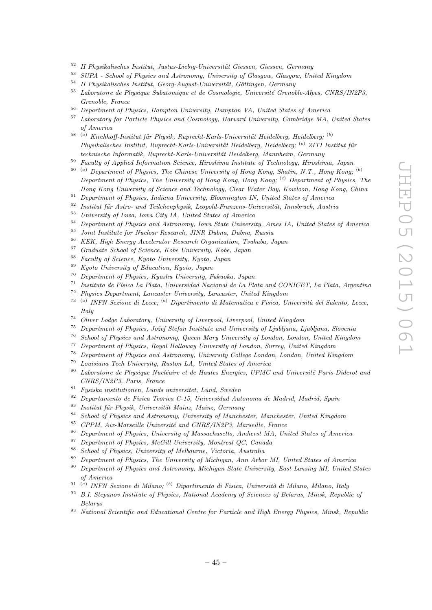- <sup>52</sup> II Physikalisches Institut, Justus-Liebig-Universität Giessen, Giessen, Germany<br><sup>53</sup> SUDA School of Physics and Astronomy, University of Glassey, Glassey, University
- <sup>53</sup> SUPA School of Physics and Astronomy, University of Glasgow, Glasgow, United Kingdom
- $54$  II Physikalisches Institut, Georg-August-Universität, Göttingen, Germany
- $55$  Laboratoire de Physique Subatomique et de Cosmologie, Université Grenoble-Alpes, CNRS/IN2P3, Grenoble, France
- <sup>56</sup> Department of Physics, Hampton University, Hampton VA, United States of America
- <sup>57</sup> Laboratory for Particle Physics and Cosmology, Harvard University, Cambridge MA, United States of America
- <sup>58 (a)</sup> Kirchhoff-Institut für Physik, Ruprecht-Karls-Universität Heidelberg, Heidelberg; <sup>(b)</sup> Physikalisches Institut, Ruprecht-Karls-Universität Heidelberg, Heidelberg; <sup>(c)</sup> ZITI Institut für technische Informatik, Ruprecht-Karls-Universität Heidelberg, Mannheim, Germany
- <sup>59</sup> Faculty of Applied Information Science, Hiroshima Institute of Technology, Hiroshima, Japan
- $\alpha^{(a)}$  Department of Physics, The Chinese University of Hong Kong, Shatin, N.T., Hong Kong;  $\alpha^{(b)}$ Department of Physics, The University of Hong Kong, Hong Kong; <sup>(c)</sup> Department of Physics, The Hong Kong University of Science and Technology, Clear Water Bay, Kowloon, Hong Kong, China
- <sup>61</sup> Department of Physics, Indiana University, Bloomington IN, United States of America
- <sup>62</sup> Institut für Astro- und Teilchenphysik, Leopold-Franzens-Universität, Innsbruck, Austria<br><sup>63</sup> Italianus (Leonolds Leonolds Leonolds Chatea of Austria)
- <sup>63</sup> University of Iowa, Iowa City IA, United States of America<br><sup>64</sup> Punctuated of Physics and Astronomy, Iowa State University
- <sup>64</sup> Department of Physics and Astronomy, Iowa State University, Ames IA, United States of America
- <sup>65</sup> Joint Institute for Nuclear Research, JINR Dubna, Dubna, Russia
- <sup>66</sup> KEK, High Energy Accelerator Research Organization, Tsukuba, Japan
- <sup>67</sup> Graduate School of Science, Kobe University, Kobe, Japan
- <sup>68</sup> Faculty of Science, Kyoto University, Kyoto, Japan
- <sup>69</sup> Kyoto University of Education, Kyoto, Japan<br><sup>70</sup> Department of Physics Kyushu University F
- <sup>70</sup> Department of Physics, Kyushu University, Fukuoka, Japan<br><sup>71</sup> Institute de Eksiss La Plata, Universidad Nasional de La Pl
- Instituto de Física La Plata, Universidad Nacional de La Plata and CONICET, La Plata. Argentina
- <sup>72</sup> Physics Department, Lancaster University, Lancaster, United Kingdom
- 73 ( <sup>a)</sup> INFN Sezione di Lecce; <sup>(b)</sup> Dipartimento di Matematica e Fisica, Università del Salento, Lecce, Italy
- <sup>74</sup> Oliver Lodge Laboratory, University of Liverpool, Liverpool, United Kingdom<br><sup>75</sup> Department of Physics Jožef Stefan Institute and University of Liveliana, L
- <sup>75</sup> Department of Physics, Jožef Stefan Institute and University of Ljubljana, Ljubljana, Slovenia<br><sup>76</sup> School of Physics and Actuaryna Orang Many University of Lyden Lyden, United Kingha
- <sup>76</sup> School of Physics and Astronomy, Queen Mary University of London, London, United Kingdom<br><sup>77</sup> Purpote ant of Physics Paul Hellyway University of London, Segment With *Kingdom*
- <sup>77</sup> Department of Physics, Royal Holloway University of London, Surrey, United Kingdom<br><sup>78</sup> Department of Physics and Astronomy, University College London, London, United Kin
- <sup>78</sup> Department of Physics and Astronomy, University College London, London, United Kingdom
- <sup>79</sup> Louisiana Tech University, Ruston LA, United States of America
- $80$  Laboratoire de Physique Nucléaire et de Hautes Energies, UPMC and Université Paris-Diderot and CNRS/IN2P3, Paris, France
- <sup>81</sup> Fysiska institutionen, Lunds universitet, Lund, Sweden
- <sup>82</sup> Departamento de Fisica Teorica C-15, Universidad Autonoma de Madrid, Madrid, Spain
- <sup>83</sup> Institut für Physik, Universität Mainz, Mainz, Germany<br><sup>84</sup> School of Physics and Astronomy, University of Manche
- <sup>84</sup> School of Physics and Astronomy, University of Manchester, Manchester, United Kingdom<br><sup>85</sup> CDDM, Air Manceille University and CNDS (IN0D2, Manceille, France
- <sup>85</sup> CPPM, Aix-Marseille Université and CNRS/IN2P3, Marseille, France<br><sup>86</sup> Department of Physics, University of Marsechusetts, Australia MA, Un
- <sup>86</sup> Department of Physics, University of Massachusetts, Amherst MA, United States of America<br><sup>87</sup> Department of Physics, McCill University, Mentreal OC Canada
- $87$  Department of Physics, McGill University, Montreal QC, Canada<br> $88$  Sebeck of Physics, University of Melbeurne, Victoria, Australia
- <sup>88</sup> School of Physics, University of Melbourne, Victoria, Australia
- <sup>89</sup> Department of Physics, The University of Michigan, Ann Arbor MI, United States of America
- <sup>90</sup> Department of Physics and Astronomy, Michigan State University, East Lansing MI, United States of America
- <sup>91 (a)</sup> INFN Sezione di Milano; <sup>(b)</sup> Dipartimento di Fisica, Università di Milano, Milano, Italy
- $92$  B.I. Stepanov Institute of Physics, National Academy of Sciences of Belarus, Minsk, Republic of Belarus
- $93$  National Scientific and Educational Centre for Particle and High Energy Physics, Minsk, Republic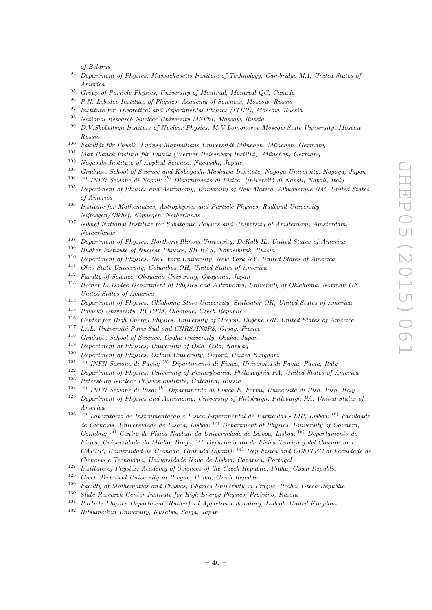of Belarus

- $94$  Department of Physics, Massachusetts Institute of Technology, Cambridge MA, United States of America
- <sup>95</sup> Group of Particle Physics, University of Montreal, Montreal QC, Canada<br><sup>96</sup> P.N. Lebeden Institute of Physics, Academy of Sciences, Moscow, Bussia
- <sup>96</sup> P.N. Lebedev Institute of Physics, Academy of Sciences, Moscow, Russia
- <sup>97</sup> Institute for Theoretical and Experimental Physics (ITEP), Moscow, Russia
- <sup>98</sup> National Research Nuclear University MEPhI, Moscow, Russia
- <sup>99</sup> D.V.Skobeltsyn Institute of Nuclear Physics, M.V.Lomonosov Moscow State University, Moscow, Russia
- $100$  Fakultät für Physik, Ludwig-Maximilians-Universität München, München, Germany
- $101$  Max-Planck-Institut für Physik (Werner-Heisenberg-Institut), München, Germany<br> $102$  Magazeli Institute of Anglied Science, Nagazeli, Japan
- <sup>102</sup> Nagasaki Institute of Applied Science, Nagasaki, Japan
- <sup>103</sup> Graduate School of Science and Kobayashi-Maskawa Institute, Nagoya University, Nagoya, Japan
- 104 ( <sup>a)</sup> INFN Sezione di Napoli; <sup>(b)</sup> Dipartimento di Fisica, Università di Napoli, Napoli, Italy
- <sup>105</sup> Department of Physics and Astronomy, University of New Mexico, Albuquerque NM, United States of America
- <sup>106</sup> Institute for Mathematics, Astrophysics and Particle Physics, Radboud University Nijmegen/Nikhef, Nijmegen, Netherlands
- <sup>107</sup> Nikhef National Institute for Subatomic Physics and University of Amsterdam, Amsterdam, Netherlands
- <sup>108</sup> Department of Physics, Northern Illinois University, DeKalb IL, United States of America
- <sup>109</sup> Budker Institute of Nuclear Physics, SB RAS, Novosibirsk, Russia
- <sup>110</sup> Department of Physics, New York University, New York NY, United States of America
- <sup>111</sup> Ohio State University, Columbus OH, United States of America<br><sup>112</sup> Example of Science Obsusme University Obsusme Jense
- <sup>112</sup> Faculty of Science, Okayama University, Okayama, Japan<br><sup>113</sup> Haman L. Dedas Department of Physics and Astronomy
- <sup>113</sup> Homer L. Dodge Department of Physics and Astronomy, University of Oklahoma, Norman OK, United States of America
- <sup>114</sup> Department of Physics, Oklahoma State University, Stillwater OK, United States of America<br><sup>115</sup> Palaský University, DCDTM, Olamous, Creek Penullie,
- Palacký University, RCPTM, Olomouc, Czech Republic
- <sup>116</sup> Center for High Energy Physics, University of Oregon, Eugene OR, United States of America<br><sup>117</sup> *LAL*, Université Paris Sud and CNBS/IN<sup>9</sup>P? Orsey, France
- <sup>117</sup> LAL, Université Paris-Sud and CNRS/IN2P3, Orsay, France
- <sup>118</sup> Graduate School of Science, Osaka University, Osaka, Japan<br><sup>119</sup> Danasty and Charles Huise History of Othe Orle Namura
- <sup>119</sup> Department of Physics, University of Oslo, Oslo, Norway<br><sup>120</sup> Department of Physics, Orford University, Orford United
- <sup>120</sup> Department of Physics, Oxford University, Oxford, United Kingdom
- <sup>121 (a)</sup> INFN Sezione di Pavia; <sup>(b)</sup> Dipartimento di Fisica, Università di Pavia, Pavia, Italy
- <sup>122</sup> Department of Physics, University of Pennsylvania, Philadelphia PA, United States of America
- <sup>123</sup> Petersburg Nuclear Physics Institute, Gatchina, Russia
- <sup>124 (a)</sup> INFN Sezione di Pisa; <sup>(b)</sup> Dipartimento di Fisica E. Fermi, Università di Pisa, Pisa, Italy
- <sup>125</sup> Department of Physics and Astronomy, University of Pittsburgh, Pittsburgh PA, United States of America
- 126 ( <sup>a)</sup> Laboratorio de Instrumentacao e Fisica Experimental de Particulas - LIP, Lisboa; <sup>(b)</sup> Faculdade de Ciências, Universidade de Lisboa, Lisboa; <sup>(c)</sup> Department of Physics, University of Coimbra, Coimbra; <sup>(d)</sup> Centro de Física Nuclear da Universidade de Lisboa, Lisboa; <sup>(e)</sup> Departamento de Fisica, Universidade do Minho, Braga;  $(f)$  Departamento de Fisica Teorica y del Cosmos and CAFPE, Universidad de Granada, Granada (Spain); <sup>(g)</sup> Dep Fisica and CEFITEC of Faculdade de Ciencias e Tecnologia, Universidade Nova de Lisboa, Caparica, Portugal
- <sup>127</sup> Institute of Physics, Academy of Sciences of the Czech Republic, Praha, Czech Republic
- <sup>128</sup> Czech Technical University in Prague, Praha, Czech Republic
- <sup>129</sup> Faculty of Mathematics and Physics, Charles University in Prague, Praha, Czech Republic
- <sup>130</sup> State Research Center Institute for High Energy Physics, Protvino, Russia
- <sup>131</sup> Particle Physics Department, Rutherford Appleton Laboratory, Didcot, United Kingdom
- <sup>132</sup> Ritsumeikan University, Kusatsu, Shiga, Japan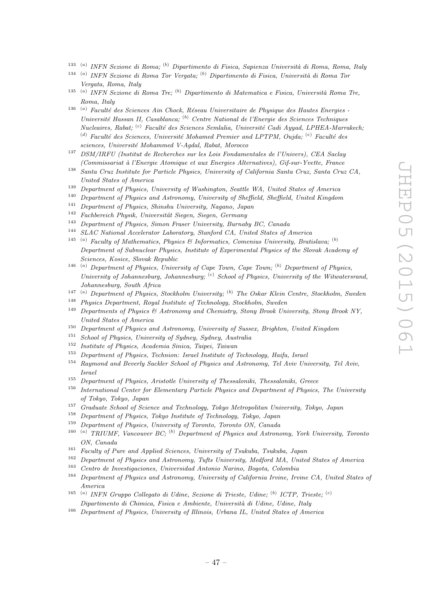- <sup>133 (a)</sup> INFN Sezione di Roma; <sup>(b)</sup> Dipartimento di Fisica, Sapienza Università di Roma, Roma, Italy
- $134$ <sup>(a)</sup> INFN Sezione di Roma Tor Vergata; <sup>(b)</sup> Dipartimento di Fisica, Università di Roma Tor Vergata, Roma, Italy
- <sup>135 (a)</sup> INFN Sezione di Roma Tre; <sup>(b)</sup> Dipartimento di Matematica e Fisica, Università Roma Tre, Roma, Italy
- <sup>136 (a)</sup> Faculté des Sciences Ain Chock, Réseau Universitaire de Physique des Hautes Energies -Université Hassan II, Casablanca; <sup>(b)</sup> Centre National de l'Energie des Sciences Techniques Nucleaires, Rabat; <sup>(c)</sup> Faculté des Sciences Semlalia, Université Cadi Ayyad, LPHEA-Marrakech; (d) Faculté des Sciences, Université Mohamed Premier and LPTPM, Oujda;  $(e)$  Faculté des sciences, Université Mohammed V-Agdal, Rabat, Morocco
- <sup>137</sup> DSM/IRFU (Institut de Recherches sur les Lois Fondamentales de l'Univers), CEA Saclay (Commissariat `a l'Energie Atomique et aux Energies Alternatives), Gif-sur-Yvette, France
- <sup>138</sup> Santa Cruz Institute for Particle Physics, University of California Santa Cruz, Santa Cruz CA, United States of America
- <sup>139</sup> Department of Physics, University of Washington, Seattle WA, United States of America
- <sup>140</sup> Department of Physics and Astronomy, University of Sheffield, Sheffield, United Kingdom<br><sup>141</sup> Department of Physics Shinghy University Negation Income
- <sup>141</sup> Department of Physics, Shinshu University, Nagano, Japan<br><sup>142</sup> Euclebearth Physics University Circus Circus Company
- Fachbereich Physik, Universität Siegen, Siegen, Germany
- <sup>143</sup> Department of Physics, Simon Fraser University, Burnaby BC, Canada<br><sup>144</sup> SLAC National Accelerator Laboratory, Stanford CA, United States of A
- <sup>144</sup> SLAC National Accelerator Laboratory, Stanford CA, United States of America
- <sup>145</sup><sup>(a)</sup> Faculty of Mathematics, Physics & Informatics, Comenius University, Bratislava; <sup>(b)</sup> Department of Subnuclear Physics, Institute of Experimental Physics of the Slovak Academy of Sciences, Kosice, Slovak Republic
- <sup>146</sup><sup>(a)</sup> Department of Physics, University of Cape Town, Cape Town;<sup>(b)</sup> Department of Physics, University of Johannesburg, Johannesburg;  $\left( \text{c} \right)$  School of Physics, University of the Witwatersrand, Johannesburg, South Africa
- 147 ( <sup>a)</sup> Department of Physics, Stockholm University; <sup>(b)</sup> The Oskar Klein Centre, Stockholm, Sweden
- <sup>148</sup> Physics Department, Royal Institute of Technology, Stockholm, Sweden<br><sup>149</sup> Departments of Physics  $\mathcal{C}'$  Astronomy and Chamistay, Stockholm, Presh Uni
- <sup>149</sup> Departments of Physics & Astronomy and Chemistry, Stony Brook University, Stony Brook NY, United States of America
- <sup>150</sup> Department of Physics and Astronomy, University of Sussex, Brighton, United Kingdom
- <sup>151</sup> School of Physics, University of Sydney, Sydney, Australia
- <sup>152</sup> Institute of Physics, Academia Sinica, Taipei, Taiwan<br><sup>153</sup> Department of Physics, Technica, Israel Institute of 2
- <sup>153</sup> Department of Physics, Technion: Israel Institute of Technology, Haifa, Israel
- <sup>154</sup> Raymond and Beverly Sackler School of Physics and Astronomy, Tel Aviv University, Tel Aviv, Israel
- <sup>155</sup> Department of Physics, Aristotle University of Thessaloniki, Thessaloniki, Greece
- <sup>156</sup> International Center for Elementary Particle Physics and Department of Physics, The University of Tokyo, Tokyo, Japan
- <sup>157</sup> Graduate School of Science and Technology, Tokyo Metropolitan University, Tokyo, Japan<br><sup>158</sup> Department of Physics, Tokyo Institute of Technology, Tokyo, Japan
- <sup>158</sup> Department of Physics, Tokyo Institute of Technology, Tokyo, Japan<br><sup>159</sup> Department of Physics, University of Tenents, Tenents ON, Capado
- Department of Physics, University of Toronto, Toronto ON, Canada
- 160 ( <sup>a)</sup> TRIUMF, Vancouver BC; <sup>(b)</sup> Department of Physics and Astronomy, York University, Toronto ON, Canada
- <sup>161</sup> Faculty of Pure and Applied Sciences, University of Tsukuba, Tsukuba, Japan
- <sup>162</sup> Department of Physics and Astronomy, Tufts University, Medford MA, United States of America
- <sup>163</sup> Centro de Investigaciones, Universidad Antonio Narino, Bogota, Colombia<br><sup>164</sup> Department of Physics and Astronomy University of California Irvine, Irv
- <sup>164</sup> Department of Physics and Astronomy, University of California Irvine, Irvine CA, United States of America
- <sup>165 (a)</sup> INFN Gruppo Collegato di Udine, Sezione di Trieste, Udine; <sup>(b)</sup> ICTP, Trieste; <sup>(c)</sup> Dipartimento di Chimica, Fisica e Ambiente, Universit`a di Udine, Udine, Italy
- <sup>166</sup> Department of Physics, University of Illinois, Urbana IL, United States of America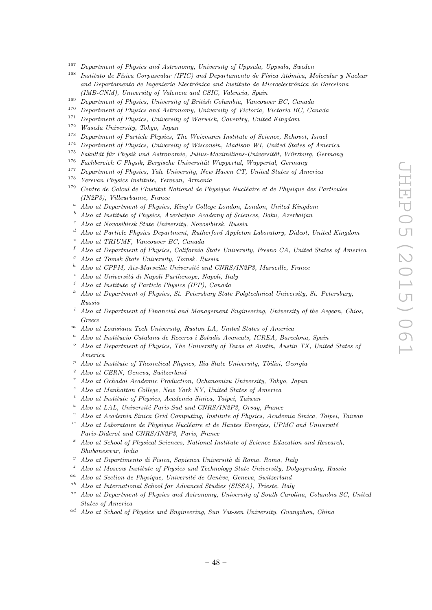- <sup>167</sup> Department of Physics and Astronomy, University of Uppsala, Uppsala, Sweden<br><sup>168</sup> Institute de Ekise Compuesular (IEC) and Departments de Ekise Atómics M
- Instituto de Física Corpuscular (IFIC) and Departamento de Física Atómica, Molecular y Nuclear and Departamento de Ingeniería Electrónica and Instituto de Microelectrónica de Barcelona (IMB-CNM), University of Valencia and CSIC, Valencia, Spain
- <sup>169</sup> Department of Physics, University of British Columbia, Vancouver BC, Canada<br><sup>170</sup> Department of Physics and Astronomy University of Victoria, Victoria BC, Co.
- <sup>170</sup> Department of Physics and Astronomy, University of Victoria, Victoria BC, Canada<br><sup>171</sup> Department of Physics University of Wanwick Country, United Kingdom
- <sup>171</sup> Department of Physics, University of Warwick, Coventry, United Kingdom<br> $\frac{172}{17}$  Western University Tribes, Large
- <sup>172</sup> Waseda University, Tokyo, Japan
- Department of Particle Physics, The Weizmann Institute of Science, Rehovot, Israel
- <sup>174</sup> Department of Physics, University of Wisconsin, Madison WI, United States of America
- <sup>175</sup> Fakultät für Physik und Astronomie, Julius-Maximilians-Universität, Würzburg, Germany<br><sup>176</sup> Fackkensisk G. Physik, Bergische Universität Wurgestel, Wurgestel, Germany
- $Eachbereich$  C Physik, Bergische Universität Wuppertal, Wuppertal, Germany
- <sup>177</sup> Department of Physics, Yale University, New Haven CT, United States of America
- <sup>178</sup> Yerevan Physics Institute, Yerevan, Armenia<br><sup>179</sup> Centre de Calcul de l'Institut National de Ph
- <sup>179</sup> Centre de Calcul de l'Institut National de Physique Nucl´eaire et de Physique des Particules (IN2P3), Villeurbanne, France
- <sup>a</sup> Also at Department of Physics, King's College London, London, United Kingdom
- <sup>b</sup> Also at Institute of Physics, Azerbaijan Academy of Sciences, Baku, Azerbaijan
- <sup>c</sup> Also at Novosibirsk State University, Novosibirsk, Russia
- <sup>d</sup> Also at Particle Physics Department, Rutherford Appleton Laboratory, Didcot, United Kingdom
- <sup>e</sup> Also at TRIUMF, Vancouver BC, Canada
- $f$  Also at Department of Physics, California State University, Fresno CA, United States of America
- <sup>g</sup> Also at Tomsk State University, Tomsk, Russia
- Also at CPPM, Aix-Marseille Université and CNRS/IN2P3, Marseille, France
- Also at Università di Napoli Parthenope, Napoli, Italy
- Also at Institute of Particle Physics (IPP), Canada
- $k$  Also at Department of Physics, St. Petersburg State Polytechnical University, St. Petersburg, Russia
- <sup>l</sup> Also at Department of Financial and Management Engineering, University of the Aegean, Chios, Greece
- $<sup>m</sup>$  Also at Louisiana Tech University, Ruston LA, United States of America</sup>
- $n$  Also at Institucio Catalana de Recerca i Estudis Avancats, ICREA, Barcelona, Spain
- Also at Department of Physics, The University of Texas at Austin, Austin TX, United States of America
- $P$  Also at Institute of Theoretical Physics, Ilia State University, Tbilisi, Georgia
- Also at CERN, Geneva, Switzerland
- <sup>r</sup> Also at Ochadai Academic Production, Ochanomizu University, Tokyo, Japan
- Also at Manhattan College, New York NY, United States of America
- <sup>t</sup> Also at Institute of Physics, Academia Sinica, Taipei, Taiwan
- Also at LAL, Université Paris-Sud and CNRS/IN2P3, Orsay, France
- <sup>v</sup> Also at Academia Sinica Grid Computing, Institute of Physics, Academia Sinica, Taipei, Taiwan
- Also at Laboratoire de Physique Nucléaire et de Hautes Energies, UPMC and Université Paris-Diderot and CNRS/IN2P3, Paris, France
- $x^*$  Also at School of Physical Sciences, National Institute of Science Education and Research, Bhubaneswar, India
- $y$  Also at Dipartimento di Fisica, Sapienza Università di Roma, Roma, Italy
- Also at Moscow Institute of Physics and Technology State University, Dolgoprudny, Russia
- <sup>aa</sup> Also at Section de Physique, Université de Genève, Geneva, Switzerland
- $a<sup>b</sup>$  Also at International School for Advanced Studies (SISSA), Trieste, Italy
- <sup>ac</sup> Also at Department of Physics and Astronomy, University of South Carolina, Columbia SC, United States of America
- ad Also at School of Physics and Engineering, Sun Yat-sen University, Guangzhou, China